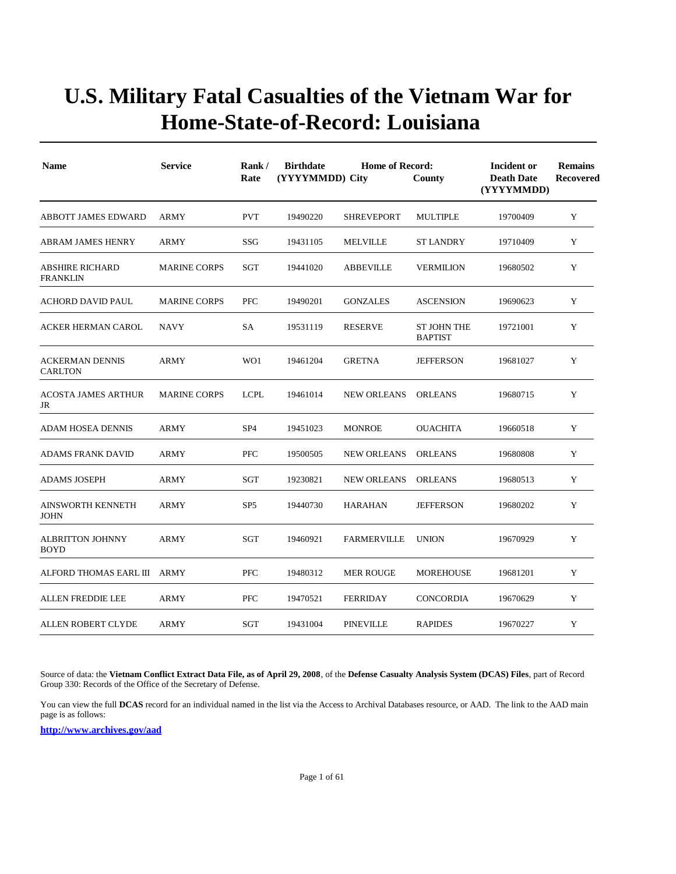| <b>Name</b>                              | <b>Service</b>      | Rank/<br>Rate   | <b>Birthdate</b><br>(YYYYMMDD) City | Incident or<br><b>Death Date</b><br>(YYYYMMDD) | <b>Remains</b><br><b>Recovered</b> |          |   |
|------------------------------------------|---------------------|-----------------|-------------------------------------|------------------------------------------------|------------------------------------|----------|---|
| <b>ABBOTT JAMES EDWARD</b>               | <b>ARMY</b>         | <b>PVT</b>      | 19490220                            | <b>SHREVEPORT</b>                              | <b>MULTIPLE</b>                    | 19700409 | Y |
| <b>ABRAM JAMES HENRY</b>                 | <b>ARMY</b>         | SSG             | 19431105                            | <b>MELVILLE</b>                                | <b>ST LANDRY</b>                   | 19710409 | Y |
| ABSHIRE RICHARD<br><b>FRANKLIN</b>       | <b>MARINE CORPS</b> | SGT             | 19441020                            | <b>ABBEVILLE</b>                               | <b>VERMILION</b>                   | 19680502 | Y |
| ACHORD DAVID PAUL                        | <b>MARINE CORPS</b> | PFC             | 19490201                            | <b>GONZALES</b>                                | <b>ASCENSION</b>                   | 19690623 | Y |
| <b>ACKER HERMAN CAROL</b>                | <b>NAVY</b>         | SA              | 19531119                            | <b>RESERVE</b>                                 | ST JOHN THE<br><b>BAPTIST</b>      | 19721001 | Y |
| <b>ACKERMAN DENNIS</b><br><b>CARLTON</b> | <b>ARMY</b>         | WO1             | 19461204                            | <b>GRETNA</b>                                  | <b>JEFFERSON</b>                   | 19681027 | Y |
| <b>ACOSTA JAMES ARTHUR</b><br>JR         | <b>MARINE CORPS</b> | <b>LCPL</b>     | 19461014                            | <b>NEW ORLEANS</b>                             | <b>ORLEANS</b>                     | 19680715 | Y |
| ADAM HOSEA DENNIS                        | <b>ARMY</b>         | SP <sub>4</sub> | 19451023                            | <b>MONROE</b>                                  | <b>OUACHITA</b>                    | 19660518 | Y |
| ADAMS FRANK DAVID                        | <b>ARMY</b>         | <b>PFC</b>      | 19500505                            | <b>NEW ORLEANS</b>                             | <b>ORLEANS</b>                     | 19680808 | Y |
| <b>ADAMS JOSEPH</b>                      | <b>ARMY</b>         | SGT             | 19230821                            | <b>NEW ORLEANS</b>                             | <b>ORLEANS</b>                     | 19680513 | Y |
| AINSWORTH KENNETH<br><b>JOHN</b>         | <b>ARMY</b>         | SP <sub>5</sub> | 19440730                            | <b>HARAHAN</b>                                 | <b>JEFFERSON</b>                   | 19680202 | Y |
| <b>ALBRITTON JOHNNY</b><br><b>BOYD</b>   | <b>ARMY</b>         | SGT             | 19460921                            | <b>FARMERVILLE</b>                             | <b>UNION</b>                       | 19670929 | Y |
| ALFORD THOMAS EARL III ARMY              |                     | <b>PFC</b>      | 19480312                            | <b>MER ROUGE</b>                               | MOREHOUSE                          | 19681201 | Y |
| ALLEN FREDDIE LEE                        | <b>ARMY</b>         | PFC             | 19470521                            | <b>FERRIDAY</b>                                | CONCORDIA                          | 19670629 | Y |
| <b>ALLEN ROBERT CLYDE</b>                | <b>ARMY</b>         | SGT             | 19431004                            | <b>PINEVILLE</b>                               | <b>RAPIDES</b>                     | 19670227 | Y |

Source of data: the **Vietnam Conflict Extract Data File, as of April 29, 2008**, of the **Defense Casualty Analysis System (DCAS) Files**, part of Record Group 330: Records of the Office of the Secretary of Defense.

You can view the full **DCAS** record for an individual named in the list via the Access to Archival Databases resource, or AAD. The link to the AAD main page is as follows: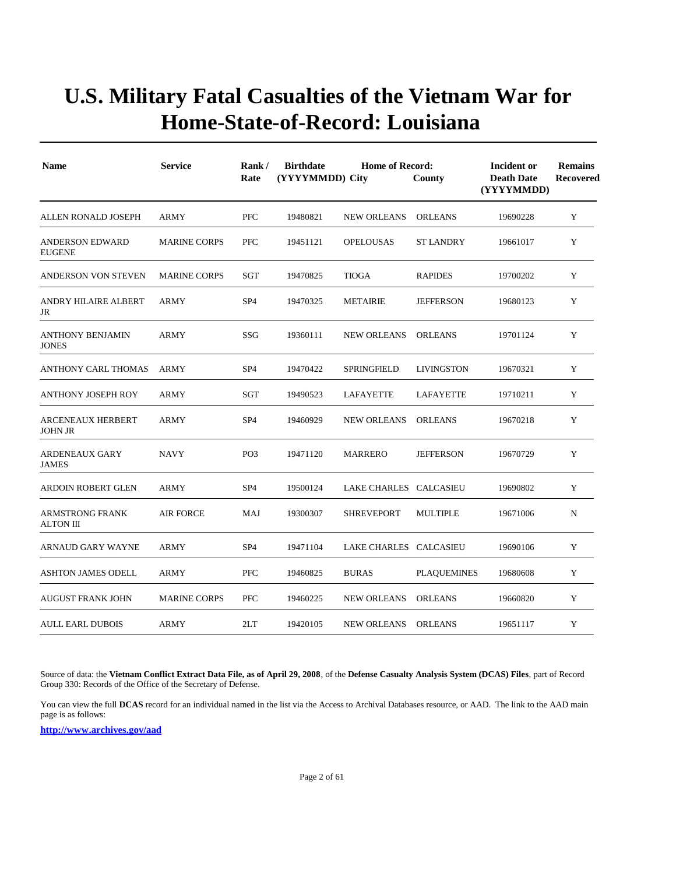| <b>Name</b>                                | <b>Service</b>      | Rank/<br>Rate   | <b>Birthdate</b><br>(YYYYMMDD) City | Incident or<br><b>Death Date</b><br>(YYYYMMDD) | <b>Remains</b><br>Recovered |          |             |
|--------------------------------------------|---------------------|-----------------|-------------------------------------|------------------------------------------------|-----------------------------|----------|-------------|
| ALLEN RONALD JOSEPH                        | ARMY                | <b>PFC</b>      | 19480821                            | <b>NEW ORLEANS</b>                             | <b>ORLEANS</b>              | 19690228 | Y           |
| <b>ANDERSON EDWARD</b><br><b>EUGENE</b>    | <b>MARINE CORPS</b> | <b>PFC</b>      | 19451121                            | <b>OPELOUSAS</b>                               | <b>ST LANDRY</b>            | 19661017 | Y           |
| ANDERSON VON STEVEN                        | <b>MARINE CORPS</b> | SGT             | 19470825                            | <b>TIOGA</b>                                   | <b>RAPIDES</b>              | 19700202 | Y           |
| ANDRY HILAIRE ALBERT<br>JR                 | <b>ARMY</b>         | SP <sub>4</sub> | 19470325                            | <b>METAIRIE</b>                                | <b>JEFFERSON</b>            | 19680123 | Y           |
| <b>ANTHONY BENJAMIN</b><br><b>JONES</b>    | <b>ARMY</b>         | SSG             | 19360111                            | <b>NEW ORLEANS</b>                             | <b>ORLEANS</b>              | 19701124 | Y           |
| ANTHONY CARL THOMAS                        | <b>ARMY</b>         | SP <sub>4</sub> | 19470422                            | SPRINGFIELD                                    | <b>LIVINGSTON</b>           | 19670321 | Y           |
| <b>ANTHONY JOSEPH ROY</b>                  | <b>ARMY</b>         | SGT             | 19490523                            | LAFAYETTE                                      | LAFAYETTE                   | 19710211 | Y           |
| <b>ARCENEAUX HERBERT</b><br>JOHN JR        | ARMY                | SP <sub>4</sub> | 19460929                            | <b>NEW ORLEANS</b>                             | <b>ORLEANS</b>              | 19670218 | Y           |
| <b>ARDENEAUX GARY</b><br><b>JAMES</b>      | <b>NAVY</b>         | PO <sub>3</sub> | 19471120                            | <b>MARRERO</b>                                 | <b>JEFFERSON</b>            | 19670729 | Y           |
| <b>ARDOIN ROBERT GLEN</b>                  | <b>ARMY</b>         | SP <sub>4</sub> | 19500124                            | LAKE CHARLES CALCASIEU                         |                             | 19690802 | Y           |
| <b>ARMSTRONG FRANK</b><br><b>ALTON III</b> | <b>AIR FORCE</b>    | MAJ             | 19300307                            | <b>SHREVEPORT</b>                              | <b>MULTIPLE</b>             | 19671006 | $\mathbf N$ |
| ARNAUD GARY WAYNE                          | ARMY                | SP <sub>4</sub> | 19471104                            | LAKE CHARLES CALCASIEU                         |                             | 19690106 | Y           |
| <b>ASHTON JAMES ODELL</b>                  | ARMY                | <b>PFC</b>      | 19460825                            | <b>BURAS</b>                                   | <b>PLAQUEMINES</b>          | 19680608 | Y           |
| <b>AUGUST FRANK JOHN</b>                   | <b>MARINE CORPS</b> | <b>PFC</b>      | 19460225                            | <b>NEW ORLEANS</b>                             | <b>ORLEANS</b>              | 19660820 | Y           |
| <b>AULL EARL DUBOIS</b>                    | <b>ARMY</b>         | 2LT             | 19420105                            | <b>NEW ORLEANS</b>                             | <b>ORLEANS</b>              | 19651117 | Y           |

Source of data: the **Vietnam Conflict Extract Data File, as of April 29, 2008**, of the **Defense Casualty Analysis System (DCAS) Files**, part of Record Group 330: Records of the Office of the Secretary of Defense.

You can view the full **DCAS** record for an individual named in the list via the Access to Archival Databases resource, or AAD. The link to the AAD main page is as follows: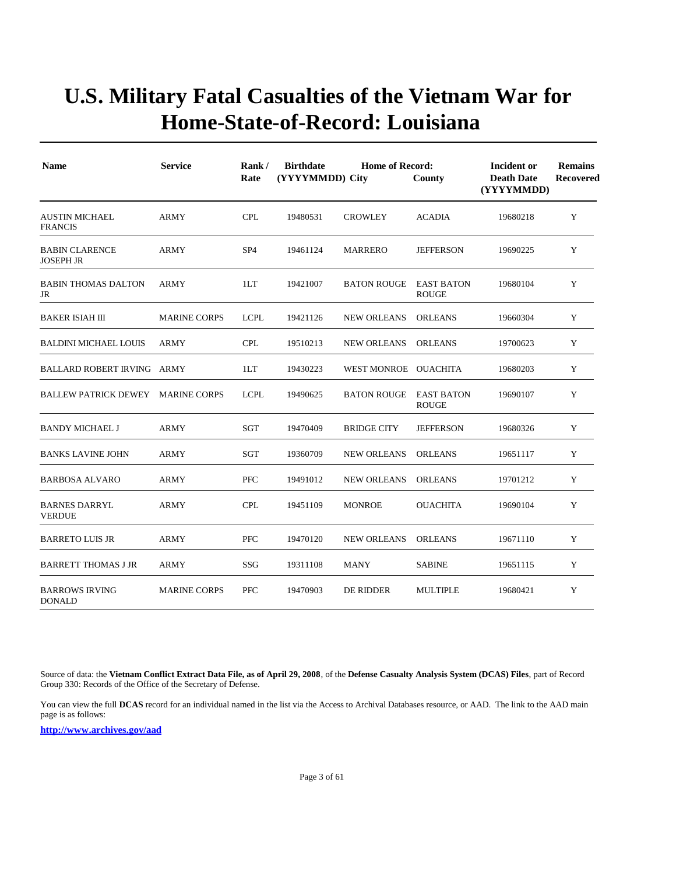| <b>Name</b>                               | <b>Service</b>      | Rank/<br>Rate   | <b>Home of Record:</b><br><b>Birthdate</b><br>(YYYYMMDD) City<br>County |                      |                                   | Incident or<br><b>Death Date</b><br>(YYYYMMDD) | <b>Remains</b><br><b>Recovered</b> |
|-------------------------------------------|---------------------|-----------------|-------------------------------------------------------------------------|----------------------|-----------------------------------|------------------------------------------------|------------------------------------|
| <b>AUSTIN MICHAEL</b><br><b>FRANCIS</b>   | <b>ARMY</b>         | <b>CPL</b>      | 19480531                                                                | <b>CROWLEY</b>       | <b>ACADIA</b>                     | 19680218                                       | Y                                  |
| <b>BABIN CLARENCE</b><br><b>JOSEPH JR</b> | <b>ARMY</b>         | SP <sub>4</sub> | 19461124                                                                | <b>MARRERO</b>       | <b>JEFFERSON</b>                  | 19690225                                       | Y                                  |
| <b>BABIN THOMAS DALTON</b><br>JR          | ARMY                | 1LT             | 19421007                                                                | <b>BATON ROUGE</b>   | <b>EAST BATON</b><br><b>ROUGE</b> | 19680104                                       | Y                                  |
| <b>BAKER ISIAH III</b>                    | <b>MARINE CORPS</b> | <b>LCPL</b>     | 19421126                                                                | <b>NEW ORLEANS</b>   | <b>ORLEANS</b>                    | 19660304                                       | Y                                  |
| BALDINI MICHAEL LOUIS                     | ARMY                | <b>CPL</b>      | 19510213                                                                | <b>NEW ORLEANS</b>   | <b>ORLEANS</b>                    | 19700623                                       | Y                                  |
| BALLARD ROBERT IRVING ARMY                |                     | 1LT             | 19430223                                                                | WEST MONROE OUACHITA |                                   | 19680203                                       | Y                                  |
| BALLEW PATRICK DEWEY MARINE CORPS         |                     | <b>LCPL</b>     | 19490625                                                                | <b>BATON ROUGE</b>   | <b>EAST BATON</b><br><b>ROUGE</b> | 19690107                                       | Y                                  |
| BANDY MICHAEL J                           | ARMY                | SGT             | 19470409                                                                | <b>BRIDGE CITY</b>   | <b>JEFFERSON</b>                  | 19680326                                       | Y                                  |
| <b>BANKS LAVINE JOHN</b>                  | <b>ARMY</b>         | SGT             | 19360709                                                                | <b>NEW ORLEANS</b>   | <b>ORLEANS</b>                    | 19651117                                       | Y                                  |
| <b>BARBOSA ALVARO</b>                     | <b>ARMY</b>         | <b>PFC</b>      | 19491012                                                                | <b>NEW ORLEANS</b>   | <b>ORLEANS</b>                    | 19701212                                       | Y                                  |
| <b>BARNES DARRYL</b><br><b>VERDUE</b>     | <b>ARMY</b>         | <b>CPL</b>      | 19451109                                                                | <b>MONROE</b>        | <b>OUACHITA</b>                   | 19690104                                       | Y                                  |
| <b>BARRETO LUIS JR</b>                    | <b>ARMY</b>         | <b>PFC</b>      | 19470120                                                                | <b>NEW ORLEANS</b>   | <b>ORLEANS</b>                    | 19671110                                       | Y                                  |
| <b>BARRETT THOMAS J JR</b>                | <b>ARMY</b>         | SSG             | 19311108                                                                | <b>MANY</b>          | <b>SABINE</b>                     | 19651115                                       | Y                                  |
| <b>BARROWS IRVING</b><br><b>DONALD</b>    | <b>MARINE CORPS</b> | <b>PFC</b>      | 19470903                                                                | DE RIDDER            | <b>MULTIPLE</b>                   | 19680421                                       | Y                                  |

Source of data: the **Vietnam Conflict Extract Data File, as of April 29, 2008**, of the **Defense Casualty Analysis System (DCAS) Files**, part of Record Group 330: Records of the Office of the Secretary of Defense.

You can view the full **DCAS** record for an individual named in the list via the Access to Archival Databases resource, or AAD. The link to the AAD main page is as follows: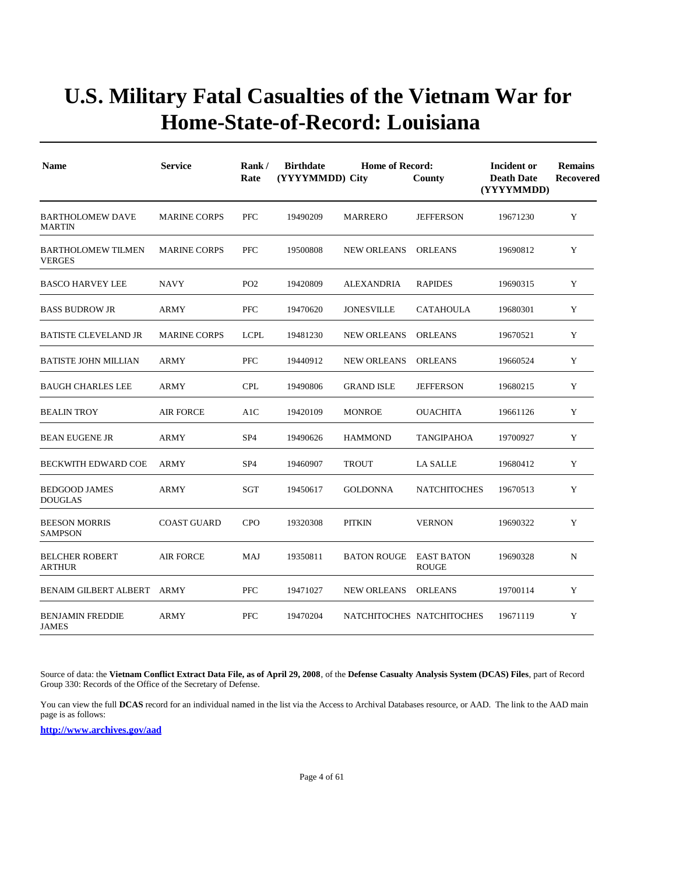| <b>Name</b>                                | <b>Service</b>      | Rank/<br>Rate   | <b>Birthdate</b><br>(YYYYMMDD) City | Incident or<br><b>Death Date</b><br>(YYYYMMDD) | <b>Remains</b><br><b>Recovered</b> |          |   |
|--------------------------------------------|---------------------|-----------------|-------------------------------------|------------------------------------------------|------------------------------------|----------|---|
| <b>BARTHOLOMEW DAVE</b><br><b>MARTIN</b>   | <b>MARINE CORPS</b> | <b>PFC</b>      | 19490209                            | MARRERO                                        | <b>JEFFERSON</b>                   | 19671230 | Y |
| <b>BARTHOLOMEW TILMEN</b><br><b>VERGES</b> | <b>MARINE CORPS</b> | <b>PFC</b>      | 19500808                            | <b>NEW ORLEANS</b>                             | <b>ORLEANS</b>                     | 19690812 | Y |
| <b>BASCO HARVEY LEE</b>                    | <b>NAVY</b>         | PO <sub>2</sub> | 19420809                            | <b>ALEXANDRIA</b>                              | <b>RAPIDES</b>                     | 19690315 | Y |
| <b>BASS BUDROW JR</b>                      | ARMY                | PFC             | 19470620                            | <b>JONESVILLE</b>                              | <b>CATAHOULA</b>                   | 19680301 | Y |
| <b>BATISTE CLEVELAND JR</b>                | <b>MARINE CORPS</b> | <b>LCPL</b>     | 19481230                            | <b>NEW ORLEANS</b>                             | <b>ORLEANS</b>                     | 19670521 | Y |
| <b>BATISTE JOHN MILLIAN</b>                | ARMY                | PFC             | 19440912                            | <b>NEW ORLEANS</b>                             | <b>ORLEANS</b>                     | 19660524 | Y |
| <b>BAUGH CHARLES LEE</b>                   | ARMY                | <b>CPL</b>      | 19490806                            | <b>GRAND ISLE</b>                              | <b>JEFFERSON</b>                   | 19680215 | Y |
| <b>BEALIN TROY</b>                         | <b>AIR FORCE</b>    | A1C             | 19420109                            | <b>MONROE</b>                                  | <b>OUACHITA</b>                    | 19661126 | Y |
| <b>BEAN EUGENE JR</b>                      | ARMY                | SP <sub>4</sub> | 19490626                            | <b>HAMMOND</b>                                 | <b>TANGIPAHOA</b>                  | 19700927 | Y |
| <b>BECKWITH EDWARD COE</b>                 | <b>ARMY</b>         | SP <sub>4</sub> | 19460907                            | <b>TROUT</b>                                   | <b>LA SALLE</b>                    | 19680412 | Y |
| <b>BEDGOOD JAMES</b><br><b>DOUGLAS</b>     | <b>ARMY</b>         | <b>SGT</b>      | 19450617                            | <b>GOLDONNA</b>                                | <b>NATCHITOCHES</b>                | 19670513 | Y |
| <b>BEESON MORRIS</b><br><b>SAMPSON</b>     | <b>COAST GUARD</b>  | <b>CPO</b>      | 19320308                            | <b>PITKIN</b>                                  | <b>VERNON</b>                      | 19690322 | Y |
| <b>BELCHER ROBERT</b><br><b>ARTHUR</b>     | <b>AIR FORCE</b>    | MAJ             | 19350811                            | <b>BATON ROUGE</b>                             | <b>EAST BATON</b><br><b>ROUGE</b>  | 19690328 | N |
| <b>BENAIM GILBERT ALBERT</b>               | ARMY                | PFC             | 19471027                            | <b>NEW ORLEANS</b>                             | <b>ORLEANS</b>                     | 19700114 | Y |
| <b>BENJAMIN FREDDIE</b><br><b>JAMES</b>    | <b>ARMY</b>         | PFC             | 19470204                            | NATCHITOCHES NATCHITOCHES                      |                                    | 19671119 | Y |

Source of data: the **Vietnam Conflict Extract Data File, as of April 29, 2008**, of the **Defense Casualty Analysis System (DCAS) Files**, part of Record Group 330: Records of the Office of the Secretary of Defense.

You can view the full **DCAS** record for an individual named in the list via the Access to Archival Databases resource, or AAD. The link to the AAD main page is as follows: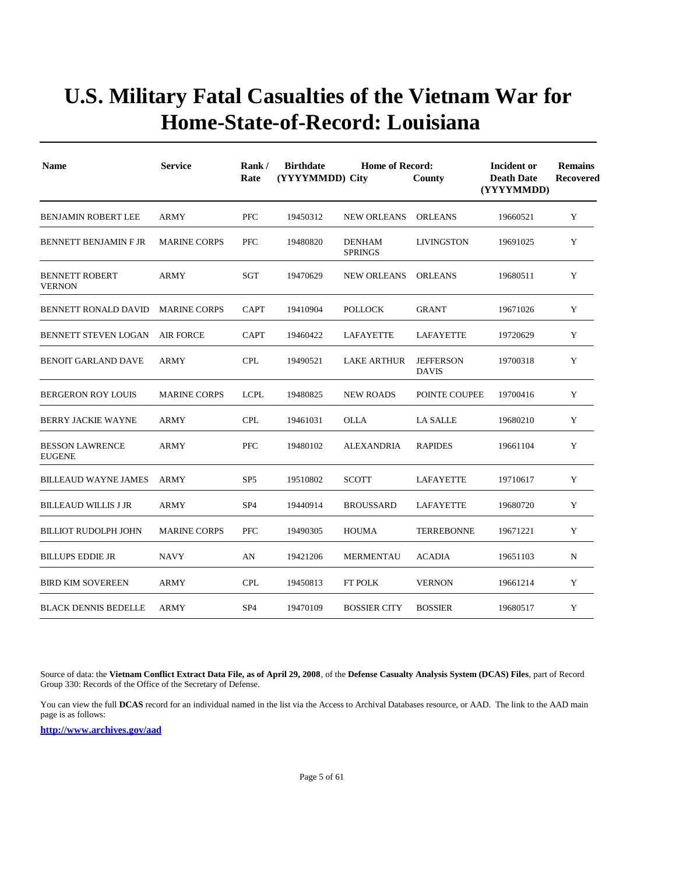| <b>Name</b>                             | <b>Service</b>      | Rank/<br>Rate   | <b>Birthdate</b><br>(YYYYMMDD) City | <b>Home of Record:</b><br>County | Incident or<br><b>Death Date</b><br>(YYYYMMDD) | <b>Remains</b><br>Recovered |   |
|-----------------------------------------|---------------------|-----------------|-------------------------------------|----------------------------------|------------------------------------------------|-----------------------------|---|
| <b>BENJAMIN ROBERT LEE</b>              | <b>ARMY</b>         | <b>PFC</b>      | 19450312                            | <b>NEW ORLEANS</b>               | <b>ORLEANS</b>                                 | 19660521                    | Y |
| <b>BENNETT BENJAMIN F JR</b>            | <b>MARINE CORPS</b> | PFC             | 19480820                            | <b>DENHAM</b><br><b>SPRINGS</b>  | LIVINGSTON                                     | 19691025                    | Y |
| <b>BENNETT ROBERT</b><br><b>VERNON</b>  | <b>ARMY</b>         | SGT             | 19470629                            | <b>NEW ORLEANS</b>               | <b>ORLEANS</b>                                 | 19680511                    | Y |
| BENNETT RONALD DAVID                    | <b>MARINE CORPS</b> | <b>CAPT</b>     | 19410904                            | <b>POLLOCK</b>                   | <b>GRANT</b>                                   | 19671026                    | Y |
| <b>BENNETT STEVEN LOGAN</b>             | <b>AIR FORCE</b>    | <b>CAPT</b>     | 19460422                            | LAFAYETTE                        | LAFAYETTE                                      | 19720629                    | Y |
| <b>BENOIT GARLAND DAVE</b>              | ARMY                | <b>CPL</b>      | 19490521                            | <b>LAKE ARTHUR</b>               | <b>JEFFERSON</b><br><b>DAVIS</b>               | 19700318                    | Y |
| <b>BERGERON ROY LOUIS</b>               | <b>MARINE CORPS</b> | <b>LCPL</b>     | 19480825                            | <b>NEW ROADS</b>                 | POINTE COUPEE                                  | 19700416                    | Y |
| <b>BERRY JACKIE WAYNE</b>               | <b>ARMY</b>         | <b>CPL</b>      | 19461031                            | <b>OLLA</b>                      | <b>LA SALLE</b>                                | 19680210                    | Y |
| <b>BESSON LAWRENCE</b><br><b>EUGENE</b> | ARMY                | PFC             | 19480102                            | <b>ALEXANDRIA</b>                | <b>RAPIDES</b>                                 | 19661104                    | Y |
| <b>BILLEAUD WAYNE JAMES</b>             | <b>ARMY</b>         | SP <sub>5</sub> | 19510802                            | <b>SCOTT</b>                     | <b>LAFAYETTE</b>                               | 19710617                    | Y |
| <b>BILLEAUD WILLIS J JR</b>             | <b>ARMY</b>         | SP <sub>4</sub> | 19440914                            | <b>BROUSSARD</b>                 | <b>LAFAYETTE</b>                               | 19680720                    | Y |
| <b>BILLIOT RUDOLPH JOHN</b>             | <b>MARINE CORPS</b> | <b>PFC</b>      | 19490305                            | <b>HOUMA</b>                     | <b>TERREBONNE</b>                              | 19671221                    | Y |
| <b>BILLUPS EDDIE JR</b>                 | <b>NAVY</b>         | AN              | 19421206                            | <b>MERMENTAU</b>                 | <b>ACADIA</b>                                  | 19651103                    | N |
| <b>BIRD KIM SOVEREEN</b>                | ARMY                | <b>CPL</b>      | 19450813                            | <b>FT POLK</b>                   | <b>VERNON</b>                                  | 19661214                    | Y |
| <b>BLACK DENNIS BEDELLE</b>             | ARMY                | SP <sub>4</sub> | 19470109                            | <b>BOSSIER CITY</b>              | <b>BOSSIER</b>                                 | 19680517                    | Y |

Source of data: the **Vietnam Conflict Extract Data File, as of April 29, 2008**, of the **Defense Casualty Analysis System (DCAS) Files**, part of Record Group 330: Records of the Office of the Secretary of Defense.

You can view the full **DCAS** record for an individual named in the list via the Access to Archival Databases resource, or AAD. The link to the AAD main page is as follows: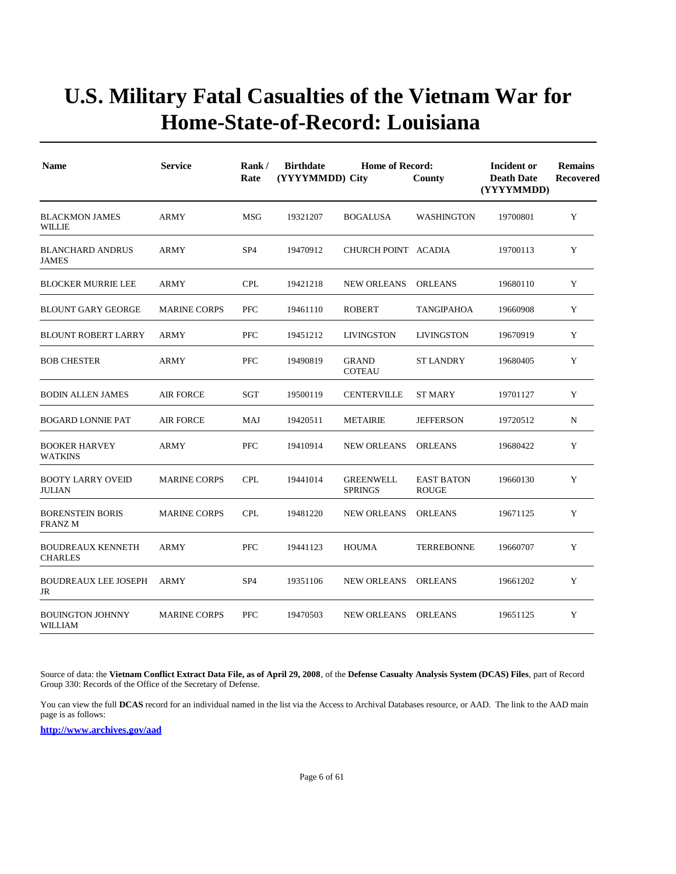| <b>Name</b>                                | <b>Service</b>      | <b>Birthdate</b><br><b>Home of Record:</b><br>Rank/<br>(YYYYMMDD) City<br>Rate<br>County |          |                                    |                                   | Incident or<br><b>Death Date</b><br>(YYYYMMDD) | <b>Remains</b><br>Recovered |
|--------------------------------------------|---------------------|------------------------------------------------------------------------------------------|----------|------------------------------------|-----------------------------------|------------------------------------------------|-----------------------------|
| <b>BLACKMON JAMES</b><br><b>WILLIE</b>     | <b>ARMY</b>         | MSG                                                                                      | 19321207 | <b>BOGALUSA</b>                    | <b>WASHINGTON</b>                 | 19700801                                       | Y                           |
| <b>BLANCHARD ANDRUS</b><br><b>JAMES</b>    | ARMY                | SP <sub>4</sub>                                                                          | 19470912 | CHURCH POINT ACADIA                |                                   | 19700113                                       | Y                           |
| <b>BLOCKER MURRIE LEE</b>                  | <b>ARMY</b>         | <b>CPL</b>                                                                               | 19421218 | <b>NEW ORLEANS</b>                 | <b>ORLEANS</b>                    | 19680110                                       | Y                           |
| <b>BLOUNT GARY GEORGE</b>                  | <b>MARINE CORPS</b> | <b>PFC</b>                                                                               | 19461110 | <b>ROBERT</b>                      | TANGIPAHOA                        | 19660908                                       | Y                           |
| <b>BLOUNT ROBERT LARRY</b>                 | <b>ARMY</b>         | PFC                                                                                      | 19451212 | <b>LIVINGSTON</b>                  | <b>LIVINGSTON</b>                 | 19670919                                       | Y                           |
| <b>BOB CHESTER</b>                         | ARMY                | PFC                                                                                      | 19490819 | <b>GRAND</b><br><b>COTEAU</b>      | ST LANDRY                         | 19680405                                       | Y                           |
| <b>BODIN ALLEN JAMES</b>                   | <b>AIR FORCE</b>    | SGT                                                                                      | 19500119 | <b>CENTERVILLE</b>                 | <b>ST MARY</b>                    | 19701127                                       | Y                           |
| <b>BOGARD LONNIE PAT</b>                   | <b>AIR FORCE</b>    | MAJ                                                                                      | 19420511 | <b>METAIRIE</b>                    | <b>JEFFERSON</b>                  | 19720512                                       | N                           |
| <b>BOOKER HARVEY</b><br><b>WATKINS</b>     | ARMY                | PFC                                                                                      | 19410914 | <b>NEW ORLEANS</b>                 | <b>ORLEANS</b>                    | 19680422                                       | Y                           |
| <b>BOOTY LARRY OVEID</b><br><b>JULIAN</b>  | <b>MARINE CORPS</b> | <b>CPL</b>                                                                               | 19441014 | <b>GREENWELL</b><br><b>SPRINGS</b> | <b>EAST BATON</b><br><b>ROUGE</b> | 19660130                                       | Y                           |
| <b>BORENSTEIN BORIS</b><br><b>FRANZM</b>   | <b>MARINE CORPS</b> | <b>CPL</b>                                                                               | 19481220 | <b>NEW ORLEANS</b>                 | <b>ORLEANS</b>                    | 19671125                                       | Y                           |
| <b>BOUDREAUX KENNETH</b><br><b>CHARLES</b> | <b>ARMY</b>         | PFC                                                                                      | 19441123 | <b>HOUMA</b>                       | <b>TERREBONNE</b>                 | 19660707                                       | Y                           |
| <b>BOUDREAUX LEE JOSEPH</b><br>JR          | ARMY                | SP <sub>4</sub>                                                                          | 19351106 | <b>NEW ORLEANS</b>                 | <b>ORLEANS</b>                    | 19661202                                       | Y                           |
| <b>BOUINGTON JOHNNY</b><br><b>WILLIAM</b>  | <b>MARINE CORPS</b> | <b>PFC</b>                                                                               | 19470503 | <b>NEW ORLEANS</b>                 | <b>ORLEANS</b>                    | 19651125                                       | Y                           |

Source of data: the **Vietnam Conflict Extract Data File, as of April 29, 2008**, of the **Defense Casualty Analysis System (DCAS) Files**, part of Record Group 330: Records of the Office of the Secretary of Defense.

You can view the full **DCAS** record for an individual named in the list via the Access to Archival Databases resource, or AAD. The link to the AAD main page is as follows: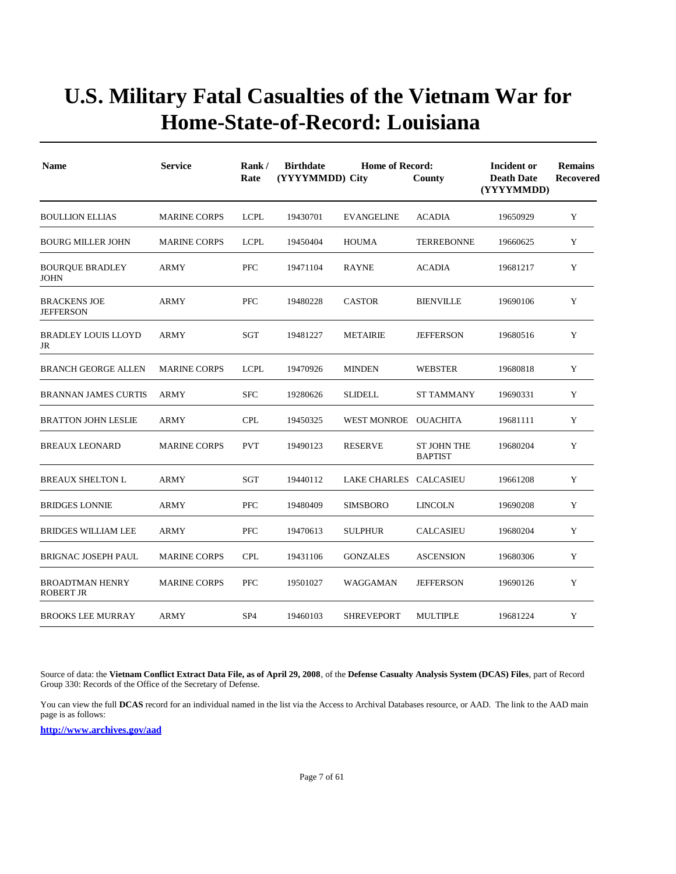| <b>Name</b>                                | <b>Service</b>      | Rank/<br>Rate   | <b>Birthdate</b><br>(YYYYMMDD) City | Incident or<br><b>Death Date</b><br>(YYYYMMDD) | <b>Remains</b><br>Recovered          |          |   |
|--------------------------------------------|---------------------|-----------------|-------------------------------------|------------------------------------------------|--------------------------------------|----------|---|
| <b>BOULLION ELLIAS</b>                     | <b>MARINE CORPS</b> | <b>LCPL</b>     | 19430701                            | <b>EVANGELINE</b>                              | <b>ACADIA</b>                        | 19650929 | Y |
| <b>BOURG MILLER JOHN</b>                   | <b>MARINE CORPS</b> | <b>LCPL</b>     | 19450404                            | <b>HOUMA</b>                                   | <b>TERREBONNE</b>                    | 19660625 | Y |
| <b>BOURQUE BRADLEY</b><br><b>JOHN</b>      | ARMY                | PFC             | 19471104                            | <b>RAYNE</b>                                   | <b>ACADIA</b>                        | 19681217 | Y |
| <b>BRACKENS JOE</b><br><b>JEFFERSON</b>    | <b>ARMY</b>         | PFC             | 19480228                            | <b>CASTOR</b>                                  | <b>BIENVILLE</b>                     | 19690106 | Y |
| <b>BRADLEY LOUIS LLOYD</b><br>JR           | <b>ARMY</b>         | SGT             | 19481227                            | <b>METAIRIE</b>                                | <b>JEFFERSON</b>                     | 19680516 | Y |
| <b>BRANCH GEORGE ALLEN</b>                 | <b>MARINE CORPS</b> | <b>LCPL</b>     | 19470926                            | <b>MINDEN</b>                                  | <b>WEBSTER</b>                       | 19680818 | Y |
| <b>BRANNAN JAMES CURTIS</b>                | <b>ARMY</b>         | <b>SFC</b>      | 19280626                            | <b>SLIDELL</b>                                 | <b>ST TAMMANY</b>                    | 19690331 | Y |
| <b>BRATTON JOHN LESLIE</b>                 | <b>ARMY</b>         | <b>CPL</b>      | 19450325                            | WEST MONROE OUACHITA                           |                                      | 19681111 | Y |
| <b>BREAUX LEONARD</b>                      | <b>MARINE CORPS</b> | <b>PVT</b>      | 19490123                            | <b>RESERVE</b>                                 | <b>ST JOHN THE</b><br><b>BAPTIST</b> | 19680204 | Y |
| <b>BREAUX SHELTON L</b>                    | ARMY                | SGT             | 19440112                            | LAKE CHARLES CALCASIEU                         |                                      | 19661208 | Y |
| <b>BRIDGES LONNIE</b>                      | ARMY                | PFC             | 19480409                            | <b>SIMSBORO</b>                                | <b>LINCOLN</b>                       | 19690208 | Y |
| <b>BRIDGES WILLIAM LEE</b>                 | ARMY                | <b>PFC</b>      | 19470613                            | <b>SULPHUR</b>                                 | <b>CALCASIEU</b>                     | 19680204 | Y |
| <b>BRIGNAC JOSEPH PAUL</b>                 | <b>MARINE CORPS</b> | <b>CPL</b>      | 19431106                            | <b>GONZALES</b>                                | <b>ASCENSION</b>                     | 19680306 | Y |
| <b>BROADTMAN HENRY</b><br><b>ROBERT JR</b> | <b>MARINE CORPS</b> | <b>PFC</b>      | 19501027                            | WAGGAMAN                                       | <b>JEFFERSON</b>                     | 19690126 | Y |
| <b>BROOKS LEE MURRAY</b>                   | <b>ARMY</b>         | SP <sub>4</sub> | 19460103                            | <b>SHREVEPORT</b>                              | <b>MULTIPLE</b>                      | 19681224 | Y |

Source of data: the **Vietnam Conflict Extract Data File, as of April 29, 2008**, of the **Defense Casualty Analysis System (DCAS) Files**, part of Record Group 330: Records of the Office of the Secretary of Defense.

You can view the full **DCAS** record for an individual named in the list via the Access to Archival Databases resource, or AAD. The link to the AAD main page is as follows: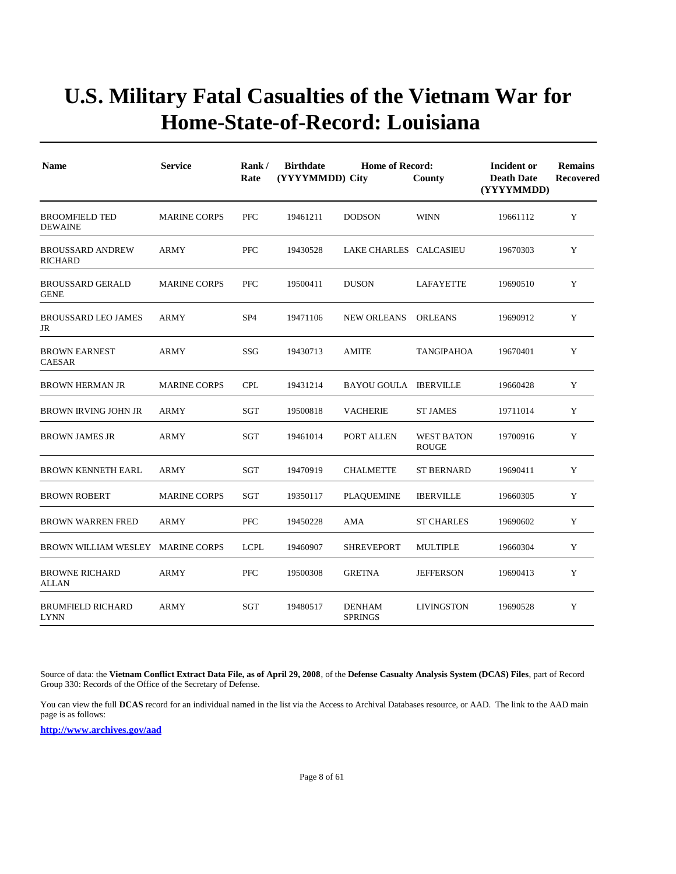| <b>Name</b>                               | <b>Service</b>      | Rank/<br>Rate   | <b>Birthdate</b><br><b>Home of Record:</b><br>(YYYYMMDD) City<br>County |                                 |                                   |          | <b>Remains</b><br>Recovered |
|-------------------------------------------|---------------------|-----------------|-------------------------------------------------------------------------|---------------------------------|-----------------------------------|----------|-----------------------------|
| <b>BROOMFIELD TED</b><br><b>DEWAINE</b>   | <b>MARINE CORPS</b> | <b>PFC</b>      | 19461211                                                                | <b>DODSON</b>                   | <b>WINN</b>                       | 19661112 | Y                           |
| <b>BROUSSARD ANDREW</b><br><b>RICHARD</b> | <b>ARMY</b>         | PFC             | 19430528                                                                | LAKE CHARLES CALCASIEU          |                                   | 19670303 | Y                           |
| <b>BROUSSARD GERALD</b><br><b>GENE</b>    | <b>MARINE CORPS</b> | <b>PFC</b>      | 19500411                                                                | <b>DUSON</b>                    | <b>LAFAYETTE</b>                  | 19690510 | Y                           |
| <b>BROUSSARD LEO JAMES</b><br>JR          | <b>ARMY</b>         | SP <sub>4</sub> | 19471106                                                                | <b>NEW ORLEANS</b>              | <b>ORLEANS</b>                    | 19690912 | Y                           |
| <b>BROWN EARNEST</b><br><b>CAESAR</b>     | <b>ARMY</b>         | SSG             | 19430713                                                                | <b>AMITE</b>                    | TANGIPAHOA                        | 19670401 | Y                           |
| <b>BROWN HERMAN JR</b>                    | <b>MARINE CORPS</b> | <b>CPL</b>      | 19431214                                                                | <b>BAYOU GOULA IBERVILLE</b>    |                                   | 19660428 | Y                           |
| BROWN IRVING JOHN JR                      | <b>ARMY</b>         | <b>SGT</b>      | 19500818                                                                | <b>VACHERIE</b>                 | <b>ST JAMES</b>                   | 19711014 | Y                           |
| <b>BROWN JAMES JR</b>                     | <b>ARMY</b>         | SGT             | 19461014                                                                | PORT ALLEN                      | <b>WEST BATON</b><br><b>ROUGE</b> | 19700916 | Y                           |
| <b>BROWN KENNETH EARL</b>                 | <b>ARMY</b>         | SGT             | 19470919                                                                | <b>CHALMETTE</b>                | <b>ST BERNARD</b>                 | 19690411 | Y                           |
| <b>BROWN ROBERT</b>                       | <b>MARINE CORPS</b> | SGT             | 19350117                                                                | <b>PLAQUEMINE</b>               | <b>IBERVILLE</b>                  | 19660305 | Y                           |
| <b>BROWN WARREN FRED</b>                  | <b>ARMY</b>         | PFC             | 19450228                                                                | AMA                             | <b>ST CHARLES</b>                 | 19690602 | Y                           |
| BROWN WILLIAM WESLEY MARINE CORPS         |                     | <b>LCPL</b>     | 19460907                                                                | <b>SHREVEPORT</b>               | <b>MULTIPLE</b>                   | 19660304 | $\mathbf Y$                 |
| <b>BROWNE RICHARD</b><br>ALLAN            | <b>ARMY</b>         | <b>PFC</b>      | 19500308                                                                | <b>GRETNA</b>                   | <b>JEFFERSON</b>                  | 19690413 | Y                           |
| <b>BRUMFIELD RICHARD</b><br><b>LYNN</b>   | <b>ARMY</b>         | <b>SGT</b>      | 19480517                                                                | <b>DENHAM</b><br><b>SPRINGS</b> | <b>LIVINGSTON</b>                 | 19690528 | Y                           |

Source of data: the **Vietnam Conflict Extract Data File, as of April 29, 2008**, of the **Defense Casualty Analysis System (DCAS) Files**, part of Record Group 330: Records of the Office of the Secretary of Defense.

You can view the full **DCAS** record for an individual named in the list via the Access to Archival Databases resource, or AAD. The link to the AAD main page is as follows: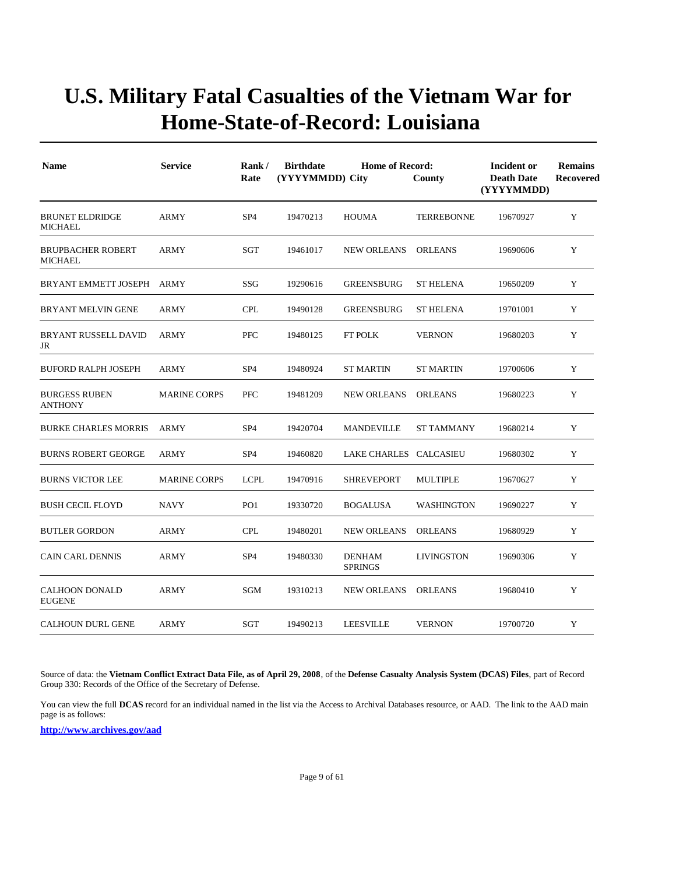| <b>Name</b>                                | <b>Service</b>      | Rank/<br>Rate   | <b>Birthdate</b><br><b>Home of Record:</b><br>(YYYYMMDD) City<br>County |                                 |                   | Incident or<br><b>Death Date</b><br>(YYYYMMDD) | <b>Remains</b><br>Recovered |
|--------------------------------------------|---------------------|-----------------|-------------------------------------------------------------------------|---------------------------------|-------------------|------------------------------------------------|-----------------------------|
| <b>BRUNET ELDRIDGE</b><br><b>MICHAEL</b>   | <b>ARMY</b>         | SP <sub>4</sub> | 19470213                                                                | <b>HOUMA</b>                    | <b>TERREBONNE</b> | 19670927                                       | Y                           |
| <b>BRUPBACHER ROBERT</b><br><b>MICHAEL</b> | ARMY                | SGT             | 19461017                                                                | <b>NEW ORLEANS</b>              | <b>ORLEANS</b>    | 19690606                                       | Y                           |
| BRYANT EMMETT JOSEPH                       | ARMY                | SSG             | 19290616                                                                | <b>GREENSBURG</b>               | <b>ST HELENA</b>  | 19650209                                       | Y                           |
| <b>BRYANT MELVIN GENE</b>                  | <b>ARMY</b>         | <b>CPL</b>      | 19490128                                                                | <b>GREENSBURG</b>               | <b>ST HELENA</b>  | 19701001                                       | Y                           |
| <b>BRYANT RUSSELL DAVID</b><br>JR          | <b>ARMY</b>         | PFC             | 19480125                                                                | FT POLK                         | <b>VERNON</b>     | 19680203                                       | Y                           |
| <b>BUFORD RALPH JOSEPH</b>                 | ARMY                | SP <sub>4</sub> | 19480924                                                                | <b>ST MARTIN</b>                | <b>ST MARTIN</b>  | 19700606                                       | Y                           |
| <b>BURGESS RUBEN</b><br><b>ANTHONY</b>     | <b>MARINE CORPS</b> | <b>PFC</b>      | 19481209                                                                | <b>NEW ORLEANS</b>              | <b>ORLEANS</b>    | 19680223                                       | Y                           |
| <b>BURKE CHARLES MORRIS</b>                | ARMY                | SP <sub>4</sub> | 19420704                                                                | <b>MANDEVILLE</b>               | <b>ST TAMMANY</b> | 19680214                                       | Y                           |
| <b>BURNS ROBERT GEORGE</b>                 | <b>ARMY</b>         | SP <sub>4</sub> | 19460820                                                                | LAKE CHARLES CALCASIEU          |                   | 19680302                                       | Y                           |
| <b>BURNS VICTOR LEE</b>                    | <b>MARINE CORPS</b> | <b>LCPL</b>     | 19470916                                                                | <b>SHREVEPORT</b>               | <b>MULTIPLE</b>   | 19670627                                       | Y                           |
| <b>BUSH CECIL FLOYD</b>                    | <b>NAVY</b>         | PO <sub>1</sub> | 19330720                                                                | <b>BOGALUSA</b>                 | <b>WASHINGTON</b> | 19690227                                       | Y                           |
| <b>BUTLER GORDON</b>                       | ARMY                | <b>CPL</b>      | 19480201                                                                | <b>NEW ORLEANS</b>              | <b>ORLEANS</b>    | 19680929                                       | Y                           |
| <b>CAIN CARL DENNIS</b>                    | <b>ARMY</b>         | SP <sub>4</sub> | 19480330                                                                | <b>DENHAM</b><br><b>SPRINGS</b> | <b>LIVINGSTON</b> | 19690306                                       | Y                           |
| <b>CALHOON DONALD</b><br><b>EUGENE</b>     | <b>ARMY</b>         | SGM             | 19310213                                                                | <b>NEW ORLEANS</b>              | <b>ORLEANS</b>    | 19680410                                       | Y                           |
| <b>CALHOUN DURL GENE</b>                   | <b>ARMY</b>         | SGT             | 19490213                                                                | <b>LEESVILLE</b>                | <b>VERNON</b>     | 19700720                                       | Y                           |

Source of data: the **Vietnam Conflict Extract Data File, as of April 29, 2008**, of the **Defense Casualty Analysis System (DCAS) Files**, part of Record Group 330: Records of the Office of the Secretary of Defense.

You can view the full **DCAS** record for an individual named in the list via the Access to Archival Databases resource, or AAD. The link to the AAD main page is as follows: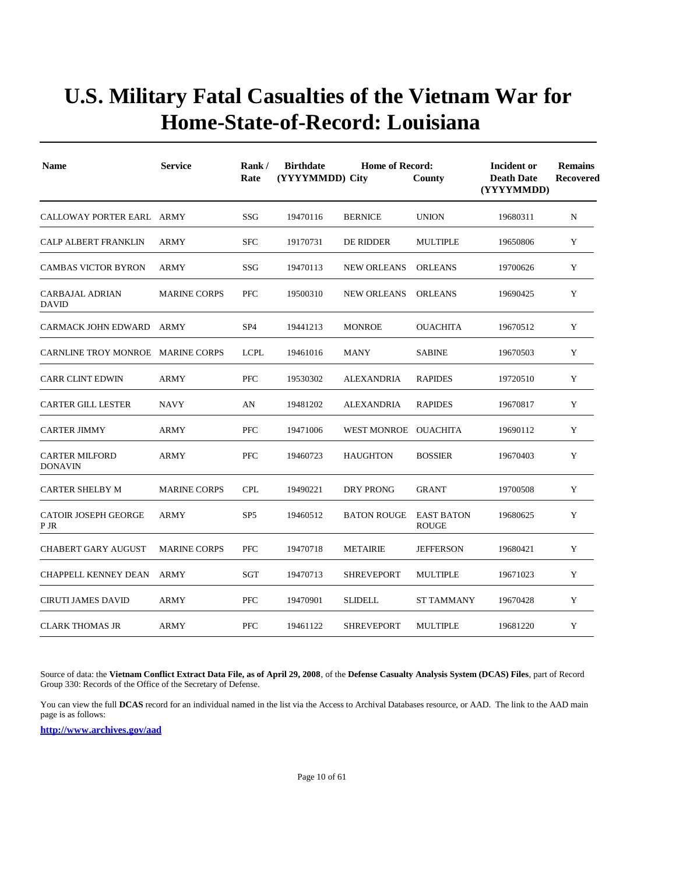| <b>Name</b>                             | <b>Service</b>      | Rank/<br>Rate   | <b>Birthdate</b><br>(YYYYMMDD) City | <b>Home of Record:</b><br>County | Incident or<br><b>Death Date</b><br>(YYYYMMDD) | <b>Remains</b><br><b>Recovered</b> |   |
|-----------------------------------------|---------------------|-----------------|-------------------------------------|----------------------------------|------------------------------------------------|------------------------------------|---|
| CALLOWAY PORTER EARL ARMY               |                     | SSG             | 19470116                            | <b>BERNICE</b>                   | <b>UNION</b>                                   | 19680311                           | N |
| <b>CALP ALBERT FRANKLIN</b>             | <b>ARMY</b>         | <b>SFC</b>      | 19170731                            | DE RIDDER                        | <b>MULTIPLE</b>                                | 19650806                           | Y |
| <b>CAMBAS VICTOR BYRON</b>              | <b>ARMY</b>         | SSG             | 19470113                            | <b>NEW ORLEANS</b>               | <b>ORLEANS</b>                                 | 19700626                           | Y |
| <b>CARBAJAL ADRIAN</b><br><b>DAVID</b>  | <b>MARINE CORPS</b> | <b>PFC</b>      | 19500310                            | <b>NEW ORLEANS</b>               | <b>ORLEANS</b>                                 | 19690425                           | Y |
| CARMACK JOHN EDWARD                     | ARMY                | SP <sub>4</sub> | 19441213                            | <b>MONROE</b>                    | <b>OUACHITA</b>                                | 19670512                           | Y |
| CARNLINE TROY MONROE MARINE CORPS       |                     | <b>LCPL</b>     | 19461016                            | <b>MANY</b>                      | <b>SABINE</b>                                  | 19670503                           | Y |
| <b>CARR CLINT EDWIN</b>                 | <b>ARMY</b>         | <b>PFC</b>      | 19530302                            | ALEXANDRIA                       | <b>RAPIDES</b>                                 | 19720510                           | Y |
| <b>CARTER GILL LESTER</b>               | <b>NAVY</b>         | AN              | 19481202                            | <b>ALEXANDRIA</b>                | <b>RAPIDES</b>                                 | 19670817                           | Y |
| <b>CARTER JIMMY</b>                     | <b>ARMY</b>         | <b>PFC</b>      | 19471006                            | WEST MONROE OUACHITA             |                                                | 19690112                           | Y |
| <b>CARTER MILFORD</b><br><b>DONAVIN</b> | <b>ARMY</b>         | PFC             | 19460723                            | <b>HAUGHTON</b>                  | <b>BOSSIER</b>                                 | 19670403                           | Y |
| <b>CARTER SHELBY M</b>                  | <b>MARINE CORPS</b> | <b>CPL</b>      | 19490221                            | <b>DRY PRONG</b>                 | <b>GRANT</b>                                   | 19700508                           | Y |
| <b>CATOIR JOSEPH GEORGE</b><br>P JR     | <b>ARMY</b>         | SP <sub>5</sub> | 19460512                            | <b>BATON ROUGE</b>               | <b>EAST BATON</b><br><b>ROUGE</b>              | 19680625                           | Y |
| CHABERT GARY AUGUST                     | <b>MARINE CORPS</b> | <b>PFC</b>      | 19470718                            | <b>METAIRIE</b>                  | <b>JEFFERSON</b>                               | 19680421                           | Y |
| CHAPPELL KENNEY DEAN                    | ARMY                | SGT             | 19470713                            | SHREVEPORT                       | MULTIPLE                                       | 19671023                           | Y |
| <b>CIRUTI JAMES DAVID</b>               | <b>ARMY</b>         | PFC             | 19470901                            | <b>SLIDELL</b>                   | <b>ST TAMMANY</b>                              | 19670428                           | Y |
| <b>CLARK THOMAS JR</b>                  | <b>ARMY</b>         | <b>PFC</b>      | 19461122                            | <b>SHREVEPORT</b>                | <b>MULTIPLE</b>                                | 19681220                           | Y |

Source of data: the **Vietnam Conflict Extract Data File, as of April 29, 2008**, of the **Defense Casualty Analysis System (DCAS) Files**, part of Record Group 330: Records of the Office of the Secretary of Defense.

You can view the full **DCAS** record for an individual named in the list via the Access to Archival Databases resource, or AAD. The link to the AAD main page is as follows: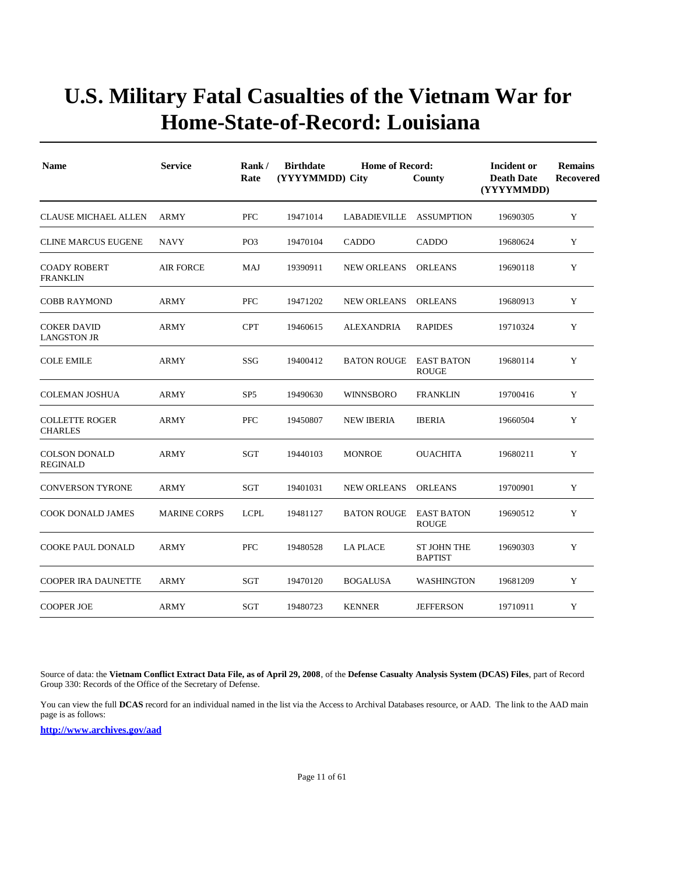| <b>Name</b>                              | <b>Service</b>      | Rank/<br>Rate   | <b>Birthdate</b><br>(YYYYMMDD) City | Incident or<br><b>Death Date</b><br>(YYYYMMDD) | <b>Remains</b><br>Recovered          |          |   |
|------------------------------------------|---------------------|-----------------|-------------------------------------|------------------------------------------------|--------------------------------------|----------|---|
| <b>CLAUSE MICHAEL ALLEN</b>              | <b>ARMY</b>         | PFC             | 19471014                            | LABADIEVILLE ASSUMPTION                        |                                      | 19690305 | Y |
| <b>CLINE MARCUS EUGENE</b>               | <b>NAVY</b>         | PO <sub>3</sub> | 19470104                            | <b>CADDO</b>                                   | <b>CADDO</b>                         | 19680624 | Y |
| <b>COADY ROBERT</b><br><b>FRANKLIN</b>   | <b>AIR FORCE</b>    | <b>MAJ</b>      | 19390911                            | <b>NEW ORLEANS</b>                             | <b>ORLEANS</b>                       | 19690118 | Y |
| <b>COBB RAYMOND</b>                      | <b>ARMY</b>         | PFC             | 19471202                            | <b>NEW ORLEANS</b>                             | <b>ORLEANS</b>                       | 19680913 | Y |
| <b>COKER DAVID</b><br><b>LANGSTON JR</b> | <b>ARMY</b>         | <b>CPT</b>      | 19460615                            | <b>ALEXANDRIA</b>                              | <b>RAPIDES</b>                       | 19710324 | Y |
| <b>COLE EMILE</b>                        | <b>ARMY</b>         | SSG             | 19400412                            | <b>BATON ROUGE</b>                             | <b>EAST BATON</b><br><b>ROUGE</b>    | 19680114 | Y |
| <b>COLEMAN JOSHUA</b>                    | <b>ARMY</b>         | SP <sub>5</sub> | 19490630                            | <b>WINNSBORO</b>                               | <b>FRANKLIN</b>                      | 19700416 | Y |
| <b>COLLETTE ROGER</b><br><b>CHARLES</b>  | <b>ARMY</b>         | <b>PFC</b>      | 19450807                            | <b>NEW IBERIA</b>                              | <b>IBERIA</b>                        | 19660504 | Y |
| <b>COLSON DONALD</b><br><b>REGINALD</b>  | <b>ARMY</b>         | SGT             | 19440103                            | <b>MONROE</b>                                  | <b>OUACHITA</b>                      | 19680211 | Y |
| <b>CONVERSON TYRONE</b>                  | <b>ARMY</b>         | SGT             | 19401031                            | <b>NEW ORLEANS</b>                             | <b>ORLEANS</b>                       | 19700901 | Y |
| <b>COOK DONALD JAMES</b>                 | <b>MARINE CORPS</b> | <b>LCPL</b>     | 19481127                            | <b>BATON ROUGE</b>                             | <b>EAST BATON</b><br><b>ROUGE</b>    | 19690512 | Y |
| <b>COOKE PAUL DONALD</b>                 | <b>ARMY</b>         | <b>PFC</b>      | 19480528                            | <b>LA PLACE</b>                                | <b>ST JOHN THE</b><br><b>BAPTIST</b> | 19690303 | Y |
| <b>COOPER IRA DAUNETTE</b>               | <b>ARMY</b>         | SGT             | 19470120                            | <b>BOGALUSA</b>                                | <b>WASHINGTON</b>                    | 19681209 | Y |
| <b>COOPER JOE</b>                        | <b>ARMY</b>         | SGT             | 19480723                            | <b>KENNER</b>                                  | <b>JEFFERSON</b>                     | 19710911 | Y |

Source of data: the **Vietnam Conflict Extract Data File, as of April 29, 2008**, of the **Defense Casualty Analysis System (DCAS) Files**, part of Record Group 330: Records of the Office of the Secretary of Defense.

You can view the full **DCAS** record for an individual named in the list via the Access to Archival Databases resource, or AAD. The link to the AAD main page is as follows: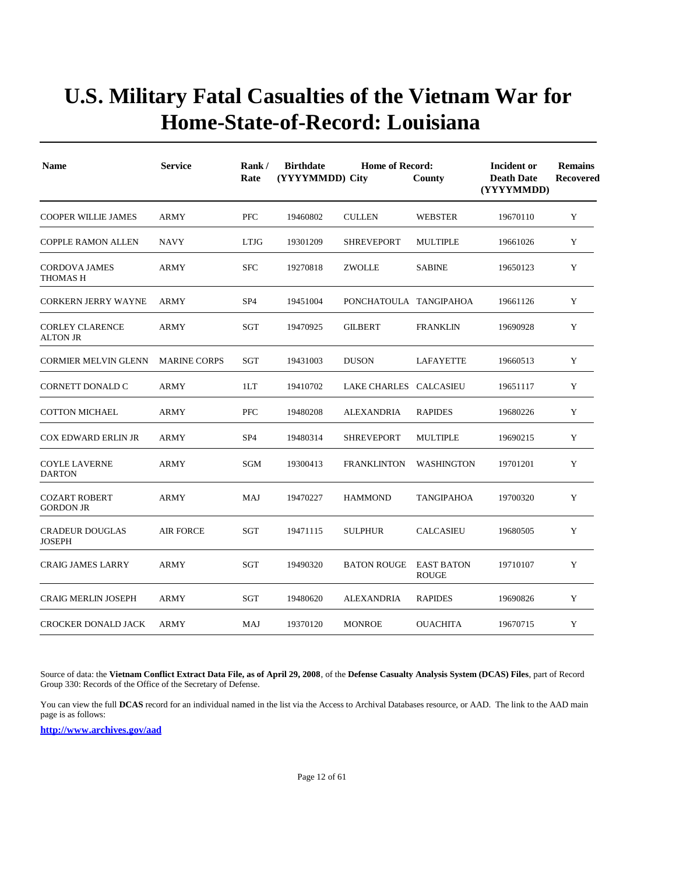| <b>Name</b>                               | <b>Service</b>      | Rank/<br>Rate   | <b>Birthdate</b><br>(YYYYMMDD) City | Incident or<br><b>Death Date</b><br>(YYYYMMDD) | <b>Remains</b><br>Recovered       |          |   |
|-------------------------------------------|---------------------|-----------------|-------------------------------------|------------------------------------------------|-----------------------------------|----------|---|
| <b>COOPER WILLIE JAMES</b>                | <b>ARMY</b>         | PFC             | 19460802                            | <b>CULLEN</b>                                  | <b>WEBSTER</b>                    | 19670110 | Y |
| <b>COPPLE RAMON ALLEN</b>                 | <b>NAVY</b>         | <b>LTJG</b>     | 19301209                            | <b>SHREVEPORT</b>                              | <b>MULTIPLE</b>                   | 19661026 | Y |
| <b>CORDOVA JAMES</b><br><b>THOMAS H</b>   | <b>ARMY</b>         | <b>SFC</b>      | 19270818                            | <b>ZWOLLE</b>                                  | <b>SABINE</b>                     | 19650123 | Y |
| <b>CORKERN JERRY WAYNE</b>                | ARMY                | SP <sub>4</sub> | 19451004                            | PONCHATOULA TANGIPAHOA                         |                                   | 19661126 | Y |
| <b>CORLEY CLARENCE</b><br><b>ALTON JR</b> | ARMY                | SGT             | 19470925                            | <b>GILBERT</b>                                 | <b>FRANKLIN</b>                   | 19690928 | Y |
| <b>CORMIER MELVIN GLENN</b>               | <b>MARINE CORPS</b> | SGT             | 19431003                            | <b>DUSON</b>                                   | LAFAYETTE                         | 19660513 | Y |
| CORNETT DONALD C                          | <b>ARMY</b>         | 1LT             | 19410702                            | LAKE CHARLES CALCASIEU                         |                                   | 19651117 | Y |
| <b>COTTON MICHAEL</b>                     | <b>ARMY</b>         | <b>PFC</b>      | 19480208                            | <b>ALEXANDRIA</b>                              | <b>RAPIDES</b>                    | 19680226 | Y |
| <b>COX EDWARD ERLIN JR</b>                | <b>ARMY</b>         | SP <sub>4</sub> | 19480314                            | <b>SHREVEPORT</b>                              | <b>MULTIPLE</b>                   | 19690215 | Y |
| <b>COYLE LAVERNE</b><br><b>DARTON</b>     | ARMY                | SGM             | 19300413                            | <b>FRANKLINTON</b>                             | WASHINGTON                        | 19701201 | Y |
| <b>COZART ROBERT</b><br><b>GORDON JR</b>  | <b>ARMY</b>         | MAJ             | 19470227                            | <b>HAMMOND</b>                                 | TANGIPAHOA                        | 19700320 | Y |
| <b>CRADEUR DOUGLAS</b><br><b>JOSEPH</b>   | <b>AIR FORCE</b>    | SGT             | 19471115                            | <b>SULPHUR</b>                                 | <b>CALCASIEU</b>                  | 19680505 | Y |
| <b>CRAIG JAMES LARRY</b>                  | <b>ARMY</b>         | SGT             | 19490320                            | <b>BATON ROUGE</b>                             | <b>EAST BATON</b><br><b>ROUGE</b> | 19710107 | Y |
| <b>CRAIG MERLIN JOSEPH</b>                | <b>ARMY</b>         | SGT             | 19480620                            | ALEXANDRIA                                     | <b>RAPIDES</b>                    | 19690826 | Y |
| <b>CROCKER DONALD JACK</b>                | <b>ARMY</b>         | MAJ             | 19370120                            | <b>MONROE</b>                                  | <b>OUACHITA</b>                   | 19670715 | Y |

Source of data: the **Vietnam Conflict Extract Data File, as of April 29, 2008**, of the **Defense Casualty Analysis System (DCAS) Files**, part of Record Group 330: Records of the Office of the Secretary of Defense.

You can view the full **DCAS** record for an individual named in the list via the Access to Archival Databases resource, or AAD. The link to the AAD main page is as follows: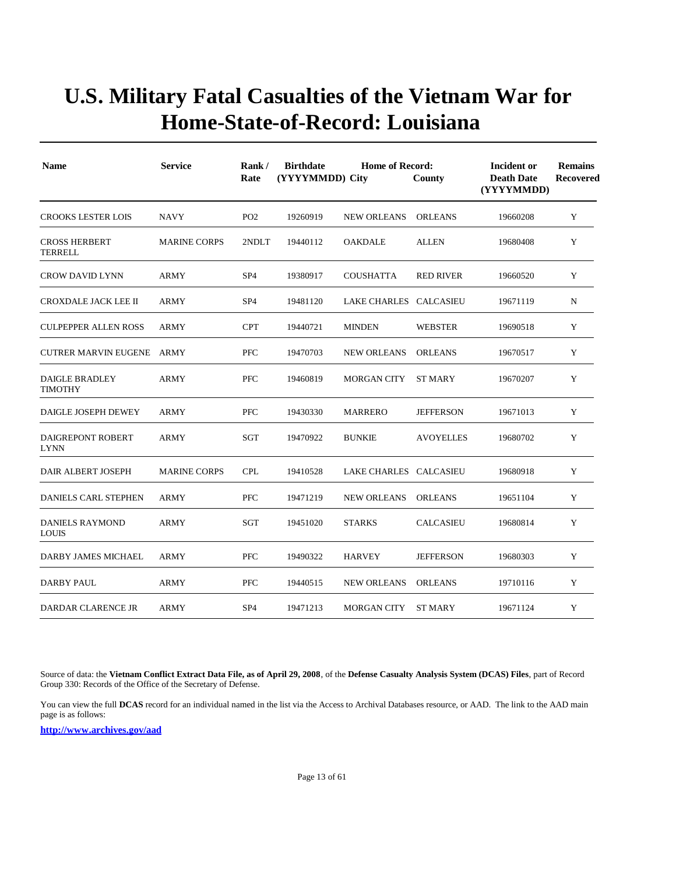| <b>Name</b>                             | <b>Service</b>      | Rank/<br>Rate   | <b>Birthdate</b><br>(YYYYMMDD) City | Incident or<br><b>Death Date</b><br>(YYYYMMDD) | <b>Remains</b><br>Recovered |          |   |
|-----------------------------------------|---------------------|-----------------|-------------------------------------|------------------------------------------------|-----------------------------|----------|---|
| <b>CROOKS LESTER LOIS</b>               | <b>NAVY</b>         | PO <sub>2</sub> | 19260919                            | NEW ORLEANS                                    | <b>ORLEANS</b>              | 19660208 | Y |
| <b>CROSS HERBERT</b><br><b>TERRELL</b>  | <b>MARINE CORPS</b> | 2NDLT           | 19440112                            | <b>OAKDALE</b>                                 | <b>ALLEN</b>                | 19680408 | Y |
| <b>CROW DAVID LYNN</b>                  | <b>ARMY</b>         | SP <sub>4</sub> | 19380917                            | <b>COUSHATTA</b>                               | <b>RED RIVER</b>            | 19660520 | Y |
| CROXDALE JACK LEE II                    | <b>ARMY</b>         | SP <sub>4</sub> | 19481120                            | LAKE CHARLES CALCASIEU                         |                             | 19671119 | N |
| <b>CULPEPPER ALLEN ROSS</b>             | <b>ARMY</b>         | <b>CPT</b>      | 19440721                            | <b>MINDEN</b>                                  | <b>WEBSTER</b>              | 19690518 | Y |
| <b>CUTRER MARVIN EUGENE</b>             | ARMY                | <b>PFC</b>      | 19470703                            | <b>NEW ORLEANS</b>                             | <b>ORLEANS</b>              | 19670517 | Y |
| DAIGLE BRADLEY<br>TIMOTHY               | <b>ARMY</b>         | PFC             | 19460819                            | <b>MORGAN CITY</b>                             | <b>ST MARY</b>              | 19670207 | Y |
| DAIGLE JOSEPH DEWEY                     | <b>ARMY</b>         | <b>PFC</b>      | 19430330                            | <b>MARRERO</b>                                 | <b>JEFFERSON</b>            | 19671013 | Y |
| <b>DAIGREPONT ROBERT</b><br><b>LYNN</b> | <b>ARMY</b>         | SGT             | 19470922                            | <b>BUNKIE</b>                                  | <b>AVOYELLES</b>            | 19680702 | Y |
| DAIR ALBERT JOSEPH                      | <b>MARINE CORPS</b> | <b>CPL</b>      | 19410528                            | LAKE CHARLES CALCASIEU                         |                             | 19680918 | Y |
| <b>DANIELS CARL STEPHEN</b>             | <b>ARMY</b>         | <b>PFC</b>      | 19471219                            | <b>NEW ORLEANS</b>                             | <b>ORLEANS</b>              | 19651104 | Y |
| <b>DANIELS RAYMOND</b><br><b>LOUIS</b>  | <b>ARMY</b>         | <b>SGT</b>      | 19451020                            | <b>STARKS</b>                                  | <b>CALCASIEU</b>            | 19680814 | Y |
| DARBY JAMES MICHAEL                     | <b>ARMY</b>         | <b>PFC</b>      | 19490322                            | <b>HARVEY</b>                                  | <b>JEFFERSON</b>            | 19680303 | Y |
| DARBY PAUL                              | ARMY                | <b>PFC</b>      | 19440515                            | <b>NEW ORLEANS</b>                             | <b>ORLEANS</b>              | 19710116 | Y |
| DARDAR CLARENCE JR                      | <b>ARMY</b>         | SP <sub>4</sub> | 19471213                            | <b>MORGAN CITY</b>                             | <b>ST MARY</b>              | 19671124 | Y |

Source of data: the **Vietnam Conflict Extract Data File, as of April 29, 2008**, of the **Defense Casualty Analysis System (DCAS) Files**, part of Record Group 330: Records of the Office of the Secretary of Defense.

You can view the full **DCAS** record for an individual named in the list via the Access to Archival Databases resource, or AAD. The link to the AAD main page is as follows: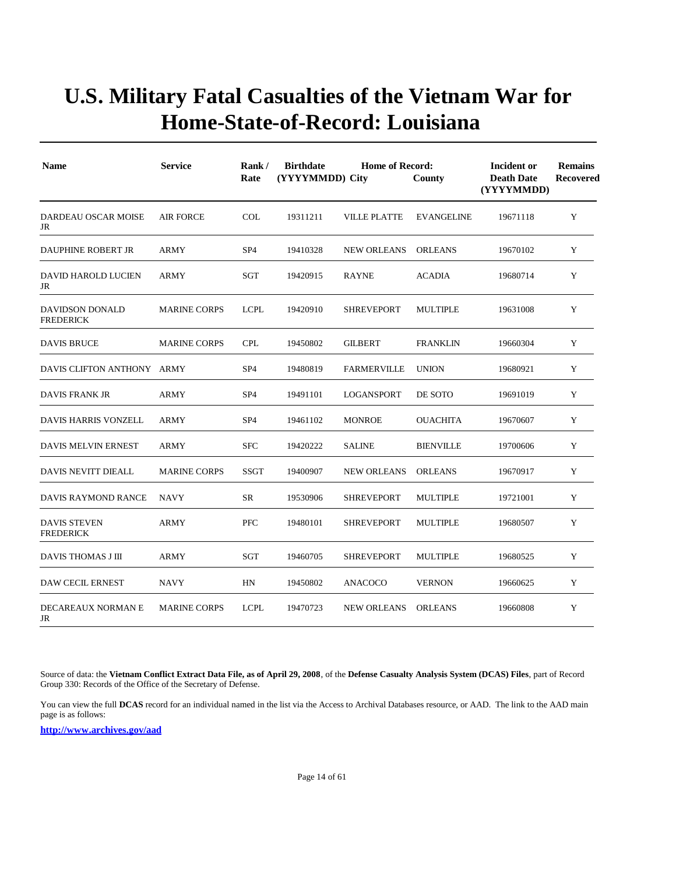| <b>Name</b>                             | <b>Service</b>      | Rank/<br>Rate   | <b>Birthdate</b><br>(YYYYMMDD) City | <b>Home of Record:</b> | County            | Incident or<br><b>Death Date</b><br>(YYYYMMDD) | <b>Remains</b><br><b>Recovered</b> |
|-----------------------------------------|---------------------|-----------------|-------------------------------------|------------------------|-------------------|------------------------------------------------|------------------------------------|
| DARDEAU OSCAR MOISE<br>JR               | <b>AIR FORCE</b>    | <b>COL</b>      | 19311211                            | <b>VILLE PLATTE</b>    | <b>EVANGELINE</b> | 19671118                                       | Y                                  |
| <b>DAUPHINE ROBERT JR</b>               | ARMY                | SP <sub>4</sub> | 19410328                            | <b>NEW ORLEANS</b>     | <b>ORLEANS</b>    | 19670102                                       | Y                                  |
| DAVID HAROLD LUCIEN<br>JR               | <b>ARMY</b>         | SGT             | 19420915                            | <b>RAYNE</b>           | <b>ACADIA</b>     | 19680714                                       | Y                                  |
| DAVIDSON DONALD<br><b>FREDERICK</b>     | <b>MARINE CORPS</b> | <b>LCPL</b>     | 19420910                            | <b>SHREVEPORT</b>      | <b>MULTIPLE</b>   | 19631008                                       | Y                                  |
| <b>DAVIS BRUCE</b>                      | <b>MARINE CORPS</b> | <b>CPL</b>      | 19450802                            | <b>GILBERT</b>         | <b>FRANKLIN</b>   | 19660304                                       | Y                                  |
| DAVIS CLIFTON ANTHONY ARMY              |                     | SP <sub>4</sub> | 19480819                            | <b>FARMERVILLE</b>     | <b>UNION</b>      | 19680921                                       | Y                                  |
| <b>DAVIS FRANK JR</b>                   | <b>ARMY</b>         | SP <sub>4</sub> | 19491101                            | LOGANSPORT             | DE SOTO           | 19691019                                       | Y                                  |
| DAVIS HARRIS VONZELL                    | <b>ARMY</b>         | SP <sub>4</sub> | 19461102                            | <b>MONROE</b>          | <b>OUACHITA</b>   | 19670607                                       | Y                                  |
| DAVIS MELVIN ERNEST                     | ARMY                | <b>SFC</b>      | 19420222                            | <b>SALINE</b>          | <b>BIENVILLE</b>  | 19700606                                       | Y                                  |
| <b>DAVIS NEVITT DIEALL</b>              | <b>MARINE CORPS</b> | <b>SSGT</b>     | 19400907                            | <b>NEW ORLEANS</b>     | <b>ORLEANS</b>    | 19670917                                       | Y                                  |
| DAVIS RAYMOND RANCE                     | <b>NAVY</b>         | SR              | 19530906                            | <b>SHREVEPORT</b>      | <b>MULTIPLE</b>   | 19721001                                       | Y                                  |
| <b>DAVIS STEVEN</b><br><b>FREDERICK</b> | <b>ARMY</b>         | <b>PFC</b>      | 19480101                            | <b>SHREVEPORT</b>      | <b>MULTIPLE</b>   | 19680507                                       | Y                                  |
| DAVIS THOMAS J III                      | ARMY                | <b>SGT</b>      | 19460705                            | <b>SHREVEPORT</b>      | <b>MULTIPLE</b>   | 19680525                                       | $\mathbf Y$                        |
| <b>DAW CECIL ERNEST</b>                 | NAVY                | HN              | 19450802                            | ANACOCO                | <b>VERNON</b>     | 19660625                                       | Y                                  |
| DECAREAUX NORMAN E<br>JR                | <b>MARINE CORPS</b> | <b>LCPL</b>     | 19470723                            | <b>NEW ORLEANS</b>     | <b>ORLEANS</b>    | 19660808                                       | Y                                  |

Source of data: the **Vietnam Conflict Extract Data File, as of April 29, 2008**, of the **Defense Casualty Analysis System (DCAS) Files**, part of Record Group 330: Records of the Office of the Secretary of Defense.

You can view the full **DCAS** record for an individual named in the list via the Access to Archival Databases resource, or AAD. The link to the AAD main page is as follows: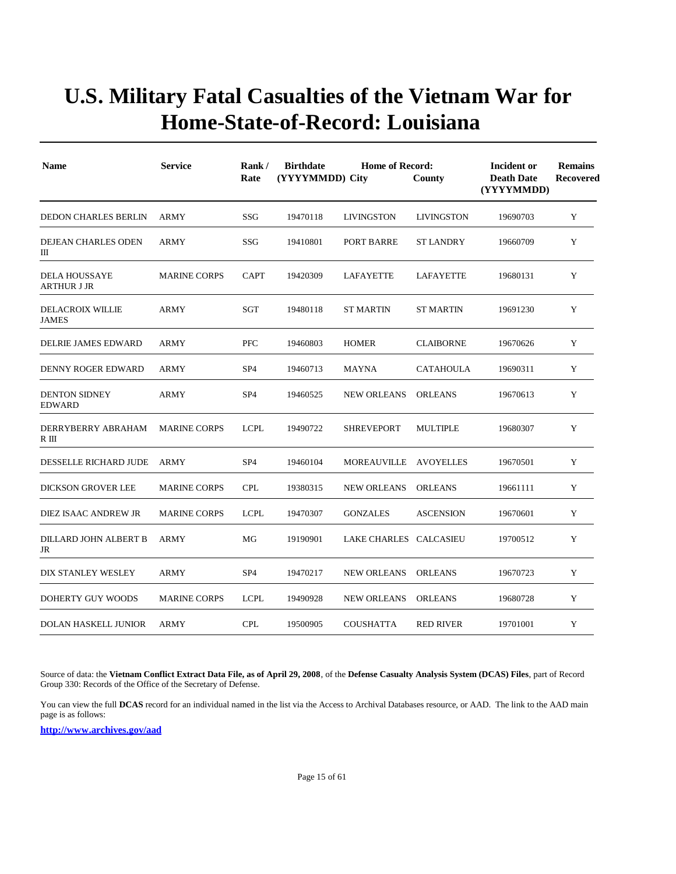| <b>Name</b>                                | <b>Service</b>      | Rank/<br>Rate   | <b>Birthdate</b><br>(YYYYMMDD) City | Incident or<br><b>Death Date</b><br>(YYYYMMDD) | <b>Remains</b><br>Recovered |          |   |
|--------------------------------------------|---------------------|-----------------|-------------------------------------|------------------------------------------------|-----------------------------|----------|---|
| <b>DEDON CHARLES BERLIN</b>                | ARMY                | SSG             | 19470118                            | <b>LIVINGSTON</b>                              | <b>LIVINGSTON</b>           | 19690703 | Y |
| DEJEAN CHARLES ODEN<br>Ш                   | <b>ARMY</b>         | SSG             | 19410801                            | PORT BARRE                                     | <b>ST LANDRY</b>            | 19660709 | Y |
| <b>DELA HOUSSAYE</b><br><b>ARTHUR J JR</b> | <b>MARINE CORPS</b> | <b>CAPT</b>     | 19420309                            | LAFAYETTE                                      | LAFAYETTE                   | 19680131 | Y |
| <b>DELACROIX WILLIE</b><br><b>JAMES</b>    | ARMY                | SGT             | 19480118                            | <b>ST MARTIN</b>                               | <b>ST MARTIN</b>            | 19691230 | Y |
| DELRIE JAMES EDWARD                        | <b>ARMY</b>         | <b>PFC</b>      | 19460803                            | <b>HOMER</b>                                   | <b>CLAIBORNE</b>            | 19670626 | Y |
| <b>DENNY ROGER EDWARD</b>                  | ARMY                | SP <sub>4</sub> | 19460713                            | MAYNA                                          | CATAHOULA                   | 19690311 | Y |
| <b>DENTON SIDNEY</b><br><b>EDWARD</b>      | <b>ARMY</b>         | SP <sub>4</sub> | 19460525                            | <b>NEW ORLEANS</b>                             | <b>ORLEANS</b>              | 19670613 | Y |
| DERRYBERRY ABRAHAM<br>R III                | <b>MARINE CORPS</b> | <b>LCPL</b>     | 19490722                            | <b>SHREVEPORT</b>                              | <b>MULTIPLE</b>             | 19680307 | Y |
| DESSELLE RICHARD JUDE                      | ARMY                | SP <sub>4</sub> | 19460104                            | MOREAUVILLE                                    | AVOYELLES                   | 19670501 | Y |
| DICKSON GROVER LEE                         | <b>MARINE CORPS</b> | <b>CPL</b>      | 19380315                            | <b>NEW ORLEANS</b>                             | <b>ORLEANS</b>              | 19661111 | Y |
| DIEZ ISAAC ANDREW JR                       | <b>MARINE CORPS</b> | <b>LCPL</b>     | 19470307                            | <b>GONZALES</b>                                | <b>ASCENSION</b>            | 19670601 | Y |
| DILLARD JOHN ALBERT B<br>JR                | <b>ARMY</b>         | MG              | 19190901                            | LAKE CHARLES CALCASIEU                         |                             | 19700512 | Y |
| DIX STANLEY WESLEY                         | <b>ARMY</b>         | SP <sub>4</sub> | 19470217                            | <b>NEW ORLEANS</b>                             | <b>ORLEANS</b>              | 19670723 | Y |
| DOHERTY GUY WOODS                          | <b>MARINE CORPS</b> | <b>LCPL</b>     | 19490928                            | <b>NEW ORLEANS</b>                             | <b>ORLEANS</b>              | 19680728 | Y |
| <b>DOLAN HASKELL JUNIOR</b>                | <b>ARMY</b>         | <b>CPL</b>      | 19500905                            | <b>COUSHATTA</b>                               | <b>RED RIVER</b>            | 19701001 | Y |

Source of data: the **Vietnam Conflict Extract Data File, as of April 29, 2008**, of the **Defense Casualty Analysis System (DCAS) Files**, part of Record Group 330: Records of the Office of the Secretary of Defense.

You can view the full **DCAS** record for an individual named in the list via the Access to Archival Databases resource, or AAD. The link to the AAD main page is as follows: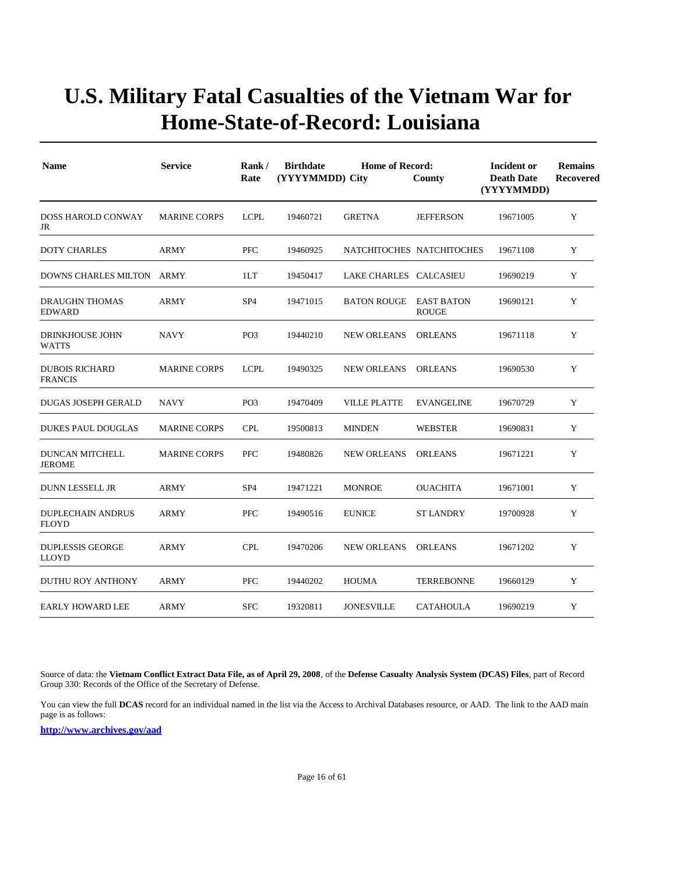| <b>Name</b>                              | <b>Service</b>      | Rate            | <b>Birthdate</b><br><b>Home of Record:</b><br>Rank/<br>(YYYYMMDD) City<br>County<br>(YYYYMMDD) |                               |                   |          | <b>Remains</b><br><b>Recovered</b> |
|------------------------------------------|---------------------|-----------------|------------------------------------------------------------------------------------------------|-------------------------------|-------------------|----------|------------------------------------|
| <b>DOSS HAROLD CONWAY</b><br>JR          | <b>MARINE CORPS</b> | <b>LCPL</b>     | 19460721                                                                                       | <b>GRETNA</b>                 | <b>JEFFERSON</b>  | 19671005 | Y                                  |
| <b>DOTY CHARLES</b>                      | ARMY                | <b>PFC</b>      | 19460925                                                                                       | NATCHITOCHES NATCHITOCHES     |                   | 19671108 | Y                                  |
| DOWNS CHARLES MILTON ARMY                |                     | 1LT             | 19450417                                                                                       | LAKE CHARLES CALCASIEU        |                   | 19690219 | Y                                  |
| <b>DRAUGHN THOMAS</b><br><b>EDWARD</b>   | <b>ARMY</b>         | SP <sub>4</sub> | 19471015                                                                                       | <b>BATON ROUGE EAST BATON</b> | <b>ROUGE</b>      | 19690121 | Y                                  |
| <b>DRINKHOUSE JOHN</b><br>WATTS          | <b>NAVY</b>         | PO <sub>3</sub> | 19440210                                                                                       | <b>NEW ORLEANS</b>            | <b>ORLEANS</b>    | 19671118 | Y                                  |
| <b>DUBOIS RICHARD</b><br><b>FRANCIS</b>  | <b>MARINE CORPS</b> | <b>LCPL</b>     | 19490325                                                                                       | <b>NEW ORLEANS</b>            | <b>ORLEANS</b>    | 19690530 | Y                                  |
| <b>DUGAS JOSEPH GERALD</b>               | <b>NAVY</b>         | PO <sub>3</sub> | 19470409                                                                                       | <b>VILLE PLATTE</b>           | <b>EVANGELINE</b> | 19670729 | Y                                  |
| <b>DUKES PAUL DOUGLAS</b>                | <b>MARINE CORPS</b> | <b>CPL</b>      | 19500813                                                                                       | <b>MINDEN</b>                 | <b>WEBSTER</b>    | 19690831 | Y                                  |
| DUNCAN MITCHELL<br><b>JEROME</b>         | <b>MARINE CORPS</b> | <b>PFC</b>      | 19480826                                                                                       | <b>NEW ORLEANS</b>            | <b>ORLEANS</b>    | 19671221 | Y                                  |
| <b>DUNN LESSELL JR</b>                   | <b>ARMY</b>         | SP <sub>4</sub> | 19471221                                                                                       | <b>MONROE</b>                 | <b>OUACHITA</b>   | 19671001 | Y                                  |
| <b>DUPLECHAIN ANDRUS</b><br><b>FLOYD</b> | <b>ARMY</b>         | <b>PFC</b>      | 19490516                                                                                       | <b>EUNICE</b>                 | <b>ST LANDRY</b>  | 19700928 | Y                                  |
| <b>DUPLESSIS GEORGE</b><br><b>LLOYD</b>  | ARMY                | <b>CPL</b>      | 19470206                                                                                       | <b>NEW ORLEANS</b>            | <b>ORLEANS</b>    | 19671202 | Y                                  |
| DUTHU ROY ANTHONY                        | <b>ARMY</b>         | <b>PFC</b>      | 19440202                                                                                       | <b>HOUMA</b>                  | <b>TERREBONNE</b> | 19660129 | Y                                  |
| <b>EARLY HOWARD LEE</b>                  | <b>ARMY</b>         | <b>SFC</b>      | 19320811                                                                                       | <b>JONESVILLE</b>             | <b>CATAHOULA</b>  | 19690219 | Y                                  |

Source of data: the **Vietnam Conflict Extract Data File, as of April 29, 2008**, of the **Defense Casualty Analysis System (DCAS) Files**, part of Record Group 330: Records of the Office of the Secretary of Defense.

You can view the full **DCAS** record for an individual named in the list via the Access to Archival Databases resource, or AAD. The link to the AAD main page is as follows: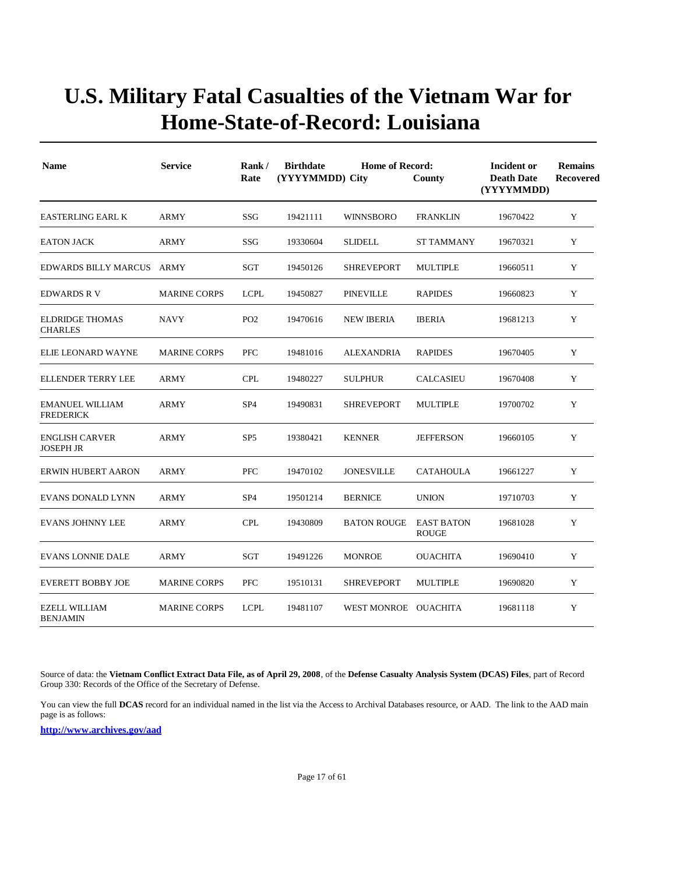| <b>Name</b>                                | <b>Service</b>      | Rank/<br>Rate   | <b>Birthdate</b><br>(YYYYMMDD) City | Incident or<br><b>Death Date</b><br>(YYYYMMDD) | <b>Remains</b><br><b>Recovered</b> |          |             |
|--------------------------------------------|---------------------|-----------------|-------------------------------------|------------------------------------------------|------------------------------------|----------|-------------|
| <b>EASTERLING EARL K</b>                   | <b>ARMY</b>         | SSG             | 19421111                            | <b>WINNSBORO</b>                               | <b>FRANKLIN</b>                    | 19670422 | Y           |
| <b>EATON JACK</b>                          | <b>ARMY</b>         | SSG             | 19330604                            | <b>SLIDELL</b>                                 | <b>ST TAMMANY</b>                  | 19670321 | Y           |
| <b>EDWARDS BILLY MARCUS</b>                | ARMY                | SGT             | 19450126                            | <b>SHREVEPORT</b>                              | <b>MULTIPLE</b>                    | 19660511 | Y           |
| <b>EDWARDS R V</b>                         | <b>MARINE CORPS</b> | <b>LCPL</b>     | 19450827                            | <b>PINEVILLE</b>                               | <b>RAPIDES</b>                     | 19660823 | Y           |
| <b>ELDRIDGE THOMAS</b><br><b>CHARLES</b>   | <b>NAVY</b>         | PO <sub>2</sub> | 19470616                            | <b>NEW IBERIA</b>                              | <b>IBERIA</b>                      | 19681213 | Y           |
| ELIE LEONARD WAYNE                         | <b>MARINE CORPS</b> | <b>PFC</b>      | 19481016                            | <b>ALEXANDRIA</b>                              | <b>RAPIDES</b>                     | 19670405 | Y           |
| <b>ELLENDER TERRY LEE</b>                  | ARMY                | <b>CPL</b>      | 19480227                            | <b>SULPHUR</b>                                 | <b>CALCASIEU</b>                   | 19670408 | Y           |
| <b>EMANUEL WILLIAM</b><br><b>FREDERICK</b> | <b>ARMY</b>         | SP <sub>4</sub> | 19490831                            | <b>SHREVEPORT</b>                              | <b>MULTIPLE</b>                    | 19700702 | Y           |
| <b>ENGLISH CARVER</b><br><b>JOSEPH JR</b>  | <b>ARMY</b>         | SP <sub>5</sub> | 19380421                            | <b>KENNER</b>                                  | <b>JEFFERSON</b>                   | 19660105 | Y           |
| <b>ERWIN HUBERT AARON</b>                  | <b>ARMY</b>         | <b>PFC</b>      | 19470102                            | <b>JONESVILLE</b>                              | <b>CATAHOULA</b>                   | 19661227 | Y           |
| <b>EVANS DONALD LYNN</b>                   | <b>ARMY</b>         | SP <sub>4</sub> | 19501214                            | <b>BERNICE</b>                                 | <b>UNION</b>                       | 19710703 | Y           |
| <b>EVANS JOHNNY LEE</b>                    | <b>ARMY</b>         | <b>CPL</b>      | 19430809                            | <b>BATON ROUGE</b>                             | <b>EAST BATON</b><br><b>ROUGE</b>  | 19681028 | Y           |
| <b>EVANS LONNIE DALE</b>                   | <b>ARMY</b>         | <b>SGT</b>      | 19491226                            | <b>MONROE</b>                                  | <b>OUACHITA</b>                    | 19690410 | $\mathbf Y$ |
| <b>EVERETT BOBBY JOE</b>                   | <b>MARINE CORPS</b> | <b>PFC</b>      | 19510131                            | <b>SHREVEPORT</b>                              | <b>MULTIPLE</b>                    | 19690820 | Y           |
| <b>EZELL WILLIAM</b><br><b>BENJAMIN</b>    | <b>MARINE CORPS</b> | <b>LCPL</b>     | 19481107                            | WEST MONROE OUACHITA                           |                                    | 19681118 | Y           |

Source of data: the **Vietnam Conflict Extract Data File, as of April 29, 2008**, of the **Defense Casualty Analysis System (DCAS) Files**, part of Record Group 330: Records of the Office of the Secretary of Defense.

You can view the full **DCAS** record for an individual named in the list via the Access to Archival Databases resource, or AAD. The link to the AAD main page is as follows: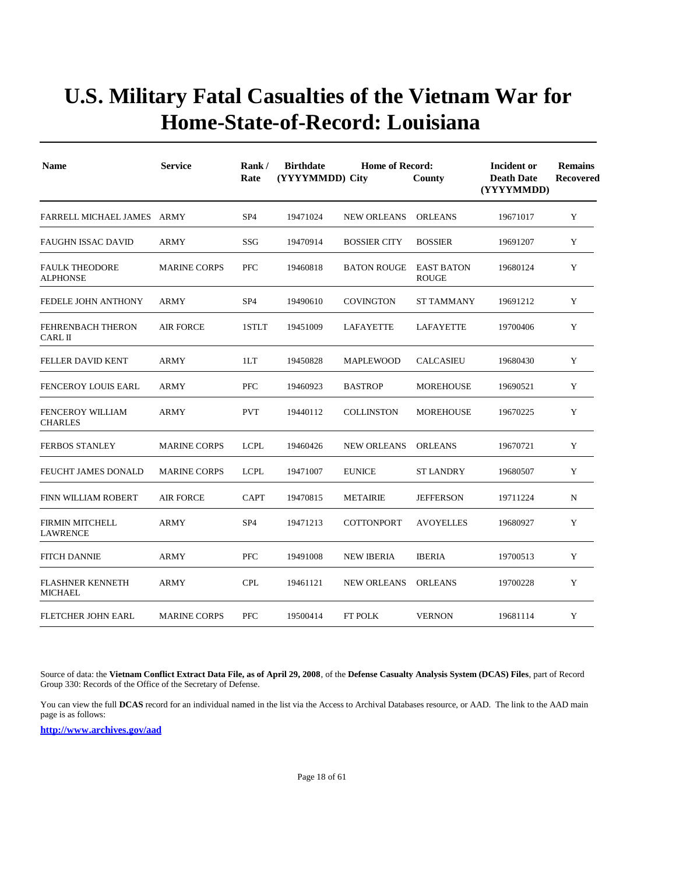| <b>Name</b>                                | <b>Service</b>      | Rank/<br>Rate   | <b>Birthdate</b><br>(YYYYMMDD) City | Incident or<br><b>Death Date</b><br>(YYYYMMDD) | <b>Remains</b><br><b>Recovered</b> |          |             |
|--------------------------------------------|---------------------|-----------------|-------------------------------------|------------------------------------------------|------------------------------------|----------|-------------|
| FARRELL MICHAEL JAMES ARMY                 |                     | SP <sub>4</sub> | 19471024                            | <b>NEW ORLEANS</b>                             | <b>ORLEANS</b>                     | 19671017 | Y           |
| <b>FAUGHN ISSAC DAVID</b>                  | <b>ARMY</b>         | SSG             | 19470914                            | <b>BOSSIER CITY</b>                            | <b>BOSSIER</b>                     | 19691207 | Y           |
| <b>FAULK THEODORE</b><br><b>ALPHONSE</b>   | <b>MARINE CORPS</b> | <b>PFC</b>      | 19460818                            | <b>BATON ROUGE</b>                             | <b>EAST BATON</b><br><b>ROUGE</b>  | 19680124 | Y           |
| <b>FEDELE JOHN ANTHONY</b>                 | ARMY                | SP <sub>4</sub> | 19490610                            | COVINGTON                                      | ST TAMMANY                         | 19691212 | Y           |
| <b>FEHRENBACH THERON</b><br><b>CARL II</b> | <b>AIR FORCE</b>    | 1STLT           | 19451009                            | LAFAYETTE                                      | <b>LAFAYETTE</b>                   | 19700406 | Y           |
| <b>FELLER DAVID KENT</b>                   | <b>ARMY</b>         | 1LT             | 19450828                            | <b>MAPLEWOOD</b>                               | <b>CALCASIEU</b>                   | 19680430 | Y           |
| <b>FENCEROY LOUIS EARL</b>                 | <b>ARMY</b>         | <b>PFC</b>      | 19460923                            | <b>BASTROP</b>                                 | <b>MOREHOUSE</b>                   | 19690521 | $\mathbf Y$ |
| <b>FENCEROY WILLIAM</b><br><b>CHARLES</b>  | <b>ARMY</b>         | <b>PVT</b>      | 19440112                            | <b>COLLINSTON</b>                              | <b>MOREHOUSE</b>                   | 19670225 | Y           |
| <b>FERBOS STANLEY</b>                      | <b>MARINE CORPS</b> | <b>LCPL</b>     | 19460426                            | <b>NEW ORLEANS</b>                             | <b>ORLEANS</b>                     | 19670721 | Y           |
| FEUCHT JAMES DONALD                        | <b>MARINE CORPS</b> | <b>LCPL</b>     | 19471007                            | <b>EUNICE</b>                                  | <b>ST LANDRY</b>                   | 19680507 | Y           |
| <b>FINN WILLIAM ROBERT</b>                 | <b>AIR FORCE</b>    | <b>CAPT</b>     | 19470815                            | <b>METAIRIE</b>                                | <b>JEFFERSON</b>                   | 19711224 | N           |
| <b>FIRMIN MITCHELL</b><br><b>LAWRENCE</b>  | <b>ARMY</b>         | SP <sub>4</sub> | 19471213                            | <b>COTTONPORT</b>                              | <b>AVOYELLES</b>                   | 19680927 | Y           |
| <b>FITCH DANNIE</b>                        | ARMY                | <b>PFC</b>      | 19491008                            | <b>NEW IBERIA</b>                              | <b>IBERIA</b>                      | 19700513 | Y           |
| <b>FLASHNER KENNETH</b><br><b>MICHAEL</b>  | <b>ARMY</b>         | <b>CPL</b>      | 19461121                            | <b>NEW ORLEANS</b>                             | <b>ORLEANS</b>                     | 19700228 | Y           |
| <b>FLETCHER JOHN EARL</b>                  | <b>MARINE CORPS</b> | <b>PFC</b>      | 19500414                            | <b>FT POLK</b>                                 | <b>VERNON</b>                      | 19681114 | Y           |

Source of data: the **Vietnam Conflict Extract Data File, as of April 29, 2008**, of the **Defense Casualty Analysis System (DCAS) Files**, part of Record Group 330: Records of the Office of the Secretary of Defense.

You can view the full **DCAS** record for an individual named in the list via the Access to Archival Databases resource, or AAD. The link to the AAD main page is as follows: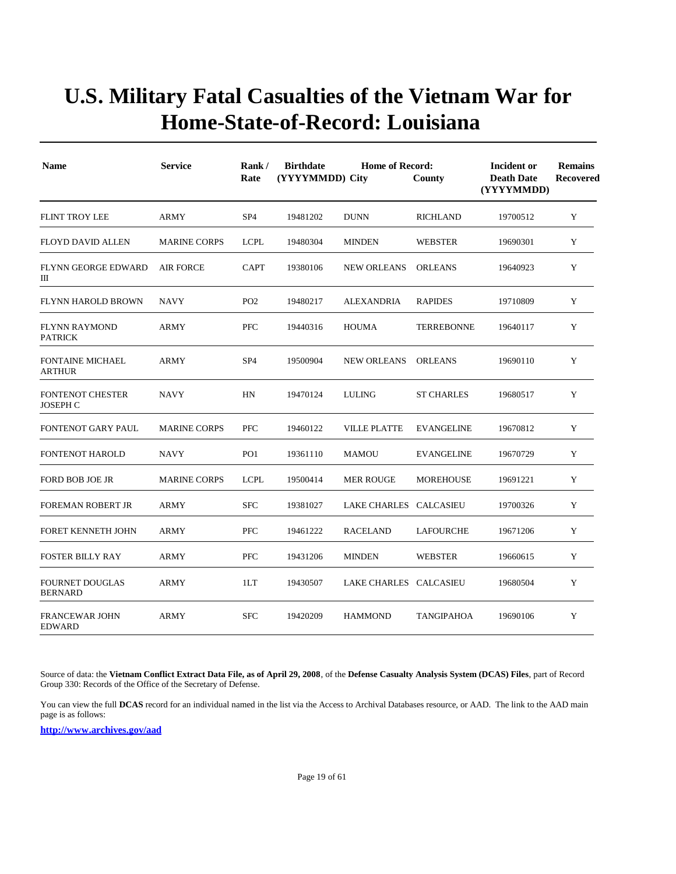| <b>Name</b>                                | <b>Service</b>      | Rank/<br>Rate   | <b>Birthdate</b><br>(YYYYMMDD) City | Incident or<br><b>Death Date</b><br>(YYYYMMDD) | <b>Remains</b><br><b>Recovered</b> |          |   |
|--------------------------------------------|---------------------|-----------------|-------------------------------------|------------------------------------------------|------------------------------------|----------|---|
| <b>FLINT TROY LEE</b>                      | ARMY                | SP <sub>4</sub> | 19481202                            | <b>DUNN</b>                                    | <b>RICHLAND</b>                    | 19700512 | Y |
| <b>FLOYD DAVID ALLEN</b>                   | <b>MARINE CORPS</b> | <b>LCPL</b>     | 19480304                            | <b>MINDEN</b>                                  | <b>WEBSTER</b>                     | 19690301 | Y |
| <b>FLYNN GEORGE EDWARD</b><br>Ш            | <b>AIR FORCE</b>    | <b>CAPT</b>     | 19380106                            | <b>NEW ORLEANS</b>                             | <b>ORLEANS</b>                     | 19640923 | Y |
| FLYNN HAROLD BROWN                         | <b>NAVY</b>         | PO <sub>2</sub> | 19480217                            | ALEXANDRIA                                     | <b>RAPIDES</b>                     | 19710809 | Y |
| <b>FLYNN RAYMOND</b><br><b>PATRICK</b>     | <b>ARMY</b>         | <b>PFC</b>      | 19440316                            | <b>HOUMA</b>                                   | <b>TERREBONNE</b>                  | 19640117 | Y |
| <b>FONTAINE MICHAEL</b><br><b>ARTHUR</b>   | <b>ARMY</b>         | SP <sub>4</sub> | 19500904                            | <b>NEW ORLEANS</b>                             | <b>ORLEANS</b>                     | 19690110 | Y |
| <b>FONTENOT CHESTER</b><br><b>JOSEPH C</b> | <b>NAVY</b>         | HN              | 19470124                            | <b>LULING</b>                                  | <b>ST CHARLES</b>                  | 19680517 | Y |
| <b>FONTENOT GARY PAUL</b>                  | <b>MARINE CORPS</b> | <b>PFC</b>      | 19460122                            | <b>VILLE PLATTE</b>                            | <b>EVANGELINE</b>                  | 19670812 | Y |
| <b>FONTENOT HAROLD</b>                     | <b>NAVY</b>         | PO <sub>1</sub> | 19361110                            | <b>MAMOU</b>                                   | <b>EVANGELINE</b>                  | 19670729 | Y |
| <b>FORD BOB JOE JR</b>                     | <b>MARINE CORPS</b> | <b>LCPL</b>     | 19500414                            | <b>MER ROUGE</b>                               | <b>MOREHOUSE</b>                   | 19691221 | Y |
| <b>FOREMAN ROBERT JR</b>                   | <b>ARMY</b>         | <b>SFC</b>      | 19381027                            | LAKE CHARLES CALCASIEU                         |                                    | 19700326 | Y |
| FORET KENNETH JOHN                         | <b>ARMY</b>         | <b>PFC</b>      | 19461222                            | <b>RACELAND</b>                                | <b>LAFOURCHE</b>                   | 19671206 | Y |
| <b>FOSTER BILLY RAY</b>                    | <b>ARMY</b>         | <b>PFC</b>      | 19431206                            | <b>MINDEN</b>                                  | <b>WEBSTER</b>                     | 19660615 | Y |
| <b>FOURNET DOUGLAS</b><br><b>BERNARD</b>   | <b>ARMY</b>         | 1LT             | 19430507                            | LAKE CHARLES CALCASIEU                         |                                    | 19680504 | Y |
| <b>FRANCEWAR JOHN</b><br><b>EDWARD</b>     | <b>ARMY</b>         | <b>SFC</b>      | 19420209                            | <b>HAMMOND</b>                                 | <b>TANGIPAHOA</b>                  | 19690106 | Y |

Source of data: the **Vietnam Conflict Extract Data File, as of April 29, 2008**, of the **Defense Casualty Analysis System (DCAS) Files**, part of Record Group 330: Records of the Office of the Secretary of Defense.

You can view the full **DCAS** record for an individual named in the list via the Access to Archival Databases resource, or AAD. The link to the AAD main page is as follows: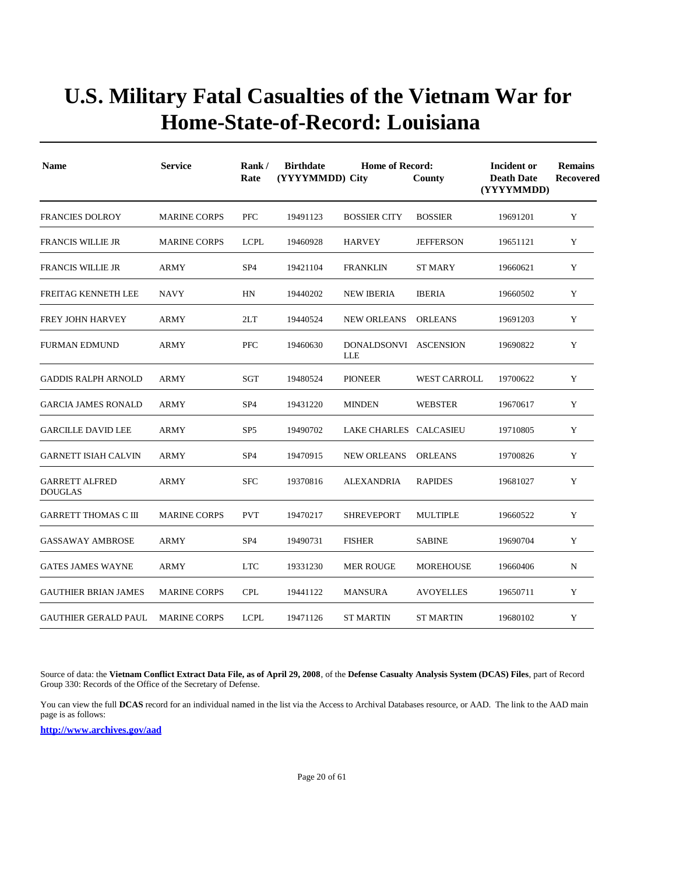| <b>Name</b>                             | <b>Service</b>      | Rank/<br>Rate   | <b>Birthdate</b><br>(YYYYMMDD) City | Incident or<br><b>Death Date</b><br>(YYYYMMDD) | <b>Remains</b><br><b>Recovered</b> |          |   |
|-----------------------------------------|---------------------|-----------------|-------------------------------------|------------------------------------------------|------------------------------------|----------|---|
| <b>FRANCIES DOLROY</b>                  | <b>MARINE CORPS</b> | <b>PFC</b>      | 19491123                            | <b>BOSSIER CITY</b>                            | <b>BOSSIER</b>                     | 19691201 | Y |
| <b>FRANCIS WILLIE JR</b>                | <b>MARINE CORPS</b> | <b>LCPL</b>     | 19460928                            | <b>HARVEY</b>                                  | <b>JEFFERSON</b>                   | 19651121 | Y |
| <b>FRANCIS WILLIE JR</b>                | <b>ARMY</b>         | SP <sub>4</sub> | 19421104                            | <b>FRANKLIN</b>                                | <b>ST MARY</b>                     | 19660621 | Y |
| FREITAG KENNETH LEE                     | <b>NAVY</b>         | HN              | 19440202                            | <b>NEW IBERIA</b>                              | <b>IBERIA</b>                      | 19660502 | Y |
| <b>FREY JOHN HARVEY</b>                 | ARMY                | 2LT             | 19440524                            | <b>NEW ORLEANS</b>                             | <b>ORLEANS</b>                     | 19691203 | Y |
| <b>FURMAN EDMUND</b>                    | ARMY                | <b>PFC</b>      | 19460630                            | DONALDSONVI ASCENSION<br>LLE                   |                                    | 19690822 | Y |
| <b>GADDIS RALPH ARNOLD</b>              | ARMY                | SGT             | 19480524                            | <b>PIONEER</b>                                 | <b>WEST CARROLL</b>                | 19700622 | Y |
| <b>GARCIA JAMES RONALD</b>              | <b>ARMY</b>         | SP <sub>4</sub> | 19431220                            | <b>MINDEN</b>                                  | <b>WEBSTER</b>                     | 19670617 | Y |
| <b>GARCILLE DAVID LEE</b>               | ARMY                | SP <sub>5</sub> | 19490702                            | LAKE CHARLES CALCASIEU                         |                                    | 19710805 | Y |
| <b>GARNETT ISIAH CALVIN</b>             | <b>ARMY</b>         | SP <sub>4</sub> | 19470915                            | <b>NEW ORLEANS</b>                             | <b>ORLEANS</b>                     | 19700826 | Y |
| <b>GARRETT ALFRED</b><br><b>DOUGLAS</b> | <b>ARMY</b>         | <b>SFC</b>      | 19370816                            | <b>ALEXANDRIA</b>                              | <b>RAPIDES</b>                     | 19681027 | Y |
| <b>GARRETT THOMAS C III</b>             | <b>MARINE CORPS</b> | <b>PVT</b>      | 19470217                            | SHREVEPORT                                     | <b>MULTIPLE</b>                    | 19660522 | Y |
| <b>GASSAWAY AMBROSE</b>                 | <b>ARMY</b>         | SP <sub>4</sub> | 19490731                            | <b>FISHER</b>                                  | <b>SABINE</b>                      | 19690704 | Y |
| <b>GATES JAMES WAYNE</b>                | ARMY                | <b>LTC</b>      | 19331230                            | <b>MER ROUGE</b>                               | <b>MOREHOUSE</b>                   | 19660406 | N |
| <b>GAUTHIER BRIAN JAMES</b>             | <b>MARINE CORPS</b> | <b>CPL</b>      | 19441122                            | <b>MANSURA</b>                                 | <b>AVOYELLES</b>                   | 19650711 | Y |
| <b>GAUTHIER GERALD PAUL</b>             | <b>MARINE CORPS</b> | <b>LCPL</b>     | 19471126                            | <b>ST MARTIN</b>                               | ST MARTIN                          | 19680102 | Y |

Source of data: the **Vietnam Conflict Extract Data File, as of April 29, 2008**, of the **Defense Casualty Analysis System (DCAS) Files**, part of Record Group 330: Records of the Office of the Secretary of Defense.

You can view the full **DCAS** record for an individual named in the list via the Access to Archival Databases resource, or AAD. The link to the AAD main page is as follows: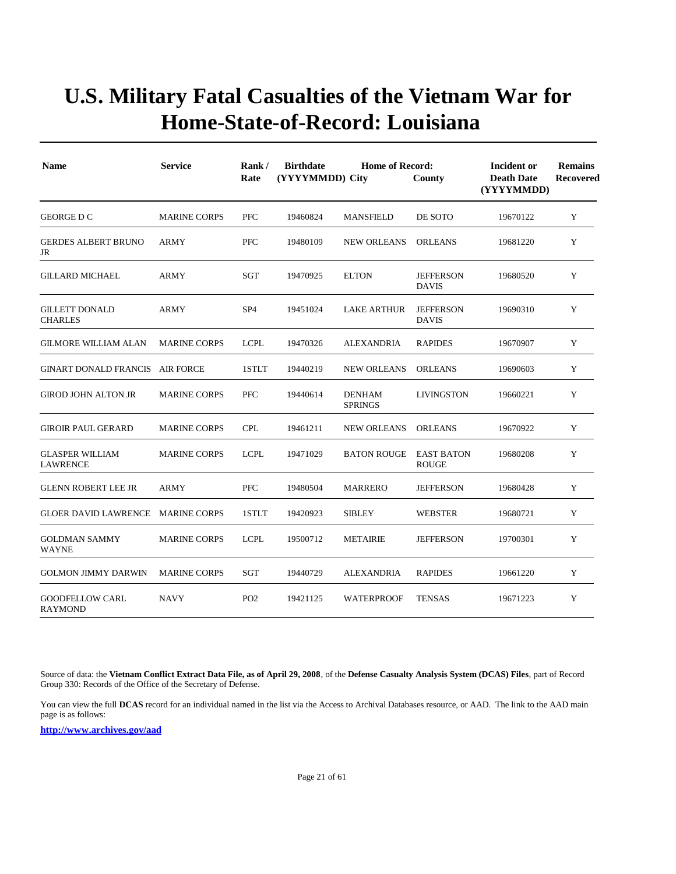| <b>Name</b>                               | <b>Service</b>      | Rank/<br>Rate   | <b>Birthdate</b><br>(YYYYMMDD) City | Incident or<br><b>Death Date</b><br>(YYYYMMDD) | <b>Remains</b><br>Recovered       |          |   |
|-------------------------------------------|---------------------|-----------------|-------------------------------------|------------------------------------------------|-----------------------------------|----------|---|
| GEORGE D C                                | <b>MARINE CORPS</b> | <b>PFC</b>      | 19460824                            | <b>MANSFIELD</b>                               | DE SOTO                           | 19670122 | Y |
| <b>GERDES ALBERT BRUNO</b><br>JR          | ARMY                | <b>PFC</b>      | 19480109                            | <b>NEW ORLEANS</b>                             | <b>ORLEANS</b>                    | 19681220 | Y |
| GILLARD MICHAEL                           | ARMY                | SGT             | 19470925                            | <b>ELTON</b>                                   | <b>JEFFERSON</b><br><b>DAVIS</b>  | 19680520 | Y |
| <b>GILLETT DONALD</b><br><b>CHARLES</b>   | <b>ARMY</b>         | SP <sub>4</sub> | 19451024                            | <b>LAKE ARTHUR</b>                             | <b>JEFFERSON</b><br><b>DAVIS</b>  | 19690310 | Y |
| <b>GILMORE WILLIAM ALAN</b>               | <b>MARINE CORPS</b> | <b>LCPL</b>     | 19470326                            | <b>ALEXANDRIA</b>                              | <b>RAPIDES</b>                    | 19670907 | Y |
| <b>GINART DONALD FRANCIS</b>              | AIR FORCE           | 1STLT           | 19440219                            | <b>NEW ORLEANS</b>                             | <b>ORLEANS</b>                    | 19690603 | Y |
| <b>GIROD JOHN ALTON JR</b>                | <b>MARINE CORPS</b> | <b>PFC</b>      | 19440614                            | <b>DENHAM</b><br><b>SPRINGS</b>                | <b>LIVINGSTON</b>                 | 19660221 | Y |
| <b>GIROIR PAUL GERARD</b>                 | <b>MARINE CORPS</b> | <b>CPL</b>      | 19461211                            | <b>NEW ORLEANS</b>                             | <b>ORLEANS</b>                    | 19670922 | Y |
| <b>GLASPER WILLIAM</b><br><b>LAWRENCE</b> | <b>MARINE CORPS</b> | <b>LCPL</b>     | 19471029                            | <b>BATON ROUGE</b>                             | <b>EAST BATON</b><br><b>ROUGE</b> | 19680208 | Y |
| <b>GLENN ROBERT LEE JR</b>                | ARMY                | <b>PFC</b>      | 19480504                            | <b>MARRERO</b>                                 | <b>JEFFERSON</b>                  | 19680428 | Y |
| <b>GLOER DAVID LAWRENCE</b>               | MARINE CORPS        | 1STLT           | 19420923                            | <b>SIBLEY</b>                                  | <b>WEBSTER</b>                    | 19680721 | Y |
| <b>GOLDMAN SAMMY</b><br><b>WAYNE</b>      | <b>MARINE CORPS</b> | <b>LCPL</b>     | 19500712                            | <b>METAIRIE</b>                                | <b>JEFFERSON</b>                  | 19700301 | Y |
| <b>GOLMON JIMMY DARWIN</b>                | <b>MARINE CORPS</b> | SGT             | 19440729                            | <b>ALEXANDRIA</b>                              | <b>RAPIDES</b>                    | 19661220 | Y |
| <b>GOODFELLOW CARL</b><br>RAYMOND         | <b>NAVY</b>         | PO <sub>2</sub> | 19421125                            | <b>WATERPROOF</b>                              | <b>TENSAS</b>                     | 19671223 | Y |

Source of data: the **Vietnam Conflict Extract Data File, as of April 29, 2008**, of the **Defense Casualty Analysis System (DCAS) Files**, part of Record Group 330: Records of the Office of the Secretary of Defense.

You can view the full **DCAS** record for an individual named in the list via the Access to Archival Databases resource, or AAD. The link to the AAD main page is as follows: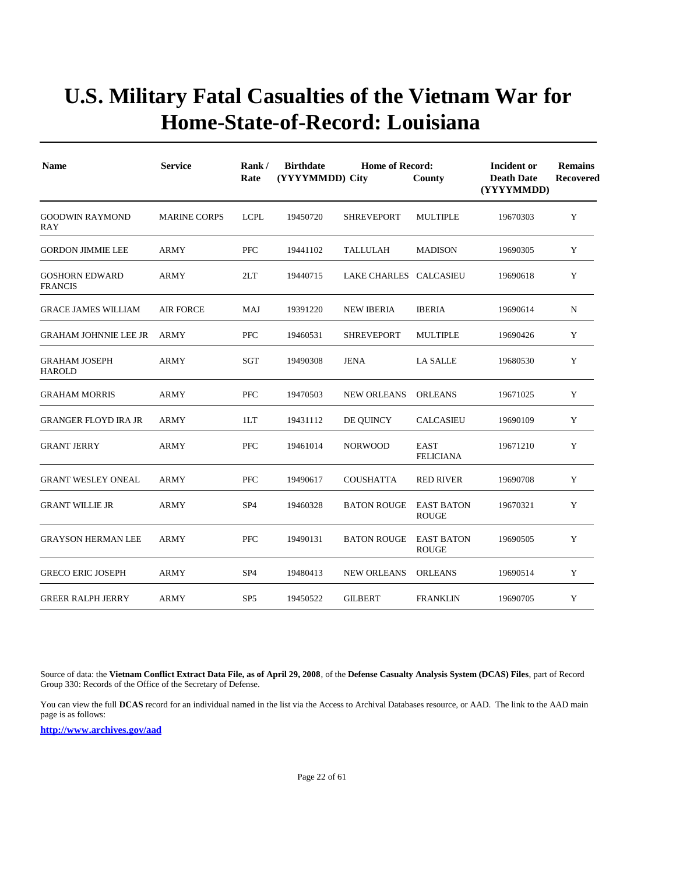| <b>Name</b>                             | <b>Service</b>      | Rank/<br>Rate   | <b>Birthdate</b><br>(YYYYMMDD) City | <b>Home of Record:</b> | County                            | Incident or<br><b>Death Date</b><br>(YYYYMMDD)<br>19670303 | <b>Remains</b><br>Recovered |
|-----------------------------------------|---------------------|-----------------|-------------------------------------|------------------------|-----------------------------------|------------------------------------------------------------|-----------------------------|
| <b>GOODWIN RAYMOND</b><br>RAY           | <b>MARINE CORPS</b> | <b>LCPL</b>     | 19450720                            | <b>SHREVEPORT</b>      | <b>MULTIPLE</b>                   |                                                            | Y                           |
| <b>GORDON JIMMIE LEE</b>                | <b>ARMY</b>         | <b>PFC</b>      | 19441102                            | <b>TALLULAH</b>        | <b>MADISON</b>                    | 19690305                                                   | Y                           |
| <b>GOSHORN EDWARD</b><br><b>FRANCIS</b> | ARMY                | 2LT             | 19440715                            | LAKE CHARLES CALCASIEU |                                   | 19690618                                                   | Y                           |
| <b>GRACE JAMES WILLIAM</b>              | <b>AIR FORCE</b>    | MAJ             | 19391220                            | <b>NEW IBERIA</b>      | <b>IBERIA</b>                     | 19690614                                                   | N                           |
| <b>GRAHAM JOHNNIE LEE JR</b>            | ARMY                | PFC             | 19460531                            | <b>SHREVEPORT</b>      | <b>MULTIPLE</b>                   | 19690426                                                   | Y                           |
| <b>GRAHAM JOSEPH</b><br><b>HAROLD</b>   | <b>ARMY</b>         | <b>SGT</b>      | 19490308                            | JENA                   | <b>LA SALLE</b>                   | 19680530                                                   | Y                           |
| <b>GRAHAM MORRIS</b>                    | <b>ARMY</b>         | <b>PFC</b>      | 19470503                            | <b>NEW ORLEANS</b>     | <b>ORLEANS</b>                    | 19671025                                                   | Y                           |
| <b>GRANGER FLOYD IRA JR</b>             | <b>ARMY</b>         | 1LT             | 19431112                            | DE QUINCY              | <b>CALCASIEU</b>                  | 19690109                                                   | Y                           |
| <b>GRANT JERRY</b>                      | ARMY                | <b>PFC</b>      | 19461014                            | <b>NORWOOD</b>         | <b>EAST</b><br><b>FELICIANA</b>   | 19671210                                                   | Y                           |
| <b>GRANT WESLEY ONEAL</b>               | <b>ARMY</b>         | <b>PFC</b>      | 19490617                            | <b>COUSHATTA</b>       | <b>RED RIVER</b>                  | 19690708                                                   | Y                           |
| <b>GRANT WILLIE JR</b>                  | <b>ARMY</b>         | SP <sub>4</sub> | 19460328                            | <b>BATON ROUGE</b>     | <b>EAST BATON</b><br><b>ROUGE</b> | 19670321                                                   | Y                           |
| <b>GRAYSON HERMAN LEE</b>               | ARMY                | PFC             | 19490131                            | <b>BATON ROUGE</b>     | <b>EAST BATON</b><br><b>ROUGE</b> | 19690505                                                   | Y                           |
| <b>GRECO ERIC JOSEPH</b>                | ARMY                | SP <sub>4</sub> | 19480413                            | <b>NEW ORLEANS</b>     | <b>ORLEANS</b>                    | 19690514                                                   | Y                           |
| <b>GREER RALPH JERRY</b>                | <b>ARMY</b>         | SP <sub>5</sub> | 19450522                            | <b>GILBERT</b>         | <b>FRANKLIN</b>                   | 19690705                                                   | Y                           |

Source of data: the **Vietnam Conflict Extract Data File, as of April 29, 2008**, of the **Defense Casualty Analysis System (DCAS) Files**, part of Record Group 330: Records of the Office of the Secretary of Defense.

You can view the full **DCAS** record for an individual named in the list via the Access to Archival Databases resource, or AAD. The link to the AAD main page is as follows: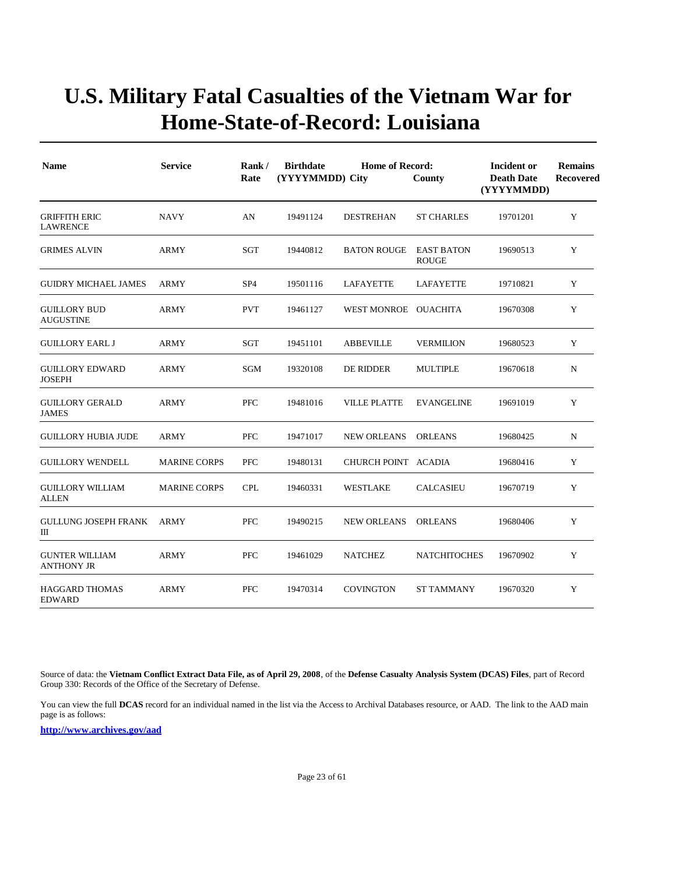| <b>Name</b>                                | <b>Service</b>      | Rank/<br>Rate   | <b>Birthdate</b><br>(YYYYMMDD) City | <b>Home of Record:</b> | County                            | Incident or<br><b>Death Date</b><br>(YYYYMMDD) | <b>Remains</b><br><b>Recovered</b> |
|--------------------------------------------|---------------------|-----------------|-------------------------------------|------------------------|-----------------------------------|------------------------------------------------|------------------------------------|
| <b>GRIFFITH ERIC</b><br><b>LAWRENCE</b>    | <b>NAVY</b>         | AN              | 19491124                            | <b>DESTREHAN</b>       | <b>ST CHARLES</b>                 | 19701201                                       | Y                                  |
| <b>GRIMES ALVIN</b>                        | <b>ARMY</b>         | SGT             | 19440812                            | <b>BATON ROUGE</b>     | <b>EAST BATON</b><br><b>ROUGE</b> | 19690513                                       | Y                                  |
| <b>GUIDRY MICHAEL JAMES</b>                | ARMY                | SP <sub>4</sub> | 19501116                            | LAFAYETTE              | LAFAYETTE                         | 19710821                                       | Y                                  |
| <b>GUILLORY BUD</b><br><b>AUGUSTINE</b>    | ARMY                | <b>PVT</b>      | 19461127                            | WEST MONROE OUACHITA   |                                   | 19670308                                       | Y                                  |
| <b>GUILLORY EARL J</b>                     | <b>ARMY</b>         | SGT             | 19451101                            | <b>ABBEVILLE</b>       | <b>VERMILION</b>                  | 19680523                                       | Y                                  |
| <b>GUILLORY EDWARD</b><br><b>JOSEPH</b>    | ARMY                | SGM             | 19320108                            | DE RIDDER              | <b>MULTIPLE</b>                   | 19670618                                       | N                                  |
| <b>GUILLORY GERALD</b><br><b>JAMES</b>     | <b>ARMY</b>         | PFC             | 19481016                            | <b>VILLE PLATTE</b>    | <b>EVANGELINE</b>                 | 19691019                                       | Y                                  |
| <b>GUILLORY HUBIA JUDE</b>                 | <b>ARMY</b>         | <b>PFC</b>      | 19471017                            | <b>NEW ORLEANS</b>     | <b>ORLEANS</b>                    | 19680425                                       | N                                  |
| <b>GUILLORY WENDELL</b>                    | <b>MARINE CORPS</b> | <b>PFC</b>      | 19480131                            | CHURCH POINT ACADIA    |                                   | 19680416                                       | Y                                  |
| <b>GUILLORY WILLIAM</b><br><b>ALLEN</b>    | <b>MARINE CORPS</b> | <b>CPL</b>      | 19460331                            | <b>WESTLAKE</b>        | <b>CALCASIEU</b>                  | 19670719                                       | Y                                  |
| <b>GULLUNG JOSEPH FRANK</b><br>Ш           | <b>ARMY</b>         | <b>PFC</b>      | 19490215                            | <b>NEW ORLEANS</b>     | <b>ORLEANS</b>                    | 19680406                                       | Y                                  |
| <b>GUNTER WILLIAM</b><br><b>ANTHONY JR</b> | <b>ARMY</b>         | PFC             | 19461029                            | <b>NATCHEZ</b>         | <b>NATCHITOCHES</b>               | 19670902                                       | Y                                  |
| <b>HAGGARD THOMAS</b><br><b>EDWARD</b>     | <b>ARMY</b>         | PFC             | 19470314                            | <b>COVINGTON</b>       | <b>ST TAMMANY</b>                 | 19670320                                       | Y                                  |

Source of data: the **Vietnam Conflict Extract Data File, as of April 29, 2008**, of the **Defense Casualty Analysis System (DCAS) Files**, part of Record Group 330: Records of the Office of the Secretary of Defense.

You can view the full **DCAS** record for an individual named in the list via the Access to Archival Databases resource, or AAD. The link to the AAD main page is as follows: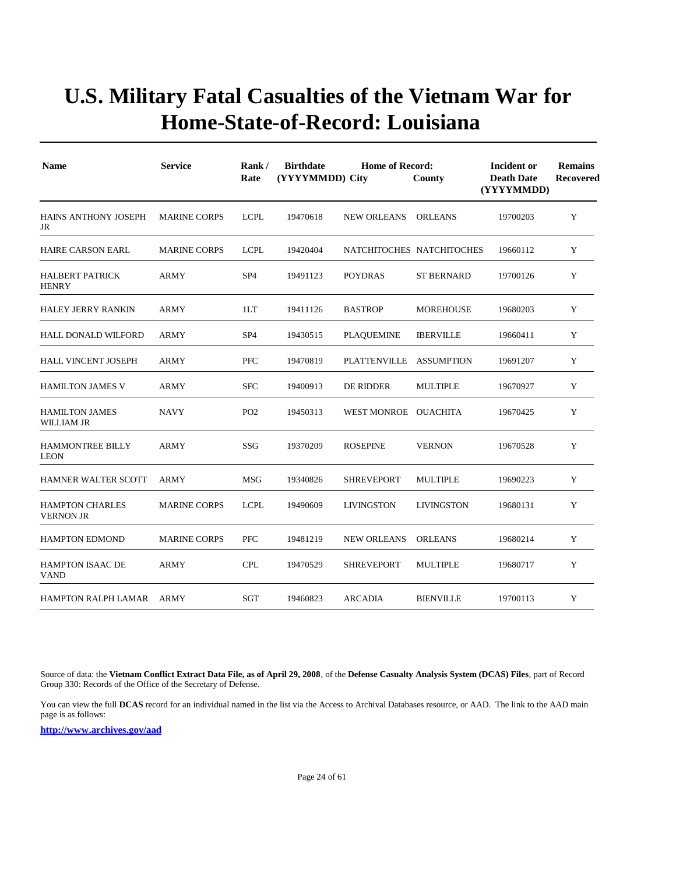| <b>Name</b>                                | <b>Service</b>      | Rank/<br>Rate   | <b>Birthdate</b><br>(YYYYMMDD) City | <b>Home of Record:</b> | County                    | Incident or<br><b>Death Date</b><br>(YYYYMMDD) | <b>Remains</b><br><b>Recovered</b> |
|--------------------------------------------|---------------------|-----------------|-------------------------------------|------------------------|---------------------------|------------------------------------------------|------------------------------------|
| <b>HAINS ANTHONY JOSEPH</b><br>JR          | <b>MARINE CORPS</b> | <b>LCPL</b>     | 19470618                            | <b>NEW ORLEANS</b>     | <b>ORLEANS</b>            | 19700203                                       | Y                                  |
| <b>HAIRE CARSON EARL</b>                   | <b>MARINE CORPS</b> | <b>LCPL</b>     | 19420404                            |                        | NATCHITOCHES NATCHITOCHES | 19660112                                       | Y                                  |
| <b>HALBERT PATRICK</b><br><b>HENRY</b>     | ARMY                | SP <sub>4</sub> | 19491123                            | <b>POYDRAS</b>         | <b>ST BERNARD</b>         | 19700126                                       | Y                                  |
| HALEY JERRY RANKIN                         | <b>ARMY</b>         | 1LT             | 19411126                            | <b>BASTROP</b>         | <b>MOREHOUSE</b>          | 19680203                                       | Y                                  |
| HALL DONALD WILFORD                        | <b>ARMY</b>         | SP <sub>4</sub> | 19430515                            | <b>PLAQUEMINE</b>      | <b>IBERVILLE</b>          | 19660411                                       | Y                                  |
| <b>HALL VINCENT JOSEPH</b>                 | <b>ARMY</b>         | <b>PFC</b>      | 19470819                            | <b>PLATTENVILLE</b>    | <b>ASSUMPTION</b>         | 19691207                                       | Y                                  |
| <b>HAMILTON JAMES V</b>                    | <b>ARMY</b>         | <b>SFC</b>      | 19400913                            | DE RIDDER              | <b>MULTIPLE</b>           | 19670927                                       | Y                                  |
| <b>HAMILTON JAMES</b><br>WILLIAM JR        | <b>NAVY</b>         | PO <sub>2</sub> | 19450313                            | WEST MONROE OUACHITA   |                           | 19670425                                       | Y                                  |
| <b>HAMMONTREE BILLY</b><br><b>LEON</b>     | <b>ARMY</b>         | SSG             | 19370209                            | <b>ROSEPINE</b>        | <b>VERNON</b>             | 19670528                                       | Y                                  |
| HAMNER WALTER SCOTT                        | ARMY                | <b>MSG</b>      | 19340826                            | <b>SHREVEPORT</b>      | <b>MULTIPLE</b>           | 19690223                                       | Y                                  |
| <b>HAMPTON CHARLES</b><br><b>VERNON JR</b> | <b>MARINE CORPS</b> | <b>LCPL</b>     | 19490609                            | <b>LIVINGSTON</b>      | <b>LIVINGSTON</b>         | 19680131                                       | Y                                  |
| <b>HAMPTON EDMOND</b>                      | <b>MARINE CORPS</b> | PFC             | 19481219                            | <b>NEW ORLEANS</b>     | <b>ORLEANS</b>            | 19680214                                       | Y                                  |
| <b>HAMPTON ISAAC DE</b><br><b>VAND</b>     | <b>ARMY</b>         | <b>CPL</b>      | 19470529                            | <b>SHREVEPORT</b>      | <b>MULTIPLE</b>           | 19680717                                       | Y                                  |
| HAMPTON RALPH LAMAR ARMY                   |                     | SGT             | 19460823                            | <b>ARCADIA</b>         | <b>BIENVILLE</b>          | 19700113                                       | Y                                  |

Source of data: the **Vietnam Conflict Extract Data File, as of April 29, 2008**, of the **Defense Casualty Analysis System (DCAS) Files**, part of Record Group 330: Records of the Office of the Secretary of Defense.

You can view the full **DCAS** record for an individual named in the list via the Access to Archival Databases resource, or AAD. The link to the AAD main page is as follows: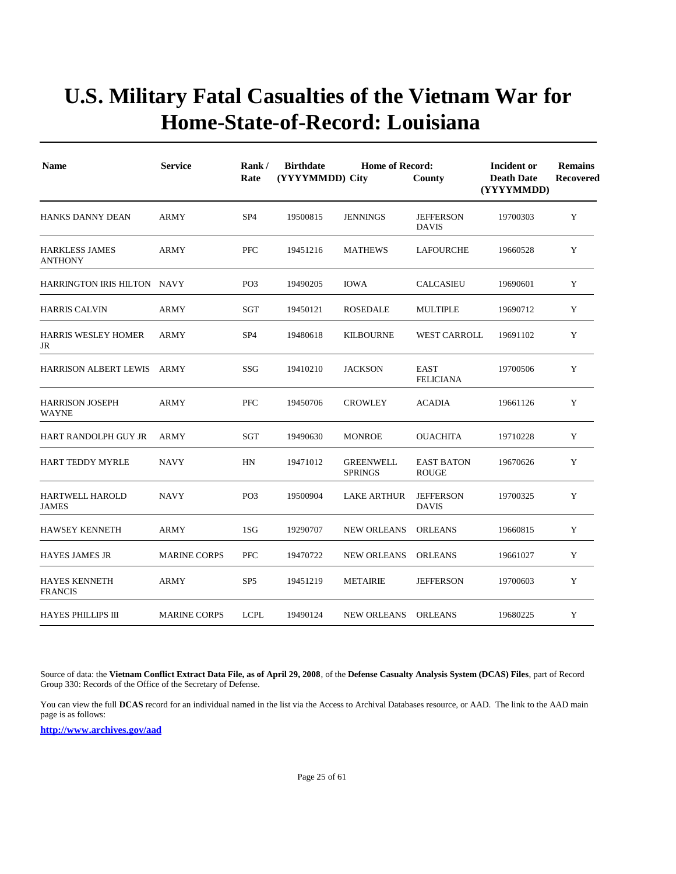| <b>Name</b>                             | <b>Service</b>      | Rank/<br>Rate   | <b>Birthdate</b><br>(YYYYMMDD) City | Incident or<br><b>Death Date</b><br>(YYYYMMDD) | <b>Remains</b><br><b>Recovered</b> |          |   |
|-----------------------------------------|---------------------|-----------------|-------------------------------------|------------------------------------------------|------------------------------------|----------|---|
| <b>HANKS DANNY DEAN</b>                 | <b>ARMY</b>         | SP <sub>4</sub> | 19500815                            | <b>JENNINGS</b>                                | <b>JEFFERSON</b><br><b>DAVIS</b>   | 19700303 | Y |
| <b>HARKLESS JAMES</b><br><b>ANTHONY</b> | <b>ARMY</b>         | PFC             | 19451216                            | <b>MATHEWS</b>                                 | LAFOURCHE                          | 19660528 | Y |
| HARRINGTON IRIS HILTON NAVY             |                     | PO <sub>3</sub> | 19490205                            | <b>IOWA</b>                                    | <b>CALCASIEU</b>                   | 19690601 | Y |
| <b>HARRIS CALVIN</b>                    | <b>ARMY</b>         | SGT             | 19450121                            | <b>ROSEDALE</b>                                | <b>MULTIPLE</b>                    | 19690712 | Y |
| HARRIS WESLEY HOMER<br>JR               | <b>ARMY</b>         | SP <sub>4</sub> | 19480618                            | <b>KILBOURNE</b>                               | <b>WEST CARROLL</b>                | 19691102 | Y |
| <b>HARRISON ALBERT LEWIS</b>            | ARMY                | SSG             | 19410210                            | <b>JACKSON</b>                                 | <b>EAST</b><br><b>FELICIANA</b>    | 19700506 | Y |
| <b>HARRISON JOSEPH</b><br><b>WAYNE</b>  | <b>ARMY</b>         | PFC             | 19450706                            | <b>CROWLEY</b>                                 | <b>ACADIA</b>                      | 19661126 | Y |
| HART RANDOLPH GUY JR                    | <b>ARMY</b>         | <b>SGT</b>      | 19490630                            | <b>MONROE</b>                                  | <b>OUACHITA</b>                    | 19710228 | Y |
| HART TEDDY MYRLE                        | <b>NAVY</b>         | HN              | 19471012                            | <b>GREENWELL</b><br><b>SPRINGS</b>             | <b>EAST BATON</b><br><b>ROUGE</b>  | 19670626 | Y |
| <b>HARTWELL HAROLD</b><br><b>JAMES</b>  | NAVY                | PO <sub>3</sub> | 19500904                            | <b>LAKE ARTHUR</b>                             | <b>JEFFERSON</b><br><b>DAVIS</b>   | 19700325 | Y |
| <b>HAWSEY KENNETH</b>                   | ARMY                | 1SG             | 19290707                            | <b>NEW ORLEANS</b>                             | <b>ORLEANS</b>                     | 19660815 | Y |
| <b>HAYES JAMES JR</b>                   | <b>MARINE CORPS</b> | PFC             | 19470722                            | <b>NEW ORLEANS</b>                             | <b>ORLEANS</b>                     | 19661027 | Y |
| <b>HAYES KENNETH</b><br><b>FRANCIS</b>  | ARMY                | SP <sub>5</sub> | 19451219                            | <b>METAIRIE</b>                                | <b>JEFFERSON</b>                   | 19700603 | Y |
| <b>HAYES PHILLIPS III</b>               | <b>MARINE CORPS</b> | <b>LCPL</b>     | 19490124                            | NEW ORLEANS                                    | <b>ORLEANS</b>                     | 19680225 | Y |

Source of data: the **Vietnam Conflict Extract Data File, as of April 29, 2008**, of the **Defense Casualty Analysis System (DCAS) Files**, part of Record Group 330: Records of the Office of the Secretary of Defense.

You can view the full **DCAS** record for an individual named in the list via the Access to Archival Databases resource, or AAD. The link to the AAD main page is as follows: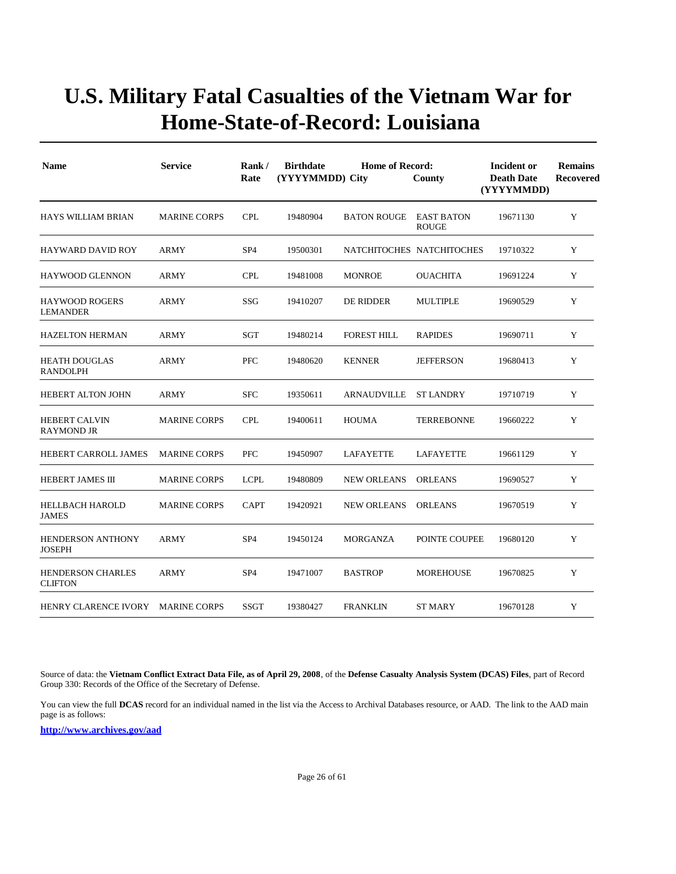| <b>Name</b>                                | <b>Service</b>      | Rank/<br>Rate   | <b>Birthdate</b> | <b>Home of Record:</b><br>(YYYYMMDD) City<br>County |                            | Incident or<br><b>Death Date</b><br>(YYYYMMDD) | <b>Remains</b><br>Recovered |
|--------------------------------------------|---------------------|-----------------|------------------|-----------------------------------------------------|----------------------------|------------------------------------------------|-----------------------------|
| HAYS WILLIAM BRIAN                         | <b>MARINE CORPS</b> | <b>CPL</b>      | 19480904         | <b>BATON ROUGE</b>                                  | EAST BATON<br><b>ROUGE</b> | 19671130                                       | Y                           |
| <b>HAYWARD DAVID ROY</b>                   | <b>ARMY</b>         | SP <sub>4</sub> | 19500301         |                                                     | NATCHITOCHES NATCHITOCHES  | 19710322                                       | Y                           |
| <b>HAYWOOD GLENNON</b>                     | <b>ARMY</b>         | <b>CPL</b>      | 19481008         | <b>MONROE</b>                                       | <b>OUACHITA</b>            | 19691224                                       | Y                           |
| <b>HAYWOOD ROGERS</b><br><b>LEMANDER</b>   | <b>ARMY</b>         | SSG             | 19410207         | DE RIDDER                                           | <b>MULTIPLE</b>            | 19690529                                       | Y                           |
| <b>HAZELTON HERMAN</b>                     | <b>ARMY</b>         | <b>SGT</b>      | 19480214         | <b>FOREST HILL</b>                                  | <b>RAPIDES</b>             | 19690711                                       | Y                           |
| <b>HEATH DOUGLAS</b><br><b>RANDOLPH</b>    | ARMY                | PFC             | 19480620         | <b>KENNER</b>                                       | <b>JEFFERSON</b>           | 19680413                                       | Y                           |
| <b>HEBERT ALTON JOHN</b>                   | <b>ARMY</b>         | <b>SFC</b>      | 19350611         | <b>ARNAUDVILLE</b>                                  | <b>ST LANDRY</b>           | 19710719                                       | Y                           |
| <b>HEBERT CALVIN</b><br><b>RAYMOND JR</b>  | <b>MARINE CORPS</b> | <b>CPL</b>      | 19400611         | <b>HOUMA</b>                                        | <b>TERREBONNE</b>          | 19660222                                       | Y                           |
| HEBERT CARROLL JAMES                       | <b>MARINE CORPS</b> | <b>PFC</b>      | 19450907         | LAFAYETTE                                           | LAFAYETTE                  | 19661129                                       | Y                           |
| <b>HEBERT JAMES III</b>                    | <b>MARINE CORPS</b> | <b>LCPL</b>     | 19480809         | <b>NEW ORLEANS</b>                                  | <b>ORLEANS</b>             | 19690527                                       | Y                           |
| <b>HELLBACH HAROLD</b><br><b>JAMES</b>     | <b>MARINE CORPS</b> | <b>CAPT</b>     | 19420921         | <b>NEW ORLEANS</b>                                  | <b>ORLEANS</b>             | 19670519                                       | Y                           |
| <b>HENDERSON ANTHONY</b><br><b>JOSEPH</b>  | <b>ARMY</b>         | SP <sub>4</sub> | 19450124         | <b>MORGANZA</b>                                     | POINTE COUPEE              | 19680120                                       | Y                           |
| <b>HENDERSON CHARLES</b><br><b>CLIFTON</b> | <b>ARMY</b>         | SP <sub>4</sub> | 19471007         | <b>BASTROP</b>                                      | <b>MOREHOUSE</b>           | 19670825                                       | Y                           |
| HENRY CLARENCE IVORY                       | <b>MARINE CORPS</b> | <b>SSGT</b>     | 19380427         | <b>FRANKLIN</b>                                     | <b>ST MARY</b>             | 19670128                                       | Y                           |

Source of data: the **Vietnam Conflict Extract Data File, as of April 29, 2008**, of the **Defense Casualty Analysis System (DCAS) Files**, part of Record Group 330: Records of the Office of the Secretary of Defense.

You can view the full **DCAS** record for an individual named in the list via the Access to Archival Databases resource, or AAD. The link to the AAD main page is as follows: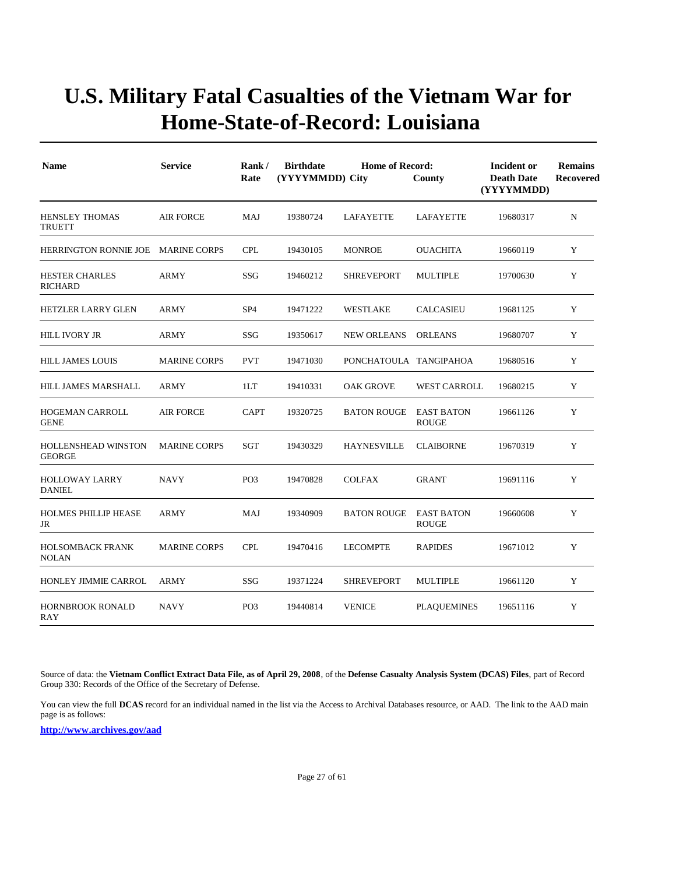| <b>Name</b>                                 | <b>Service</b>      | Rank/<br>Rate   | <b>Birthdate</b><br><b>Home of Record:</b><br>(YYYYMMDD) City<br>County |                        |                                   | Incident or<br><b>Death Date</b><br>(YYYYMMDD) | <b>Remains</b><br><b>Recovered</b> |
|---------------------------------------------|---------------------|-----------------|-------------------------------------------------------------------------|------------------------|-----------------------------------|------------------------------------------------|------------------------------------|
| <b>HENSLEY THOMAS</b><br><b>TRUETT</b>      | <b>AIR FORCE</b>    | MAJ             | 19380724                                                                | LAFAYETTE              | LAFAYETTE                         | 19680317                                       | $\mathbf N$                        |
| HERRINGTON RONNIE JOE MARINE CORPS          |                     | <b>CPL</b>      | 19430105                                                                | <b>MONROE</b>          | <b>OUACHITA</b>                   | 19660119                                       | Y                                  |
| <b>HESTER CHARLES</b><br><b>RICHARD</b>     | ARMY                | SSG             | 19460212                                                                | <b>SHREVEPORT</b>      | <b>MULTIPLE</b>                   | 19700630                                       | Y                                  |
| <b>HETZLER LARRY GLEN</b>                   | <b>ARMY</b>         | SP <sub>4</sub> | 19471222                                                                | WESTLAKE               | <b>CALCASIEU</b>                  | 19681125                                       | Y                                  |
| <b>HILL IVORY JR</b>                        | <b>ARMY</b>         | SSG             | 19350617                                                                | <b>NEW ORLEANS</b>     | <b>ORLEANS</b>                    | 19680707                                       | Y                                  |
| <b>HILL JAMES LOUIS</b>                     | <b>MARINE CORPS</b> | <b>PVT</b>      | 19471030                                                                | PONCHATOULA TANGIPAHOA |                                   | 19680516                                       | Y                                  |
| HILL JAMES MARSHALL                         | <b>ARMY</b>         | 1LT             | 19410331                                                                | <b>OAK GROVE</b>       | <b>WEST CARROLL</b>               | 19680215                                       | Y                                  |
| <b>HOGEMAN CARROLL</b><br><b>GENE</b>       | <b>AIR FORCE</b>    | <b>CAPT</b>     | 19320725                                                                | <b>BATON ROUGE</b>     | <b>EAST BATON</b><br><b>ROUGE</b> | 19661126                                       | Y                                  |
| <b>HOLLENSHEAD WINSTON</b><br><b>GEORGE</b> | <b>MARINE CORPS</b> | SGT             | 19430329                                                                | <b>HAYNESVILLE</b>     | <b>CLAIBORNE</b>                  | 19670319                                       | Y                                  |
| <b>HOLLOWAY LARRY</b><br><b>DANIEL</b>      | <b>NAVY</b>         | PO <sub>3</sub> | 19470828                                                                | <b>COLFAX</b>          | <b>GRANT</b>                      | 19691116                                       | Y                                  |
| <b>HOLMES PHILLIP HEASE</b><br>JR           | <b>ARMY</b>         | MAJ             | 19340909                                                                | <b>BATON ROUGE</b>     | <b>EAST BATON</b><br><b>ROUGE</b> | 19660608                                       | Y                                  |
| <b>HOLSOMBACK FRANK</b><br><b>NOLAN</b>     | <b>MARINE CORPS</b> | <b>CPL</b>      | 19470416                                                                | <b>LECOMPTE</b>        | <b>RAPIDES</b>                    | 19671012                                       | Y                                  |
| HONLEY JIMMIE CARROL                        | <b>ARMY</b>         | SSG             | 19371224                                                                | <b>SHREVEPORT</b>      | <b>MULTIPLE</b>                   | 19661120                                       | Y                                  |
| <b>HORNBROOK RONALD</b><br>RAY              | <b>NAVY</b>         | PO <sub>3</sub> | 19440814                                                                | <b>VENICE</b>          | <b>PLAQUEMINES</b>                | 19651116                                       | Y                                  |

Source of data: the **Vietnam Conflict Extract Data File, as of April 29, 2008**, of the **Defense Casualty Analysis System (DCAS) Files**, part of Record Group 330: Records of the Office of the Secretary of Defense.

You can view the full **DCAS** record for an individual named in the list via the Access to Archival Databases resource, or AAD. The link to the AAD main page is as follows: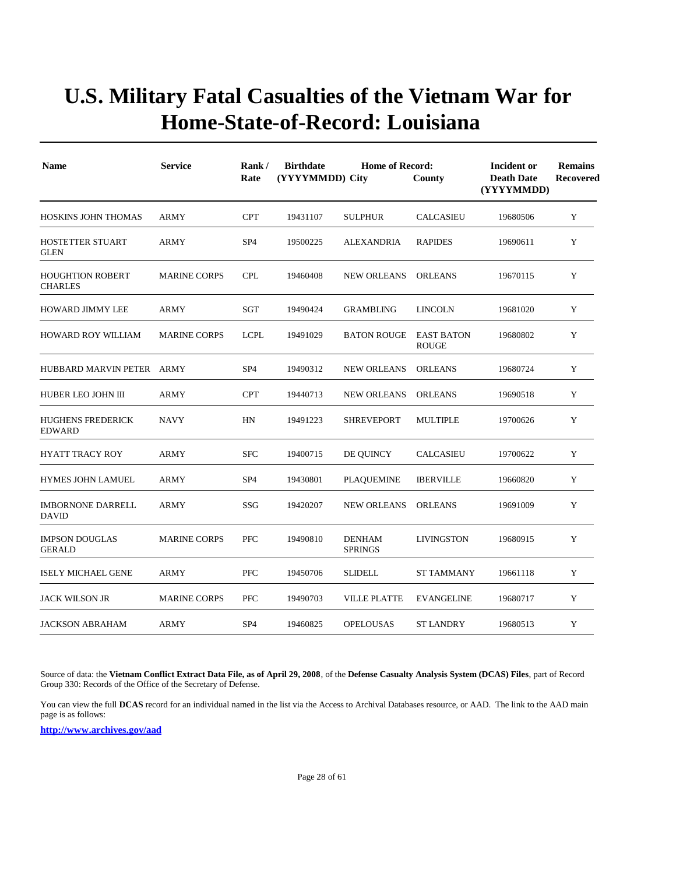| <b>Name</b>                               | <b>Service</b>      | Rank/<br>Rate   | <b>Birthdate</b><br>(YYYYMMDD) City | Incident or<br><b>Death Date</b><br>(YYYYMMDD) | <b>Remains</b><br>Recovered       |          |   |
|-------------------------------------------|---------------------|-----------------|-------------------------------------|------------------------------------------------|-----------------------------------|----------|---|
| HOSKINS JOHN THOMAS                       | <b>ARMY</b>         | <b>CPT</b>      | 19431107                            | <b>SULPHUR</b>                                 | <b>CALCASIEU</b>                  | 19680506 | Y |
| <b>HOSTETTER STUART</b><br><b>GLEN</b>    | <b>ARMY</b>         | SP <sub>4</sub> | 19500225                            | <b>ALEXANDRIA</b>                              | <b>RAPIDES</b>                    | 19690611 | Y |
| <b>HOUGHTION ROBERT</b><br><b>CHARLES</b> | <b>MARINE CORPS</b> | <b>CPL</b>      | 19460408                            | <b>NEW ORLEANS</b>                             | <b>ORLEANS</b>                    | 19670115 | Y |
| HOWARD JIMMY LEE                          | <b>ARMY</b>         | SGT             | 19490424                            | <b>GRAMBLING</b>                               | <b>LINCOLN</b>                    | 19681020 | Y |
| <b>HOWARD ROY WILLIAM</b>                 | <b>MARINE CORPS</b> | <b>LCPL</b>     | 19491029                            | BATON ROUGE                                    | <b>EAST BATON</b><br><b>ROUGE</b> | 19680802 | Y |
| HUBBARD MARVIN PETER ARMY                 |                     | SP <sub>4</sub> | 19490312                            | <b>NEW ORLEANS</b>                             | <b>ORLEANS</b>                    | 19680724 | Y |
| HUBER LEO JOHN III                        | ARMY                | <b>CPT</b>      | 19440713                            | <b>NEW ORLEANS</b>                             | <b>ORLEANS</b>                    | 19690518 | Y |
| <b>HUGHENS FREDERICK</b><br><b>EDWARD</b> | <b>NAVY</b>         | HN              | 19491223                            | <b>SHREVEPORT</b>                              | <b>MULTIPLE</b>                   | 19700626 | Y |
| <b>HYATT TRACY ROY</b>                    | <b>ARMY</b>         | <b>SFC</b>      | 19400715                            | DE QUINCY                                      | <b>CALCASIEU</b>                  | 19700622 | Y |
| <b>HYMES JOHN LAMUEL</b>                  | <b>ARMY</b>         | SP <sub>4</sub> | 19430801                            | <b>PLAQUEMINE</b>                              | <b>IBERVILLE</b>                  | 19660820 | Y |
| <b>IMBORNONE DARRELL</b><br><b>DAVID</b>  | <b>ARMY</b>         | SSG             | 19420207                            | <b>NEW ORLEANS</b>                             | <b>ORLEANS</b>                    | 19691009 | Y |
| <b>IMPSON DOUGLAS</b><br><b>GERALD</b>    | <b>MARINE CORPS</b> | <b>PFC</b>      | 19490810                            | <b>DENHAM</b><br><b>SPRINGS</b>                | <b>LIVINGSTON</b>                 | 19680915 | Y |
| <b>ISELY MICHAEL GENE</b>                 | ARMY                | <b>PFC</b>      | 19450706                            | <b>SLIDELL</b>                                 | <b>ST TAMMANY</b>                 | 19661118 | Y |
| <b>JACK WILSON JR</b>                     | <b>MARINE CORPS</b> | <b>PFC</b>      | 19490703                            | <b>VILLE PLATTE</b>                            | <b>EVANGELINE</b>                 | 19680717 | Y |
| <b>JACKSON ABRAHAM</b>                    | <b>ARMY</b>         | SP <sub>4</sub> | 19460825                            | <b>OPELOUSAS</b>                               | <b>ST LANDRY</b>                  | 19680513 | Y |

Source of data: the **Vietnam Conflict Extract Data File, as of April 29, 2008**, of the **Defense Casualty Analysis System (DCAS) Files**, part of Record Group 330: Records of the Office of the Secretary of Defense.

You can view the full **DCAS** record for an individual named in the list via the Access to Archival Databases resource, or AAD. The link to the AAD main page is as follows: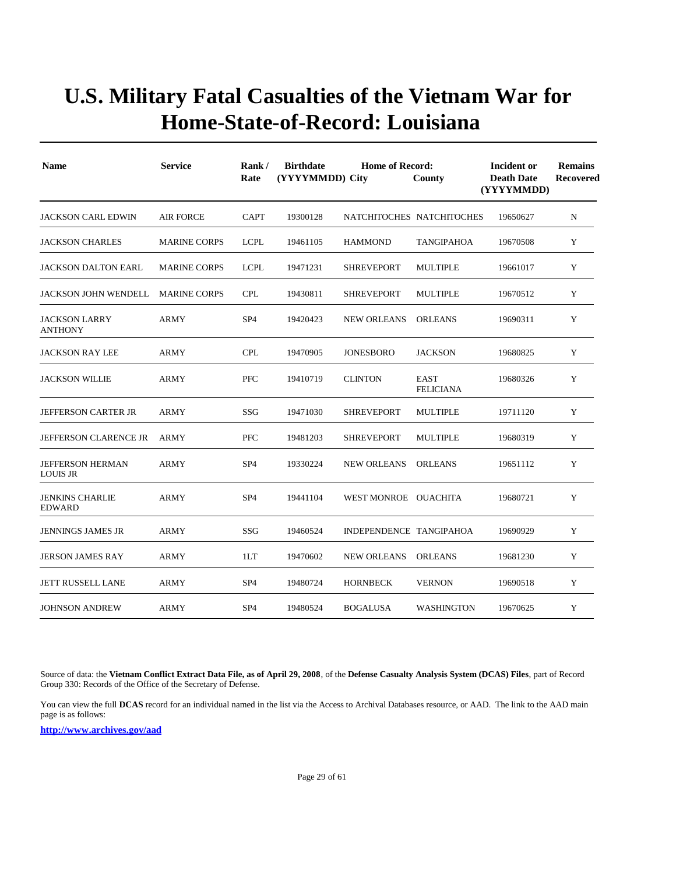| <b>Name</b>                                | <b>Service</b>      | Rank/<br>Rate   | <b>Birthdate</b><br>(YYYYMMDD) City | Incident or<br><b>Death Date</b><br>(YYYYMMDD) | <b>Remains</b><br>Recovered     |          |   |
|--------------------------------------------|---------------------|-----------------|-------------------------------------|------------------------------------------------|---------------------------------|----------|---|
| <b>JACKSON CARL EDWIN</b>                  | <b>AIR FORCE</b>    | <b>CAPT</b>     | 19300128                            | NATCHITOCHES NATCHITOCHES                      |                                 | 19650627 | N |
| <b>JACKSON CHARLES</b>                     | <b>MARINE CORPS</b> | <b>LCPL</b>     | 19461105                            | <b>HAMMOND</b>                                 | <b>TANGIPAHOA</b>               | 19670508 | Y |
| <b>JACKSON DALTON EARL</b>                 | <b>MARINE CORPS</b> | <b>LCPL</b>     | 19471231                            | <b>SHREVEPORT</b>                              | <b>MULTIPLE</b>                 | 19661017 | Y |
| <b>JACKSON JOHN WENDELL</b>                | <b>MARINE CORPS</b> | <b>CPL</b>      | 19430811                            | <b>SHREVEPORT</b>                              | <b>MULTIPLE</b>                 | 19670512 | Y |
| <b>JACKSON LARRY</b><br><b>ANTHONY</b>     | <b>ARMY</b>         | SP <sub>4</sub> | 19420423                            | <b>NEW ORLEANS</b>                             | <b>ORLEANS</b>                  | 19690311 | Y |
| <b>JACKSON RAY LEE</b>                     | <b>ARMY</b>         | <b>CPL</b>      | 19470905                            | <b>JONESBORO</b>                               | <b>JACKSON</b>                  | 19680825 | Y |
| <b>JACKSON WILLIE</b>                      | <b>ARMY</b>         | <b>PFC</b>      | 19410719                            | <b>CLINTON</b>                                 | <b>EAST</b><br><b>FELICIANA</b> | 19680326 | Y |
| <b>JEFFERSON CARTER JR</b>                 | ARMY                | SSG             | 19471030                            | <b>SHREVEPORT</b>                              | <b>MULTIPLE</b>                 | 19711120 | Y |
| <b>JEFFERSON CLARENCE JR</b>               | <b>ARMY</b>         | <b>PFC</b>      | 19481203                            | <b>SHREVEPORT</b>                              | <b>MULTIPLE</b>                 | 19680319 | Y |
| <b>JEFFERSON HERMAN</b><br><b>LOUIS JR</b> | <b>ARMY</b>         | SP <sub>4</sub> | 19330224                            | <b>NEW ORLEANS</b>                             | <b>ORLEANS</b>                  | 19651112 | Y |
| <b>JENKINS CHARLIE</b><br><b>EDWARD</b>    | <b>ARMY</b>         | SP <sub>4</sub> | 19441104                            | WEST MONROE OUACHITA                           |                                 | 19680721 | Y |
| <b>JENNINGS JAMES JR</b>                   | <b>ARMY</b>         | SSG             | 19460524                            | INDEPENDENCE TANGIPAHOA                        |                                 | 19690929 | Y |
| <b>JERSON JAMES RAY</b>                    | <b>ARMY</b>         | 1LT             | 19470602                            | <b>NEW ORLEANS</b>                             | <b>ORLEANS</b>                  | 19681230 | Y |
| <b>JETT RUSSELL LANE</b>                   | ARMY                | SP <sub>4</sub> | 19480724                            | <b>HORNBECK</b>                                | <b>VERNON</b>                   | 19690518 | Y |
| <b>JOHNSON ANDREW</b>                      | <b>ARMY</b>         | SP <sub>4</sub> | 19480524                            | <b>BOGALUSA</b>                                | <b>WASHINGTON</b>               | 19670625 | Y |

Source of data: the **Vietnam Conflict Extract Data File, as of April 29, 2008**, of the **Defense Casualty Analysis System (DCAS) Files**, part of Record Group 330: Records of the Office of the Secretary of Defense.

You can view the full **DCAS** record for an individual named in the list via the Access to Archival Databases resource, or AAD. The link to the AAD main page is as follows: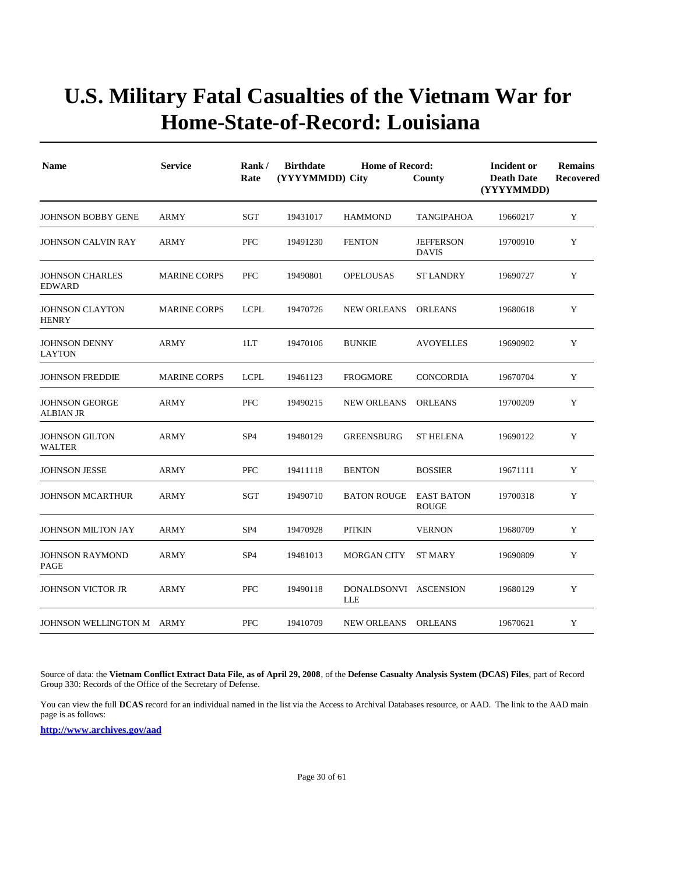| <b>Name</b>                               | <b>Service</b>      | Rank/<br>Rate   | <b>Birthdate</b><br><b>Home of Record:</b><br>(YYYYMMDD) City<br>County |                                     |                                   | Incident or<br><b>Death Date</b><br>(YYYYMMDD) | <b>Remains</b><br>Recovered |
|-------------------------------------------|---------------------|-----------------|-------------------------------------------------------------------------|-------------------------------------|-----------------------------------|------------------------------------------------|-----------------------------|
| <b>JOHNSON BOBBY GENE</b>                 | <b>ARMY</b>         | SGT             | 19431017                                                                | <b>HAMMOND</b>                      | TANGIPAHOA                        | 19660217                                       | Y                           |
| <b>JOHNSON CALVIN RAY</b>                 | <b>ARMY</b>         | <b>PFC</b>      | 19491230                                                                | <b>FENTON</b>                       | <b>JEFFERSON</b><br><b>DAVIS</b>  | 19700910                                       | Y                           |
| <b>JOHNSON CHARLES</b><br><b>EDWARD</b>   | <b>MARINE CORPS</b> | <b>PFC</b>      | 19490801                                                                | <b>OPELOUSAS</b>                    | ST LANDRY                         | 19690727                                       | Y                           |
| <b>JOHNSON CLAYTON</b><br><b>HENRY</b>    | <b>MARINE CORPS</b> | <b>LCPL</b>     | 19470726                                                                | <b>NEW ORLEANS</b>                  | <b>ORLEANS</b>                    | 19680618                                       | Y                           |
| <b>JOHNSON DENNY</b><br>LAYTON            | <b>ARMY</b>         | 1LT             | 19470106                                                                | <b>BUNKIE</b>                       | <b>AVOYELLES</b>                  | 19690902                                       | Y                           |
| <b>JOHNSON FREDDIE</b>                    | <b>MARINE CORPS</b> | <b>LCPL</b>     | 19461123                                                                | <b>FROGMORE</b>                     | <b>CONCORDIA</b>                  | 19670704                                       | Y                           |
| <b>JOHNSON GEORGE</b><br><b>ALBIAN JR</b> | <b>ARMY</b>         | <b>PFC</b>      | 19490215                                                                | <b>NEW ORLEANS</b>                  | <b>ORLEANS</b>                    | 19700209                                       | Y                           |
| <b>JOHNSON GILTON</b><br>WALTER           | <b>ARMY</b>         | SP <sub>4</sub> | 19480129                                                                | <b>GREENSBURG</b>                   | <b>ST HELENA</b>                  | 19690122                                       | Y                           |
| <b>JOHNSON JESSE</b>                      | <b>ARMY</b>         | PFC             | 19411118                                                                | <b>BENTON</b>                       | <b>BOSSIER</b>                    | 19671111                                       | Y                           |
| <b>JOHNSON MCARTHUR</b>                   | ARMY                | SGT             | 19490710                                                                | <b>BATON ROUGE</b>                  | <b>EAST BATON</b><br><b>ROUGE</b> | 19700318                                       | Y                           |
| <b>JOHNSON MILTON JAY</b>                 | <b>ARMY</b>         | SP <sub>4</sub> | 19470928                                                                | <b>PITKIN</b>                       | <b>VERNON</b>                     | 19680709                                       | Y                           |
| <b>JOHNSON RAYMOND</b><br>PAGE            | <b>ARMY</b>         | SP <sub>4</sub> | 19481013                                                                | <b>MORGAN CITY</b>                  | <b>ST MARY</b>                    | 19690809                                       | Y                           |
| <b>JOHNSON VICTOR JR</b>                  | <b>ARMY</b>         | PFC             | 19490118                                                                | DONALDSONVI ASCENSION<br><b>LLE</b> |                                   | 19680129                                       | Y                           |
| JOHNSON WELLINGTON M ARMY                 |                     | PFC             | 19410709                                                                | NEW ORLEANS ORLEANS                 |                                   | 19670621                                       | Y                           |

Source of data: the **Vietnam Conflict Extract Data File, as of April 29, 2008**, of the **Defense Casualty Analysis System (DCAS) Files**, part of Record Group 330: Records of the Office of the Secretary of Defense.

You can view the full **DCAS** record for an individual named in the list via the Access to Archival Databases resource, or AAD. The link to the AAD main page is as follows: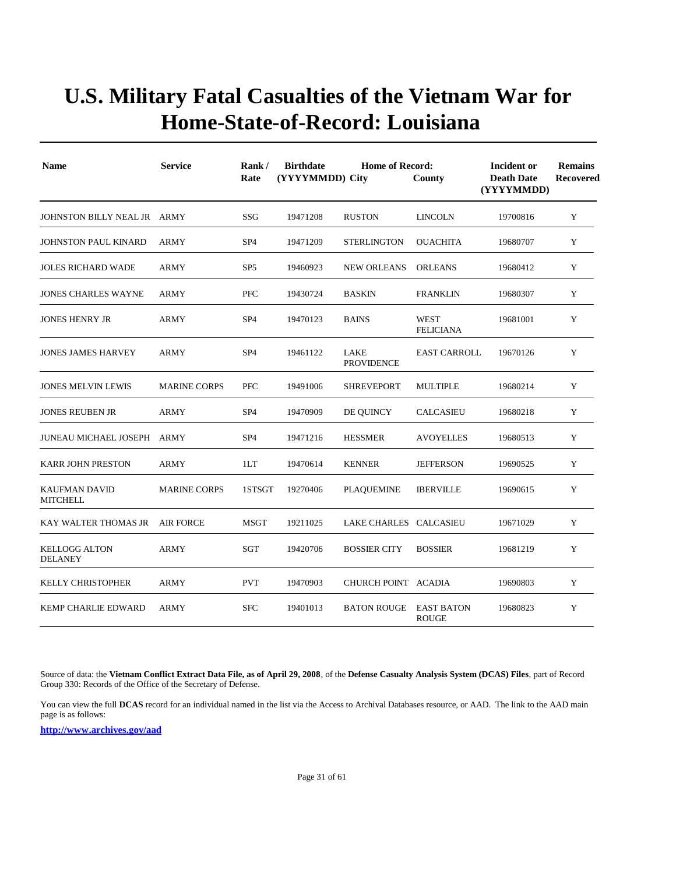| <b>Name</b>                             | <b>Service</b>      | Rank/<br>Rate   | <b>Birthdate</b><br>(YYYYMMDD) City | Incident or<br><b>Death Date</b><br>(YYYYMMDD) | <b>Remains</b><br><b>Recovered</b> |          |             |
|-----------------------------------------|---------------------|-----------------|-------------------------------------|------------------------------------------------|------------------------------------|----------|-------------|
| JOHNSTON BILLY NEAL JR ARMY             |                     | SSG             | 19471208                            | <b>RUSTON</b>                                  | <b>LINCOLN</b>                     | 19700816 | Y           |
| <b>JOHNSTON PAUL KINARD</b>             | <b>ARMY</b>         | SP <sub>4</sub> | 19471209                            | <b>STERLINGTON</b>                             | <b>OUACHITA</b>                    | 19680707 | Y           |
| <b>JOLES RICHARD WADE</b>               | <b>ARMY</b>         | SP <sub>5</sub> | 19460923                            | <b>NEW ORLEANS</b>                             | <b>ORLEANS</b>                     | 19680412 | Y           |
| <b>JONES CHARLES WAYNE</b>              | <b>ARMY</b>         | <b>PFC</b>      | 19430724                            | <b>BASKIN</b>                                  | <b>FRANKLIN</b>                    | 19680307 | Y           |
| <b>JONES HENRY JR</b>                   | ARMY                | SP <sub>4</sub> | 19470123                            | <b>BAINS</b>                                   | <b>WEST</b><br><b>FELICIANA</b>    | 19681001 | Y           |
| <b>JONES JAMES HARVEY</b>               | <b>ARMY</b>         | SP <sub>4</sub> | 19461122                            | LAKE<br><b>PROVIDENCE</b>                      | <b>EAST CARROLL</b>                | 19670126 | Y           |
| <b>JONES MELVIN LEWIS</b>               | <b>MARINE CORPS</b> | <b>PFC</b>      | 19491006                            | <b>SHREVEPORT</b>                              | <b>MULTIPLE</b>                    | 19680214 | $\mathbf Y$ |
| <b>JONES REUBEN JR</b>                  | <b>ARMY</b>         | SP <sub>4</sub> | 19470909                            | DE QUINCY                                      | <b>CALCASIEU</b>                   | 19680218 | Y           |
| <b>JUNEAU MICHAEL JOSEPH ARMY</b>       |                     | SP <sub>4</sub> | 19471216                            | <b>HESSMER</b>                                 | <b>AVOYELLES</b>                   | 19680513 | Y           |
| <b>KARR JOHN PRESTON</b>                | ARMY                | 1LT             | 19470614                            | <b>KENNER</b>                                  | <b>JEFFERSON</b>                   | 19690525 | Y           |
| <b>KAUFMAN DAVID</b><br><b>MITCHELL</b> | <b>MARINE CORPS</b> | 1STSGT          | 19270406                            | <b>PLAQUEMINE</b>                              | <b>IBERVILLE</b>                   | 19690615 | Y           |
| KAY WALTER THOMAS JR                    | <b>AIR FORCE</b>    | <b>MSGT</b>     | 19211025                            | LAKE CHARLES CALCASIEU                         |                                    | 19671029 | Y           |
| <b>KELLOGG ALTON</b><br><b>DELANEY</b>  | ARMY                | SGT             | 19420706                            | <b>BOSSIER CITY</b>                            | <b>BOSSIER</b>                     | 19681219 | Y           |
| <b>KELLY CHRISTOPHER</b>                | <b>ARMY</b>         | <b>PVT</b>      | 19470903                            | CHURCH POINT ACADIA                            |                                    | 19690803 | Y           |
| <b>KEMP CHARLIE EDWARD</b>              | ARMY                | <b>SFC</b>      | 19401013                            | <b>BATON ROUGE</b>                             | <b>EAST BATON</b><br><b>ROUGE</b>  | 19680823 | Y           |

Source of data: the **Vietnam Conflict Extract Data File, as of April 29, 2008**, of the **Defense Casualty Analysis System (DCAS) Files**, part of Record Group 330: Records of the Office of the Secretary of Defense.

You can view the full **DCAS** record for an individual named in the list via the Access to Archival Databases resource, or AAD. The link to the AAD main page is as follows: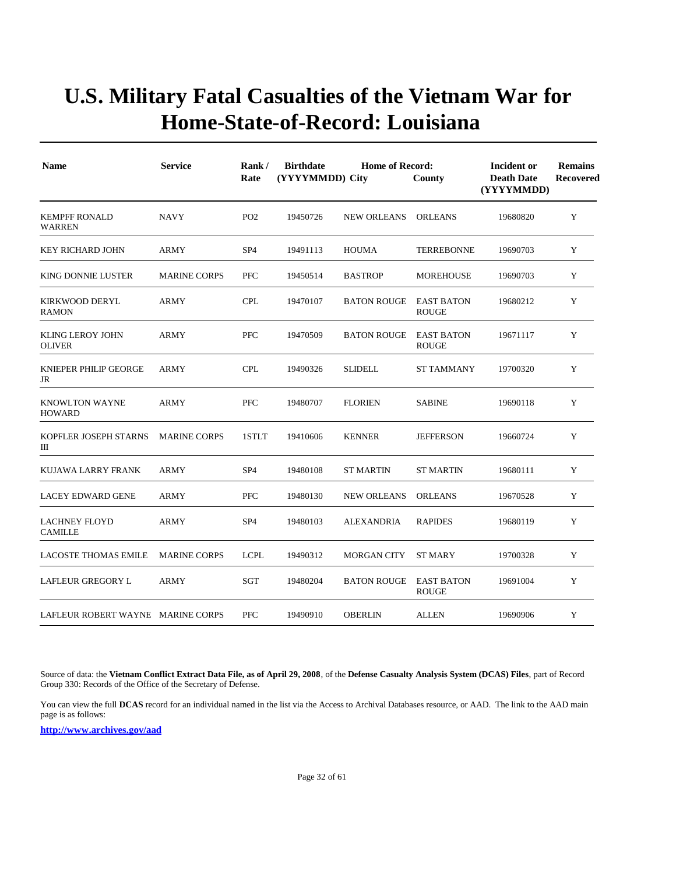| <b>Name</b>                              | <b>Service</b>      | Rank/<br>Rate   | <b>Birthdate</b><br><b>Home of Record:</b><br>(YYYYMMDD) City<br>County |                    |                                   | <b>Incident or</b><br><b>Death Date</b><br>(YYYYMMDD) | <b>Remains</b><br><b>Recovered</b> |
|------------------------------------------|---------------------|-----------------|-------------------------------------------------------------------------|--------------------|-----------------------------------|-------------------------------------------------------|------------------------------------|
| <b>KEMPFF RONALD</b><br><b>WARREN</b>    | <b>NAVY</b>         | PO <sub>2</sub> | 19450726                                                                | <b>NEW ORLEANS</b> | <b>ORLEANS</b>                    | 19680820                                              | Y                                  |
| <b>KEY RICHARD JOHN</b>                  | ARMY                | SP <sub>4</sub> | 19491113                                                                | <b>HOUMA</b>       | <b>TERREBONNE</b>                 | 19690703                                              | Y                                  |
| <b>KING DONNIE LUSTER</b>                | <b>MARINE CORPS</b> | <b>PFC</b>      | 19450514                                                                | <b>BASTROP</b>     | <b>MOREHOUSE</b>                  | 19690703                                              | Y                                  |
| <b>KIRKWOOD DERYL</b><br><b>RAMON</b>    | <b>ARMY</b>         | <b>CPL</b>      | 19470107                                                                | <b>BATON ROUGE</b> | EAST BATON<br><b>ROUGE</b>        | 19680212                                              | Y                                  |
| <b>KLING LEROY JOHN</b><br><b>OLIVER</b> | <b>ARMY</b>         | <b>PFC</b>      | 19470509                                                                | <b>BATON ROUGE</b> | <b>EAST BATON</b><br><b>ROUGE</b> | 19671117                                              | Y                                  |
| KNIEPER PHILIP GEORGE<br>JR              | <b>ARMY</b>         | <b>CPL</b>      | 19490326                                                                | <b>SLIDELL</b>     | <b>ST TAMMANY</b>                 | 19700320                                              | Y                                  |
| <b>KNOWLTON WAYNE</b><br><b>HOWARD</b>   | ARMY                | PFC             | 19480707                                                                | <b>FLORIEN</b>     | <b>SABINE</b>                     | 19690118                                              | $\mathbf Y$                        |
| KOPFLER JOSEPH STARNS<br>Ш               | <b>MARINE CORPS</b> | 1STLT           | 19410606                                                                | <b>KENNER</b>      | <b>JEFFERSON</b>                  | 19660724                                              | Y                                  |
| KUJAWA LARRY FRANK                       | <b>ARMY</b>         | SP <sub>4</sub> | 19480108                                                                | <b>ST MARTIN</b>   | <b>ST MARTIN</b>                  | 19680111                                              | Y                                  |
| <b>LACEY EDWARD GENE</b>                 | <b>ARMY</b>         | <b>PFC</b>      | 19480130                                                                | <b>NEW ORLEANS</b> | <b>ORLEANS</b>                    | 19670528                                              | Y                                  |
| <b>LACHNEY FLOYD</b><br><b>CAMILLE</b>   | <b>ARMY</b>         | SP <sub>4</sub> | 19480103                                                                | <b>ALEXANDRIA</b>  | <b>RAPIDES</b>                    | 19680119                                              | Y                                  |
| <b>LACOSTE THOMAS EMILE</b>              | <b>MARINE CORPS</b> | <b>LCPL</b>     | 19490312                                                                | <b>MORGAN CITY</b> | <b>ST MARY</b>                    | 19700328                                              | Y                                  |
| LAFLEUR GREGORY L                        | <b>ARMY</b>         | SGT             | 19480204                                                                | <b>BATON ROUGE</b> | <b>EAST BATON</b><br><b>ROUGE</b> | 19691004                                              | Y                                  |
| LAFLEUR ROBERT WAYNE MARINE CORPS        |                     | <b>PFC</b>      | 19490910                                                                | <b>OBERLIN</b>     | <b>ALLEN</b>                      | 19690906                                              | Y                                  |

Source of data: the **Vietnam Conflict Extract Data File, as of April 29, 2008**, of the **Defense Casualty Analysis System (DCAS) Files**, part of Record Group 330: Records of the Office of the Secretary of Defense.

You can view the full **DCAS** record for an individual named in the list via the Access to Archival Databases resource, or AAD. The link to the AAD main page is as follows: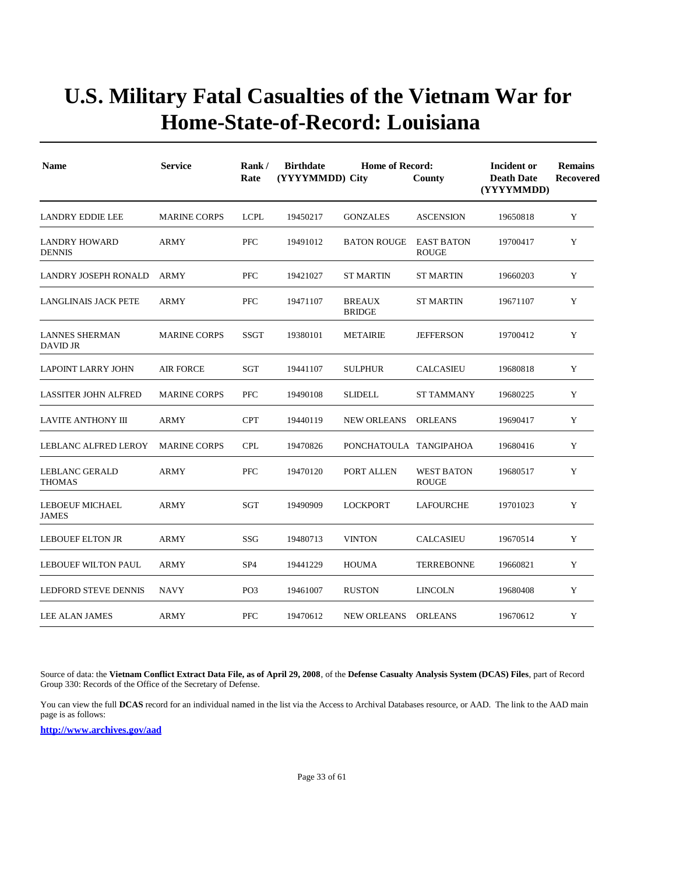| <b>Name</b>                              | <b>Service</b>      | Rank/<br>Rate   | <b>Birthdate</b><br>(YYYYMMDD) City | <b>Home of Record:</b>         | County                            | Incident or<br><b>Death Date</b><br>(YYYYMMDD) | <b>Remains</b><br>Recovered |
|------------------------------------------|---------------------|-----------------|-------------------------------------|--------------------------------|-----------------------------------|------------------------------------------------|-----------------------------|
| <b>LANDRY EDDIE LEE</b>                  | <b>MARINE CORPS</b> | <b>LCPL</b>     | 19450217                            | <b>GONZALES</b>                | <b>ASCENSION</b>                  | 19650818                                       | Y                           |
| <b>LANDRY HOWARD</b><br><b>DENNIS</b>    | <b>ARMY</b>         | PFC             | 19491012                            | <b>BATON ROUGE</b>             | <b>EAST BATON</b><br><b>ROUGE</b> | 19700417                                       | Y                           |
| LANDRY JOSEPH RONALD                     | ARMY                | <b>PFC</b>      | 19421027                            | <b>ST MARTIN</b>               | <b>ST MARTIN</b>                  | 19660203                                       | Y                           |
| LANGLINAIS JACK PETE                     | ARMY                | <b>PFC</b>      | 19471107                            | <b>BREAUX</b><br><b>BRIDGE</b> | ST MARTIN                         | 19671107                                       | Y                           |
| <b>LANNES SHERMAN</b><br><b>DAVID JR</b> | <b>MARINE CORPS</b> | <b>SSGT</b>     | 19380101                            | <b>METAIRIE</b>                | <b>JEFFERSON</b>                  | 19700412                                       | Y                           |
| <b>LAPOINT LARRY JOHN</b>                | <b>AIR FORCE</b>    | <b>SGT</b>      | 19441107                            | <b>SULPHUR</b>                 | <b>CALCASIEU</b>                  | 19680818                                       | Y                           |
| <b>LASSITER JOHN ALFRED</b>              | <b>MARINE CORPS</b> | <b>PFC</b>      | 19490108                            | <b>SLIDELL</b>                 | <b>ST TAMMANY</b>                 | 19680225                                       | Y                           |
| <b>LAVITE ANTHONY III</b>                | ARMY                | <b>CPT</b>      | 19440119                            | <b>NEW ORLEANS</b>             | <b>ORLEANS</b>                    | 19690417                                       | Y                           |
| LEBLANC ALFRED LEROY                     | <b>MARINE CORPS</b> | <b>CPL</b>      | 19470826                            | PONCHATOULA TANGIPAHOA         |                                   | 19680416                                       | Y                           |
| <b>LEBLANC GERALD</b><br>THOMAS          | <b>ARMY</b>         | PFC             | 19470120                            | PORT ALLEN                     | <b>WEST BATON</b><br><b>ROUGE</b> | 19680517                                       | Y                           |
| <b>LEBOEUF MICHAEL</b><br><b>JAMES</b>   | <b>ARMY</b>         | SGT             | 19490909                            | <b>LOCKPORT</b>                | LAFOURCHE                         | 19701023                                       | Y                           |
| <b>LEBOUEF ELTON JR</b>                  | ARMY                | SSG             | 19480713                            | <b>VINTON</b>                  | CALCASIEU                         | 19670514                                       | Y                           |
| <b>LEBOUEF WILTON PAUL</b>               | ARMY                | SP <sub>4</sub> | 19441229                            | HOUMA                          | <b>TERREBONNE</b>                 | 19660821                                       | Y                           |
| LEDFORD STEVE DENNIS                     | <b>NAVY</b>         | PO <sub>3</sub> | 19461007                            | <b>RUSTON</b>                  | <b>LINCOLN</b>                    | 19680408                                       | Y                           |
| LEE ALAN JAMES                           | <b>ARMY</b>         | <b>PFC</b>      | 19470612                            | <b>NEW ORLEANS</b>             | <b>ORLEANS</b>                    | 19670612                                       | Y                           |

Source of data: the **Vietnam Conflict Extract Data File, as of April 29, 2008**, of the **Defense Casualty Analysis System (DCAS) Files**, part of Record Group 330: Records of the Office of the Secretary of Defense.

You can view the full **DCAS** record for an individual named in the list via the Access to Archival Databases resource, or AAD. The link to the AAD main page is as follows: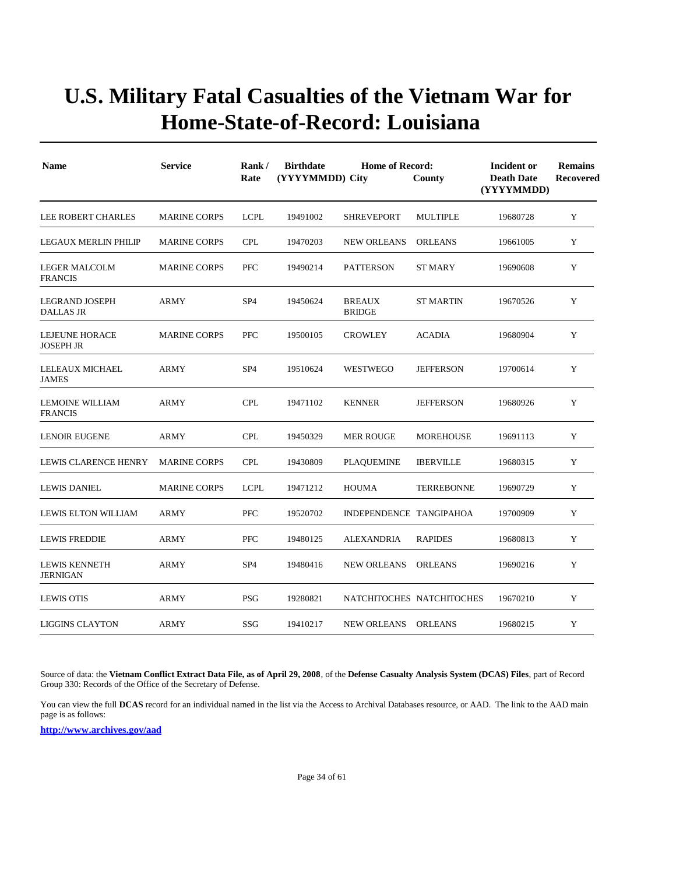| <b>Name</b>                              | <b>Service</b>      | Rank/<br>Rate   | <b>Birthdate</b><br>(YYYYMMDD) City | Incident or<br><b>Death Date</b><br>(YYYYMMDD) | <b>Remains</b><br><b>Recovered</b> |          |   |
|------------------------------------------|---------------------|-----------------|-------------------------------------|------------------------------------------------|------------------------------------|----------|---|
| <b>LEE ROBERT CHARLES</b>                | <b>MARINE CORPS</b> | <b>LCPL</b>     | 19491002                            | <b>SHREVEPORT</b>                              | <b>MULTIPLE</b>                    | 19680728 | Y |
| <b>LEGAUX MERLIN PHILIP</b>              | <b>MARINE CORPS</b> | <b>CPL</b>      | 19470203                            | <b>NEW ORLEANS</b>                             | <b>ORLEANS</b>                     | 19661005 | Y |
| <b>LEGER MALCOLM</b><br><b>FRANCIS</b>   | <b>MARINE CORPS</b> | <b>PFC</b>      | 19490214                            | <b>PATTERSON</b>                               | <b>ST MARY</b>                     | 19690608 | Y |
| LEGRAND JOSEPH<br><b>DALLAS JR</b>       | ARMY                | SP <sub>4</sub> | 19450624                            | <b>BREAUX</b><br><b>BRIDGE</b>                 | <b>ST MARTIN</b>                   | 19670526 | Y |
| LEJEUNE HORACE<br><b>JOSEPH JR</b>       | <b>MARINE CORPS</b> | <b>PFC</b>      | 19500105                            | <b>CROWLEY</b>                                 | <b>ACADIA</b>                      | 19680904 | Y |
| LELEAUX MICHAEL<br><b>JAMES</b>          | <b>ARMY</b>         | SP <sub>4</sub> | 19510624                            | WESTWEGO                                       | <b>JEFFERSON</b>                   | 19700614 | Y |
| <b>LEMOINE WILLIAM</b><br><b>FRANCIS</b> | ARMY                | <b>CPL</b>      | 19471102                            | <b>KENNER</b>                                  | <b>JEFFERSON</b>                   | 19680926 | Y |
| <b>LENOIR EUGENE</b>                     | ARMY                | <b>CPL</b>      | 19450329                            | <b>MER ROUGE</b>                               | <b>MOREHOUSE</b>                   | 19691113 | Y |
| LEWIS CLARENCE HENRY                     | <b>MARINE CORPS</b> | <b>CPL</b>      | 19430809                            | <b>PLAQUEMINE</b>                              | <b>IBERVILLE</b>                   | 19680315 | Y |
| <b>LEWIS DANIEL</b>                      | <b>MARINE CORPS</b> | <b>LCPL</b>     | 19471212                            | <b>HOUMA</b>                                   | <b>TERREBONNE</b>                  | 19690729 | Y |
| LEWIS ELTON WILLIAM                      | <b>ARMY</b>         | PFC             | 19520702                            | INDEPENDENCE TANGIPAHOA                        |                                    | 19700909 | Y |
| <b>LEWIS FREDDIE</b>                     | <b>ARMY</b>         | <b>PFC</b>      | 19480125                            | ALEXANDRIA                                     | <b>RAPIDES</b>                     | 19680813 | Y |
| <b>LEWIS KENNETH</b><br><b>JERNIGAN</b>  | <b>ARMY</b>         | SP <sub>4</sub> | 19480416                            | <b>NEW ORLEANS</b>                             | <b>ORLEANS</b>                     | 19690216 | Y |
| <b>LEWIS OTIS</b>                        | ARMY                | <b>PSG</b>      | 19280821                            |                                                | NATCHITOCHES NATCHITOCHES          | 19670210 | Y |
| <b>LIGGINS CLAYTON</b>                   | ARMY                | SSG             | 19410217                            | <b>NEW ORLEANS</b>                             | <b>ORLEANS</b>                     | 19680215 | Y |

Source of data: the **Vietnam Conflict Extract Data File, as of April 29, 2008**, of the **Defense Casualty Analysis System (DCAS) Files**, part of Record Group 330: Records of the Office of the Secretary of Defense.

You can view the full **DCAS** record for an individual named in the list via the Access to Archival Databases resource, or AAD. The link to the AAD main page is as follows: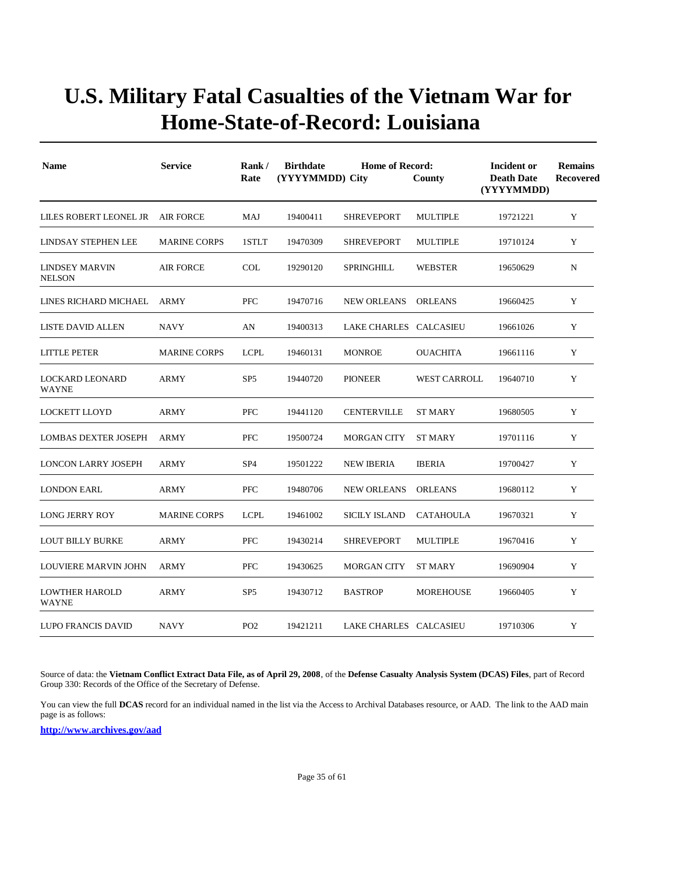| <b>Name</b>                            | <b>Service</b>      | Rank/<br>Rate   | <b>Birthdate</b><br>(YYYYMMDD) City | <b>Home of Record:</b><br>County | Incident or<br><b>Death Date</b><br>(YYYYMMDD) | <b>Remains</b><br><b>Recovered</b> |   |
|----------------------------------------|---------------------|-----------------|-------------------------------------|----------------------------------|------------------------------------------------|------------------------------------|---|
| LILES ROBERT LEONEL JR                 | AIR FORCE           | MAJ             | 19400411                            | <b>SHREVEPORT</b>                | <b>MULTIPLE</b>                                | 19721221                           | Y |
| <b>LINDSAY STEPHEN LEE</b>             | <b>MARINE CORPS</b> | 1STLT           | 19470309                            | <b>SHREVEPORT</b>                | <b>MULTIPLE</b>                                | 19710124                           | Y |
| <b>LINDSEY MARVIN</b><br><b>NELSON</b> | <b>AIR FORCE</b>    | <b>COL</b>      | 19290120                            | SPRINGHILL                       | <b>WEBSTER</b>                                 | 19650629                           | N |
| LINES RICHARD MICHAEL                  | ARMY                | <b>PFC</b>      | 19470716                            | <b>NEW ORLEANS</b>               | <b>ORLEANS</b>                                 | 19660425                           | Y |
| <b>LISTE DAVID ALLEN</b>               | <b>NAVY</b>         | AN              | 19400313                            | LAKE CHARLES CALCASIEU           |                                                | 19661026                           | Y |
| <b>LITTLE PETER</b>                    | <b>MARINE CORPS</b> | <b>LCPL</b>     | 19460131                            | <b>MONROE</b>                    | <b>OUACHITA</b>                                | 19661116                           | Y |
| <b>LOCKARD LEONARD</b><br><b>WAYNE</b> | <b>ARMY</b>         | SP <sub>5</sub> | 19440720                            | <b>PIONEER</b>                   | <b>WEST CARROLL</b>                            | 19640710                           | Y |
| LOCKETT LLOYD                          | <b>ARMY</b>         | <b>PFC</b>      | 19441120                            | <b>CENTERVILLE</b>               | ST MARY                                        | 19680505                           | Y |
| <b>LOMBAS DEXTER JOSEPH</b>            | <b>ARMY</b>         | <b>PFC</b>      | 19500724                            | <b>MORGAN CITY</b>               | <b>ST MARY</b>                                 | 19701116                           | Y |
| <b>LONCON LARRY JOSEPH</b>             | <b>ARMY</b>         | SP <sub>4</sub> | 19501222                            | <b>NEW IBERIA</b>                | <b>IBERIA</b>                                  | 19700427                           | Y |
| <b>LONDON EARL</b>                     | <b>ARMY</b>         | <b>PFC</b>      | 19480706                            | <b>NEW ORLEANS</b>               | <b>ORLEANS</b>                                 | 19680112                           | Y |
| <b>LONG JERRY ROY</b>                  | <b>MARINE CORPS</b> | <b>LCPL</b>     | 19461002                            | <b>SICILY ISLAND</b>             | <b>CATAHOULA</b>                               | 19670321                           | Y |
| <b>LOUT BILLY BURKE</b>                | <b>ARMY</b>         | <b>PFC</b>      | 19430214                            | <b>SHREVEPORT</b>                | <b>MULTIPLE</b>                                | 19670416                           | Y |
| LOUVIERE MARVIN JOHN                   | <b>ARMY</b>         | <b>PFC</b>      | 19430625                            | <b>MORGAN CITY</b>               | <b>ST MARY</b>                                 | 19690904                           | Y |
| <b>LOWTHER HAROLD</b><br><b>WAYNE</b>  | <b>ARMY</b>         | SP <sub>5</sub> | 19430712                            | <b>BASTROP</b>                   | <b>MOREHOUSE</b>                               | 19660405                           | Y |
| LUPO FRANCIS DAVID                     | <b>NAVY</b>         | PO <sub>2</sub> | 19421211                            | LAKE CHARLES CALCASIEU           |                                                | 19710306                           | Y |

Source of data: the **Vietnam Conflict Extract Data File, as of April 29, 2008**, of the **Defense Casualty Analysis System (DCAS) Files**, part of Record Group 330: Records of the Office of the Secretary of Defense.

You can view the full **DCAS** record for an individual named in the list via the Access to Archival Databases resource, or AAD. The link to the AAD main page is as follows: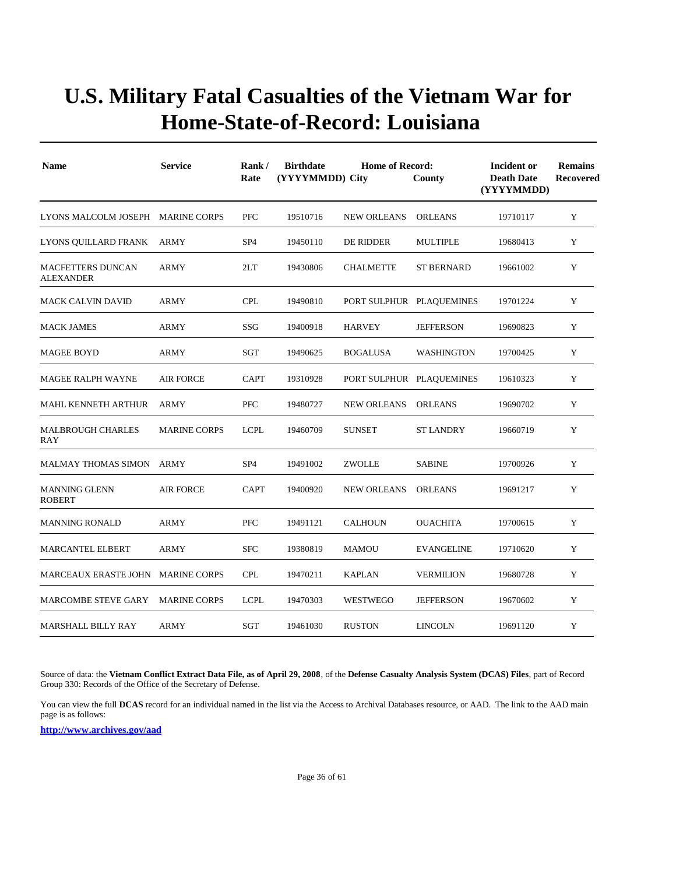| <b>Name</b>                                  | <b>Service</b>      | Rank/<br>Rate   | <b>Birthdate</b><br>(YYYYMMDD) City | Incident or<br><b>Death Date</b><br>(YYYYMMDD) | <b>Remains</b><br><b>Recovered</b> |          |   |
|----------------------------------------------|---------------------|-----------------|-------------------------------------|------------------------------------------------|------------------------------------|----------|---|
| LYONS MALCOLM JOSEPH MARINE CORPS            |                     | <b>PFC</b>      | 19510716                            | <b>NEW ORLEANS</b>                             | <b>ORLEANS</b>                     | 19710117 | Y |
| LYONS QUILLARD FRANK                         | ARMY                | SP <sub>4</sub> | 19450110                            | DE RIDDER                                      | <b>MULTIPLE</b>                    | 19680413 | Y |
| <b>MACFETTERS DUNCAN</b><br><b>ALEXANDER</b> | <b>ARMY</b>         | 2LT             | 19430806                            | <b>CHALMETTE</b>                               | <b>ST BERNARD</b>                  | 19661002 | Y |
| <b>MACK CALVIN DAVID</b>                     | <b>ARMY</b>         | <b>CPL</b>      | 19490810                            |                                                | PORT SULPHUR PLAQUEMINES           | 19701224 | Y |
| <b>MACK JAMES</b>                            | <b>ARMY</b>         | <b>SSG</b>      | 19400918                            | <b>HARVEY</b>                                  | <b>JEFFERSON</b>                   | 19690823 | Y |
| <b>MAGEE BOYD</b>                            | ARMY                | SGT             | 19490625                            | <b>BOGALUSA</b>                                | WASHINGTON                         | 19700425 | Y |
| <b>MAGEE RALPH WAYNE</b>                     | AIR FORCE           | <b>CAPT</b>     | 19310928                            |                                                | PORT SULPHUR PLAQUEMINES           | 19610323 | Y |
| MAHL KENNETH ARTHUR                          | ARMY                | <b>PFC</b>      | 19480727                            | <b>NEW ORLEANS</b>                             | <b>ORLEANS</b>                     | 19690702 | Y |
| <b>MALBROUGH CHARLES</b><br>RAY              | <b>MARINE CORPS</b> | <b>LCPL</b>     | 19460709                            | <b>SUNSET</b>                                  | <b>ST LANDRY</b>                   | 19660719 | Y |
| <b>MALMAY THOMAS SIMON</b>                   | ARMY                | SP <sub>4</sub> | 19491002                            | <b>ZWOLLE</b>                                  | <b>SABINE</b>                      | 19700926 | Y |
| <b>MANNING GLENN</b><br><b>ROBERT</b>        | <b>AIR FORCE</b>    | <b>CAPT</b>     | 19400920                            | <b>NEW ORLEANS</b>                             | <b>ORLEANS</b>                     | 19691217 | Y |
| <b>MANNING RONALD</b>                        | ARMY                | <b>PFC</b>      | 19491121                            | <b>CALHOUN</b>                                 | <b>OUACHITA</b>                    | 19700615 | Y |
| <b>MARCANTEL ELBERT</b>                      | ARMY                | <b>SFC</b>      | 19380819                            | <b>MAMOU</b>                                   | <b>EVANGELINE</b>                  | 19710620 | Y |
| MARCEAUX ERASTE JOHN MARINE CORPS            |                     | <b>CPL</b>      | 19470211                            | <b>KAPLAN</b>                                  | <b>VERMILION</b>                   | 19680728 | Y |
| MARCOMBE STEVE GARY                          | <b>MARINE CORPS</b> | <b>LCPL</b>     | 19470303                            | WESTWEGO                                       | <b>JEFFERSON</b>                   | 19670602 | Y |
| <b>MARSHALL BILLY RAY</b>                    | <b>ARMY</b>         | <b>SGT</b>      | 19461030                            | <b>RUSTON</b>                                  | <b>LINCOLN</b>                     | 19691120 | Y |

Source of data: the **Vietnam Conflict Extract Data File, as of April 29, 2008**, of the **Defense Casualty Analysis System (DCAS) Files**, part of Record Group 330: Records of the Office of the Secretary of Defense.

You can view the full **DCAS** record for an individual named in the list via the Access to Archival Databases resource, or AAD. The link to the AAD main page is as follows: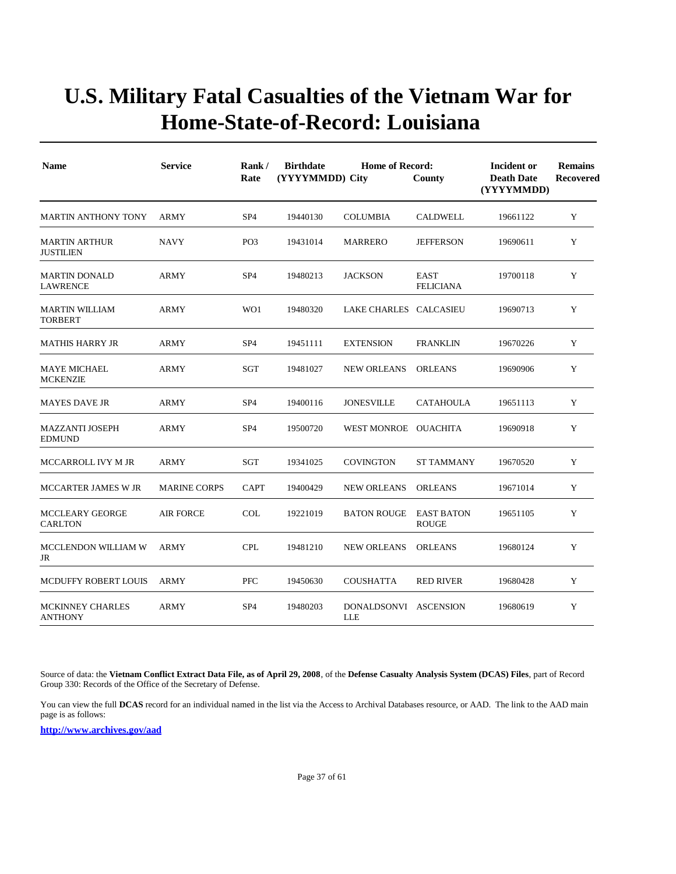| <b>Name</b>                               | <b>Service</b>      | Rank/<br>Rate   | <b>Birthdate</b><br>(YYYYMMDD) City | <b>Home of Record:</b><br>County |                                   | Incident or<br><b>Death Date</b><br>(YYYYMMDD) | <b>Remains</b><br>Recovered |
|-------------------------------------------|---------------------|-----------------|-------------------------------------|----------------------------------|-----------------------------------|------------------------------------------------|-----------------------------|
| <b>MARTIN ANTHONY TONY</b>                | <b>ARMY</b>         | SP <sub>4</sub> | 19440130                            | <b>COLUMBIA</b>                  | <b>CALDWELL</b>                   | 19661122                                       | Y                           |
| <b>MARTIN ARTHUR</b><br><b>JUSTILIEN</b>  | NAVY                | PO <sub>3</sub> | 19431014                            | MARRERO                          | <b>JEFFERSON</b>                  | 19690611                                       | Y                           |
| <b>MARTIN DONALD</b><br><b>LAWRENCE</b>   | ARMY                | SP <sub>4</sub> | 19480213                            | <b>JACKSON</b>                   | <b>EAST</b><br><b>FELICIANA</b>   | 19700118                                       | Y                           |
| <b>MARTIN WILLIAM</b><br><b>TORBERT</b>   | <b>ARMY</b>         | WO1             | 19480320                            | LAKE CHARLES CALCASIEU           |                                   | 19690713                                       | Y                           |
| MATHIS HARRY JR                           | <b>ARMY</b>         | SP <sub>4</sub> | 19451111                            | <b>EXTENSION</b>                 | <b>FRANKLIN</b>                   | 19670226                                       | Y                           |
| <b>MAYE MICHAEL</b><br><b>MCKENZIE</b>    | <b>ARMY</b>         | SGT             | 19481027                            | <b>NEW ORLEANS</b>               | <b>ORLEANS</b>                    | 19690906                                       | Y                           |
| <b>MAYES DAVE JR</b>                      | <b>ARMY</b>         | SP <sub>4</sub> | 19400116                            | <b>JONESVILLE</b>                | <b>CATAHOULA</b>                  | 19651113                                       | Y                           |
| <b>MAZZANTI JOSEPH</b><br><b>EDMUND</b>   | <b>ARMY</b>         | SP <sub>4</sub> | 19500720                            | WEST MONROE OUACHITA             |                                   | 19690918                                       | Y                           |
| MCCARROLL IVY M JR                        | <b>ARMY</b>         | SGT             | 19341025                            | <b>COVINGTON</b>                 | <b>ST TAMMANY</b>                 | 19670520                                       | Y                           |
| MCCARTER JAMES W JR                       | <b>MARINE CORPS</b> | <b>CAPT</b>     | 19400429                            | <b>NEW ORLEANS</b>               | <b>ORLEANS</b>                    | 19671014                                       | Y                           |
| <b>MCCLEARY GEORGE</b><br><b>CARLTON</b>  | <b>AIR FORCE</b>    | <b>COL</b>      | 19221019                            | <b>BATON ROUGE</b>               | <b>EAST BATON</b><br><b>ROUGE</b> | 19651105                                       | Y                           |
| MCCLENDON WILLIAM W<br>JR                 | <b>ARMY</b>         | <b>CPL</b>      | 19481210                            | <b>NEW ORLEANS</b>               | <b>ORLEANS</b>                    | 19680124                                       | Y                           |
| MCDUFFY ROBERT LOUIS                      | <b>ARMY</b>         | <b>PFC</b>      | 19450630                            | <b>COUSHATTA</b>                 | <b>RED RIVER</b>                  | 19680428                                       | Y                           |
| <b>MCKINNEY CHARLES</b><br><b>ANTHONY</b> | <b>ARMY</b>         | SP <sub>4</sub> | 19480203                            | DONALDSONVI ASCENSION<br>LLE     |                                   | 19680619                                       | Y                           |

Source of data: the **Vietnam Conflict Extract Data File, as of April 29, 2008**, of the **Defense Casualty Analysis System (DCAS) Files**, part of Record Group 330: Records of the Office of the Secretary of Defense.

You can view the full **DCAS** record for an individual named in the list via the Access to Archival Databases resource, or AAD. The link to the AAD main page is as follows: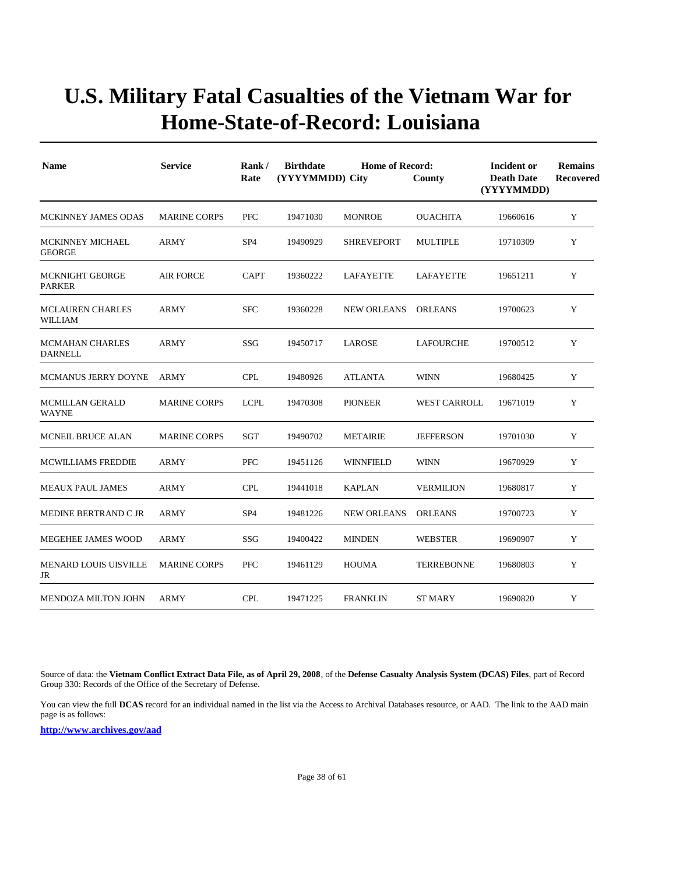| <b>Name</b>                               | <b>Service</b>      | Rank/<br>Rate   | <b>Birthdate</b> | <b>Home of Record:</b><br>(YYYYMMDD) City<br>County |                     | Incident or<br><b>Death Date</b><br>(YYYYMMDD) | <b>Remains</b><br>Recovered |
|-------------------------------------------|---------------------|-----------------|------------------|-----------------------------------------------------|---------------------|------------------------------------------------|-----------------------------|
| <b>MCKINNEY JAMES ODAS</b>                | <b>MARINE CORPS</b> | <b>PFC</b>      | 19471030         | <b>MONROE</b>                                       | <b>OUACHITA</b>     | 19660616                                       | Y                           |
| <b>MCKINNEY MICHAEL</b><br><b>GEORGE</b>  | <b>ARMY</b>         | SP <sub>4</sub> | 19490929         | <b>SHREVEPORT</b>                                   | <b>MULTIPLE</b>     | 19710309                                       | Y                           |
| <b>MCKNIGHT GEORGE</b><br><b>PARKER</b>   | <b>AIR FORCE</b>    | <b>CAPT</b>     | 19360222         | LAFAYETTE                                           | LAFAYETTE           | 19651211                                       | Y                           |
| <b>MCLAUREN CHARLES</b><br><b>WILLIAM</b> | <b>ARMY</b>         | <b>SFC</b>      | 19360228         | <b>NEW ORLEANS</b>                                  | <b>ORLEANS</b>      | 19700623                                       | Y                           |
| <b>MCMAHAN CHARLES</b><br><b>DARNELL</b>  | <b>ARMY</b>         | SSG             | 19450717         | LAROSE                                              | LAFOURCHE           | 19700512                                       | Y                           |
| MCMANUS JERRY DOYNE                       | ARMY                | <b>CPL</b>      | 19480926         | <b>ATLANTA</b>                                      | <b>WINN</b>         | 19680425                                       | Y                           |
| <b>MCMILLAN GERALD</b><br><b>WAYNE</b>    | <b>MARINE CORPS</b> | <b>LCPL</b>     | 19470308         | <b>PIONEER</b>                                      | <b>WEST CARROLL</b> | 19671019                                       | Y                           |
| <b>MCNEIL BRUCE ALAN</b>                  | <b>MARINE CORPS</b> | <b>SGT</b>      | 19490702         | <b>METAIRIE</b>                                     | <b>JEFFERSON</b>    | 19701030                                       | Y                           |
| <b>MCWILLIAMS FREDDIE</b>                 | <b>ARMY</b>         | <b>PFC</b>      | 19451126         | <b>WINNFIELD</b>                                    | <b>WINN</b>         | 19670929                                       | Y                           |
| <b>MEAUX PAUL JAMES</b>                   | ARMY                | <b>CPL</b>      | 19441018         | <b>KAPLAN</b>                                       | <b>VERMILION</b>    | 19680817                                       | Y                           |
| MEDINE BERTRAND C JR                      | ARMY                | SP <sub>4</sub> | 19481226         | <b>NEW ORLEANS</b>                                  | <b>ORLEANS</b>      | 19700723                                       | Y                           |
| MEGEHEE JAMES WOOD                        | <b>ARMY</b>         | SSG             | 19400422         | <b>MINDEN</b>                                       | <b>WEBSTER</b>      | 19690907                                       | Y                           |
| <b>MENARD LOUIS UISVILLE</b><br>JR        | <b>MARINE CORPS</b> | <b>PFC</b>      | 19461129         | <b>HOUMA</b>                                        | <b>TERREBONNE</b>   | 19680803                                       | Y                           |
| <b>MENDOZA MILTON JOHN</b>                | <b>ARMY</b>         | <b>CPL</b>      | 19471225         | <b>FRANKLIN</b>                                     | <b>ST MARY</b>      | 19690820                                       | Y                           |

Source of data: the **Vietnam Conflict Extract Data File, as of April 29, 2008**, of the **Defense Casualty Analysis System (DCAS) Files**, part of Record Group 330: Records of the Office of the Secretary of Defense.

You can view the full **DCAS** record for an individual named in the list via the Access to Archival Databases resource, or AAD. The link to the AAD main page is as follows: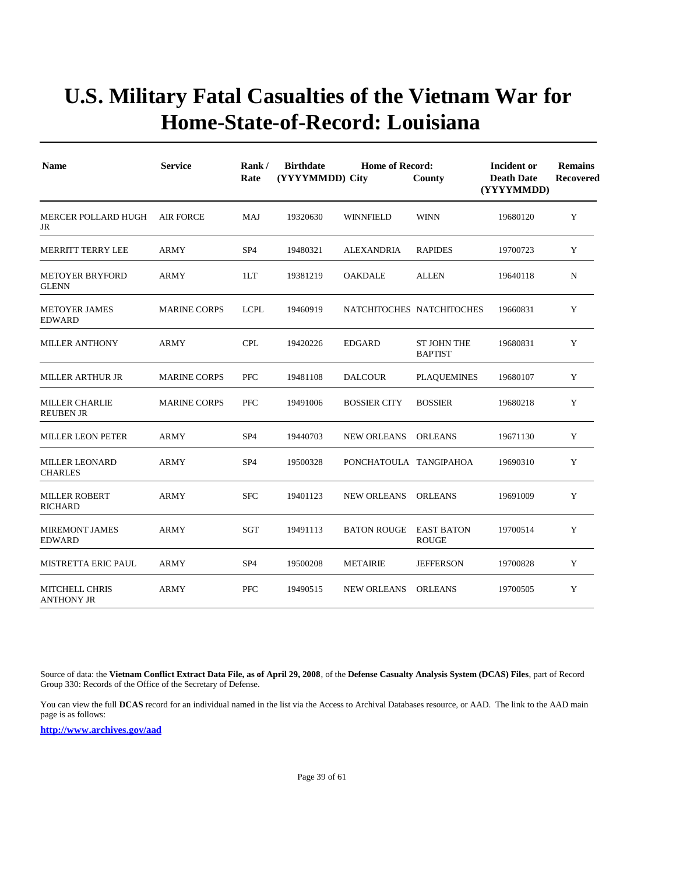| <b>Name</b>                                | <b>Service</b>      | Rank/<br>Rate   | <b>Birthdate</b><br>(YYYYMMDD) City | <b>Home of Record:</b> | County                               | Incident or<br><b>Death Date</b><br>(YYYYMMDD) | <b>Remains</b><br><b>Recovered</b> |
|--------------------------------------------|---------------------|-----------------|-------------------------------------|------------------------|--------------------------------------|------------------------------------------------|------------------------------------|
| MERCER POLLARD HUGH<br>JR                  | <b>AIR FORCE</b>    | MAJ             | 19320630                            | <b>WINNFIELD</b>       | <b>WINN</b>                          | 19680120                                       | Y                                  |
| <b>MERRITT TERRY LEE</b>                   | <b>ARMY</b>         | SP <sub>4</sub> | 19480321                            | <b>ALEXANDRIA</b>      | <b>RAPIDES</b>                       | 19700723                                       | Y                                  |
| <b>METOYER BRYFORD</b><br><b>GLENN</b>     | ARMY                | 1LT             | 19381219                            | <b>OAKDALE</b>         | <b>ALLEN</b>                         | 19640118                                       | N                                  |
| <b>METOYER JAMES</b><br><b>EDWARD</b>      | <b>MARINE CORPS</b> | <b>LCPL</b>     | 19460919                            |                        | NATCHITOCHES NATCHITOCHES            | 19660831                                       | Y                                  |
| <b>MILLER ANTHONY</b>                      | ARMY                | <b>CPL</b>      | 19420226                            | <b>EDGARD</b>          | <b>ST JOHN THE</b><br><b>BAPTIST</b> | 19680831                                       | Y                                  |
| <b>MILLER ARTHUR JR</b>                    | <b>MARINE CORPS</b> | <b>PFC</b>      | 19481108                            | <b>DALCOUR</b>         | <b>PLAQUEMINES</b>                   | 19680107                                       | Y                                  |
| <b>MILLER CHARLIE</b><br><b>REUBEN JR</b>  | <b>MARINE CORPS</b> | <b>PFC</b>      | 19491006                            | <b>BOSSIER CITY</b>    | <b>BOSSIER</b>                       | 19680218                                       | Y                                  |
| <b>MILLER LEON PETER</b>                   | <b>ARMY</b>         | SP <sub>4</sub> | 19440703                            | <b>NEW ORLEANS</b>     | <b>ORLEANS</b>                       | 19671130                                       | Y                                  |
| <b>MILLER LEONARD</b><br><b>CHARLES</b>    | <b>ARMY</b>         | SP <sub>4</sub> | 19500328                            | PONCHATOULA TANGIPAHOA |                                      | 19690310                                       | Y                                  |
| <b>MILLER ROBERT</b><br><b>RICHARD</b>     | <b>ARMY</b>         | <b>SFC</b>      | 19401123                            | <b>NEW ORLEANS</b>     | <b>ORLEANS</b>                       | 19691009                                       | Y                                  |
| <b>MIREMONT JAMES</b><br><b>EDWARD</b>     | <b>ARMY</b>         | <b>SGT</b>      | 19491113                            | <b>BATON ROUGE</b>     | <b>EAST BATON</b><br><b>ROUGE</b>    | 19700514                                       | Y                                  |
| <b>MISTRETTA ERIC PAUL</b>                 | ARMY                | SP <sub>4</sub> | 19500208                            | <b>METAIRIE</b>        | <b>JEFFERSON</b>                     | 19700828                                       | Y                                  |
| <b>MITCHELL CHRIS</b><br><b>ANTHONY JR</b> | <b>ARMY</b>         | PFC             | 19490515                            | <b>NEW ORLEANS</b>     | <b>ORLEANS</b>                       | 19700505                                       | Y                                  |

Source of data: the **Vietnam Conflict Extract Data File, as of April 29, 2008**, of the **Defense Casualty Analysis System (DCAS) Files**, part of Record Group 330: Records of the Office of the Secretary of Defense.

You can view the full **DCAS** record for an individual named in the list via the Access to Archival Databases resource, or AAD. The link to the AAD main page is as follows: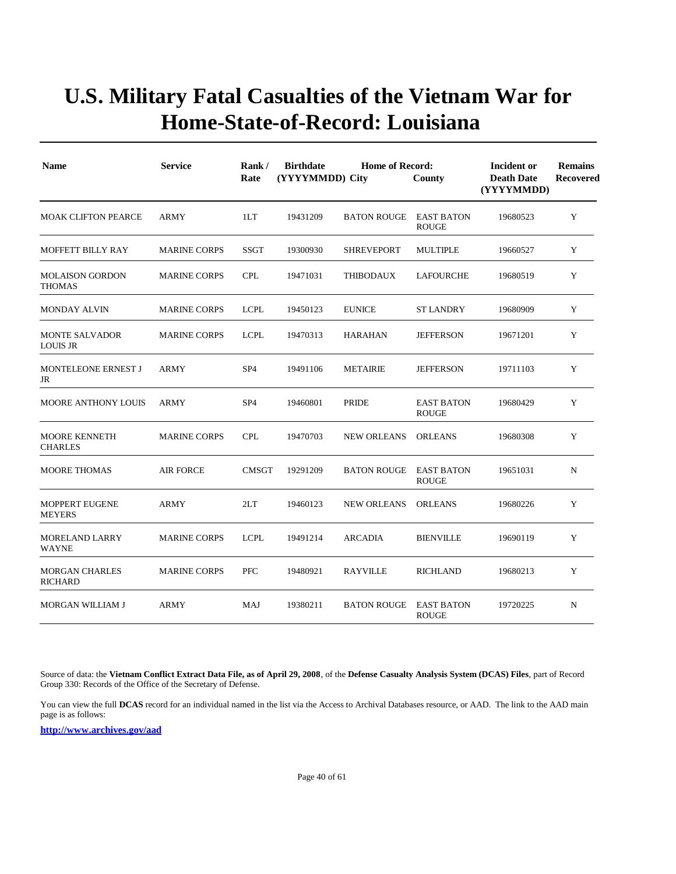| <b>Name</b>                              | <b>Service</b>      | Rank/<br>Rate   | <b>Birthdate</b><br>(YYYYMMDD) City | <b>Incident or</b><br><b>Death Date</b><br>(YYYYMMDD) | <b>Remains</b><br><b>Recovered</b> |          |             |
|------------------------------------------|---------------------|-----------------|-------------------------------------|-------------------------------------------------------|------------------------------------|----------|-------------|
| <b>MOAK CLIFTON PEARCE</b>               | <b>ARMY</b>         | 1LT             | 19431209                            | <b>BATON ROUGE</b>                                    | <b>EAST BATON</b><br><b>ROUGE</b>  | 19680523 | Y           |
| <b>MOFFETT BILLY RAY</b>                 | <b>MARINE CORPS</b> | <b>SSGT</b>     | 19300930                            | <b>SHREVEPORT</b>                                     | <b>MULTIPLE</b>                    | 19660527 | Y           |
| <b>MOLAISON GORDON</b><br><b>THOMAS</b>  | <b>MARINE CORPS</b> | <b>CPL</b>      | 19471031                            | THIBODAUX                                             | LAFOURCHE                          | 19680519 | Y           |
| <b>MONDAY ALVIN</b>                      | <b>MARINE CORPS</b> | <b>LCPL</b>     | 19450123                            | <b>EUNICE</b>                                         | <b>ST LANDRY</b>                   | 19680909 | Y           |
| <b>MONTE SALVADOR</b><br><b>LOUIS JR</b> | <b>MARINE CORPS</b> | <b>LCPL</b>     | 19470313                            | <b>HARAHAN</b>                                        | <b>JEFFERSON</b>                   | 19671201 | Y           |
| <b>MONTELEONE ERNEST J</b><br>JR         | <b>ARMY</b>         | SP <sub>4</sub> | 19491106                            | <b>METAIRIE</b>                                       | <b>JEFFERSON</b>                   | 19711103 | Y           |
| <b>MOORE ANTHONY LOUIS</b>               | ARMY                | SP <sub>4</sub> | 19460801                            | PRIDE                                                 | <b>EAST BATON</b><br><b>ROUGE</b>  | 19680429 | Y           |
| <b>MOORE KENNETH</b><br><b>CHARLES</b>   | <b>MARINE CORPS</b> | <b>CPL</b>      | 19470703                            | <b>NEW ORLEANS</b>                                    | <b>ORLEANS</b>                     | 19680308 | Y           |
| <b>MOORE THOMAS</b>                      | <b>AIR FORCE</b>    | <b>CMSGT</b>    | 19291209                            | <b>BATON ROUGE</b>                                    | <b>EAST BATON</b><br><b>ROUGE</b>  | 19651031 | $\mathbf N$ |
| <b>MOPPERT EUGENE</b><br><b>MEYERS</b>   | <b>ARMY</b>         | 2LT             | 19460123                            | <b>NEW ORLEANS</b>                                    | <b>ORLEANS</b>                     | 19680226 | Y           |
| <b>MORELAND LARRY</b><br><b>WAYNE</b>    | <b>MARINE CORPS</b> | <b>LCPL</b>     | 19491214                            | <b>ARCADIA</b>                                        | <b>BIENVILLE</b>                   | 19690119 | Y           |
| <b>MORGAN CHARLES</b><br><b>RICHARD</b>  | <b>MARINE CORPS</b> | <b>PFC</b>      | 19480921                            | <b>RAYVILLE</b>                                       | <b>RICHLAND</b>                    | 19680213 | Y           |
| MORGAN WILLIAM J                         | <b>ARMY</b>         | MAJ             | 19380211                            | <b>BATON ROUGE</b>                                    | <b>EAST BATON</b><br><b>ROUGE</b>  | 19720225 | N           |

Source of data: the **Vietnam Conflict Extract Data File, as of April 29, 2008**, of the **Defense Casualty Analysis System (DCAS) Files**, part of Record Group 330: Records of the Office of the Secretary of Defense.

You can view the full **DCAS** record for an individual named in the list via the Access to Archival Databases resource, or AAD. The link to the AAD main page is as follows: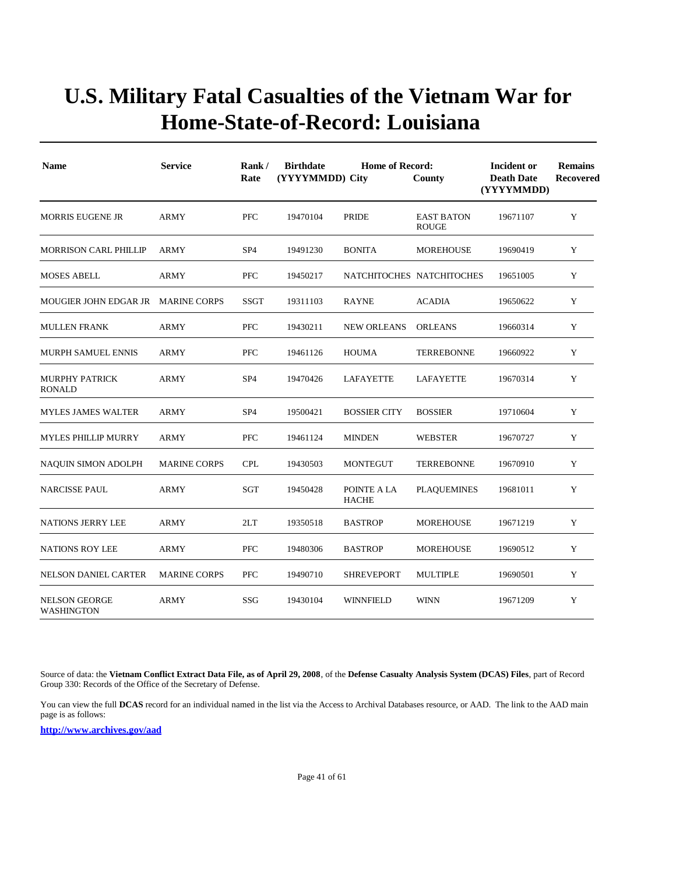| <b>Name</b>                               | <b>Service</b>      | Rank /<br>Rate  | <b>Birthdate</b><br>(YYYYMMDD) City | <b>Home of Record:</b>      | County                            | Incident or<br><b>Death Date</b><br>(YYYYMMDD) | <b>Remains</b><br><b>Recovered</b> |
|-------------------------------------------|---------------------|-----------------|-------------------------------------|-----------------------------|-----------------------------------|------------------------------------------------|------------------------------------|
| <b>MORRIS EUGENE JR</b>                   | <b>ARMY</b>         | <b>PFC</b>      | 19470104                            | <b>PRIDE</b>                | <b>EAST BATON</b><br><b>ROUGE</b> | 19671107                                       | Y                                  |
| <b>MORRISON CARL PHILLIP</b>              | <b>ARMY</b>         | SP <sub>4</sub> | 19491230                            | <b>BONITA</b>               | <b>MOREHOUSE</b>                  | 19690419                                       | Y                                  |
| <b>MOSES ABELL</b>                        | ARMY                | <b>PFC</b>      | 19450217                            |                             | NATCHITOCHES NATCHITOCHES         | 19651005                                       | Y                                  |
| MOUGIER JOHN EDGAR JR MARINE CORPS        |                     | <b>SSGT</b>     | 19311103                            | <b>RAYNE</b>                | <b>ACADIA</b>                     | 19650622                                       | Y                                  |
| <b>MULLEN FRANK</b>                       | <b>ARMY</b>         | <b>PFC</b>      | 19430211                            | <b>NEW ORLEANS</b>          | <b>ORLEANS</b>                    | 19660314                                       | Y                                  |
| <b>MURPH SAMUEL ENNIS</b>                 | <b>ARMY</b>         | <b>PFC</b>      | 19461126                            | <b>HOUMA</b>                | <b>TERREBONNE</b>                 | 19660922                                       | Y                                  |
| <b>MURPHY PATRICK</b><br>RONALD           | <b>ARMY</b>         | SP <sub>4</sub> | 19470426                            | LAFAYETTE                   | <b>LAFAYETTE</b>                  | 19670314                                       | Y                                  |
| <b>MYLES JAMES WALTER</b>                 | <b>ARMY</b>         | SP <sub>4</sub> | 19500421                            | <b>BOSSIER CITY</b>         | <b>BOSSIER</b>                    | 19710604                                       | Y                                  |
| <b>MYLES PHILLIP MURRY</b>                | ARMY                | <b>PFC</b>      | 19461124                            | <b>MINDEN</b>               | <b>WEBSTER</b>                    | 19670727                                       | Y                                  |
| NAQUIN SIMON ADOLPH                       | <b>MARINE CORPS</b> | <b>CPL</b>      | 19430503                            | <b>MONTEGUT</b>             | <b>TERREBONNE</b>                 | 19670910                                       | Y                                  |
| <b>NARCISSE PAUL</b>                      | <b>ARMY</b>         | SGT             | 19450428                            | POINTE A LA<br><b>HACHE</b> | <b>PLAQUEMINES</b>                | 19681011                                       | Y                                  |
| NATIONS JERRY LEE                         | ARMY                | 2LT             | 19350518                            | <b>BASTROP</b>              | <b>MOREHOUSE</b>                  | 19671219                                       | Y                                  |
| <b>NATIONS ROY LEE</b>                    | <b>ARMY</b>         | <b>PFC</b>      | 19480306                            | <b>BASTROP</b>              | <b>MOREHOUSE</b>                  | 19690512                                       | Y                                  |
| NELSON DANIEL CARTER                      | <b>MARINE CORPS</b> | PFC             | 19490710                            | <b>SHREVEPORT</b>           | <b>MULTIPLE</b>                   | 19690501                                       | Y                                  |
| <b>NELSON GEORGE</b><br><b>WASHINGTON</b> | <b>ARMY</b>         | SSG             | 19430104                            | <b>WINNFIELD</b>            | <b>WINN</b>                       | 19671209                                       | Y                                  |

Source of data: the **Vietnam Conflict Extract Data File, as of April 29, 2008**, of the **Defense Casualty Analysis System (DCAS) Files**, part of Record Group 330: Records of the Office of the Secretary of Defense.

You can view the full **DCAS** record for an individual named in the list via the Access to Archival Databases resource, or AAD. The link to the AAD main page is as follows: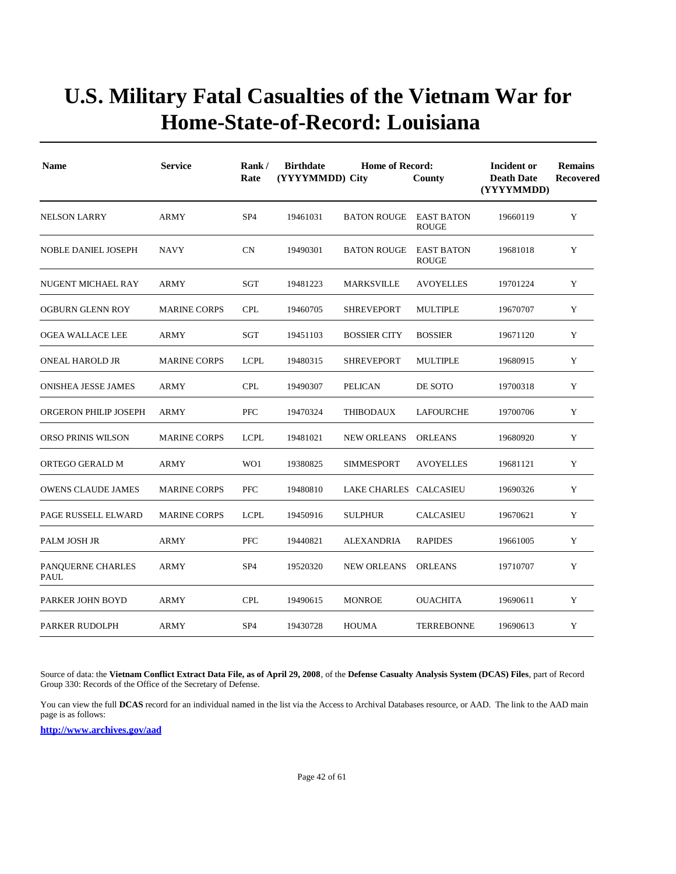| <b>Name</b>                      | <b>Service</b>      | Rank/<br>Rate   | <b>Birthdate</b><br>(YYYYMMDD) City | <b>Home of Record:</b> | Incident or<br><b>Death Date</b><br>(YYYYMMDD) | <b>Remains</b><br>Recovered |   |
|----------------------------------|---------------------|-----------------|-------------------------------------|------------------------|------------------------------------------------|-----------------------------|---|
| <b>NELSON LARRY</b>              | <b>ARMY</b>         | SP <sub>4</sub> | 19461031                            | <b>BATON ROUGE</b>     | <b>EAST BATON</b><br><b>ROUGE</b>              | 19660119                    | Y |
| <b>NOBLE DANIEL JOSEPH</b>       | <b>NAVY</b>         | <b>CN</b>       | 19490301                            | <b>BATON ROUGE</b>     | <b>EAST BATON</b><br><b>ROUGE</b>              | 19681018                    | Y |
| NUGENT MICHAEL RAY               | ARMY                | SGT             | 19481223                            | <b>MARKSVILLE</b>      | <b>AVOYELLES</b>                               | 19701224                    | Y |
| <b>OGBURN GLENN ROY</b>          | <b>MARINE CORPS</b> | <b>CPL</b>      | 19460705                            | <b>SHREVEPORT</b>      | <b>MULTIPLE</b>                                | 19670707                    | Y |
| OGEA WALLACE LEE                 | ARMY                | SGT             | 19451103                            | <b>BOSSIER CITY</b>    | <b>BOSSIER</b>                                 | 19671120                    | Y |
| <b>ONEAL HAROLD JR</b>           | <b>MARINE CORPS</b> | <b>LCPL</b>     | 19480315                            | <b>SHREVEPORT</b>      | <b>MULTIPLE</b>                                | 19680915                    | Y |
| <b>ONISHEA JESSE JAMES</b>       | ARMY                | <b>CPL</b>      | 19490307                            | <b>PELICAN</b>         | DE SOTO                                        | 19700318                    | Y |
| ORGERON PHILIP JOSEPH            | ARMY                | <b>PFC</b>      | 19470324                            | <b>THIBODAUX</b>       | LAFOURCHE                                      | 19700706                    | Y |
| ORSO PRINIS WILSON               | <b>MARINE CORPS</b> | <b>LCPL</b>     | 19481021                            | <b>NEW ORLEANS</b>     | <b>ORLEANS</b>                                 | 19680920                    | Y |
| ORTEGO GERALD M                  | <b>ARMY</b>         | WO1             | 19380825                            | <b>SIMMESPORT</b>      | <b>AVOYELLES</b>                               | 19681121                    | Y |
| <b>OWENS CLAUDE JAMES</b>        | <b>MARINE CORPS</b> | <b>PFC</b>      | 19480810                            | LAKE CHARLES           | CALCASIEU                                      | 19690326                    | Y |
| PAGE RUSSELL ELWARD              | <b>MARINE CORPS</b> | <b>LCPL</b>     | 19450916                            | <b>SULPHUR</b>         | <b>CALCASIEU</b>                               | 19670621                    | Y |
| PALM JOSH JR                     | <b>ARMY</b>         | <b>PFC</b>      | 19440821                            | <b>ALEXANDRIA</b>      | <b>RAPIDES</b>                                 | 19661005                    | Y |
| PANQUERNE CHARLES<br><b>PAUL</b> | ARMY                | SP <sub>4</sub> | 19520320                            | <b>NEW ORLEANS</b>     | <b>ORLEANS</b>                                 | 19710707                    | Y |
| PARKER JOHN BOYD                 | ARMY                | <b>CPL</b>      | 19490615                            | <b>MONROE</b>          | <b>OUACHITA</b>                                | 19690611                    | Y |
| PARKER RUDOLPH                   | ARMY                | SP <sub>4</sub> | 19430728                            | <b>HOUMA</b>           | <b>TERREBONNE</b>                              | 19690613                    | Y |

Source of data: the **Vietnam Conflict Extract Data File, as of April 29, 2008**, of the **Defense Casualty Analysis System (DCAS) Files**, part of Record Group 330: Records of the Office of the Secretary of Defense.

You can view the full **DCAS** record for an individual named in the list via the Access to Archival Databases resource, or AAD. The link to the AAD main page is as follows: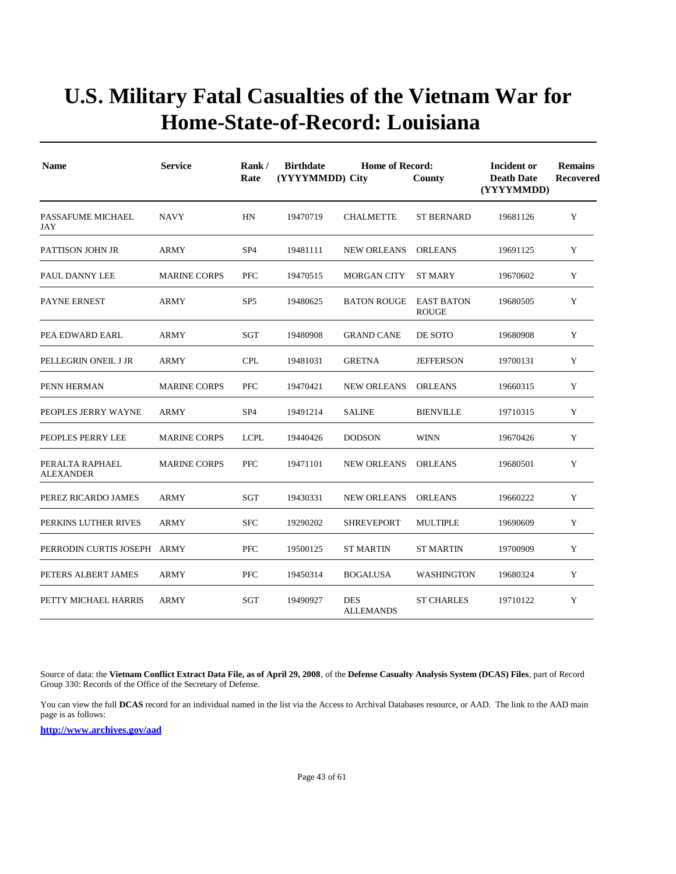| <b>Name</b>                         | <b>Service</b>      | Rank/<br>Rate   | <b>Birthdate</b><br><b>Home of Record:</b><br>(YYYYMMDD) City<br>County |                                |                                   | Incident or<br><b>Death Date</b><br>(YYYYMMDD) | <b>Remains</b><br><b>Recovered</b> |
|-------------------------------------|---------------------|-----------------|-------------------------------------------------------------------------|--------------------------------|-----------------------------------|------------------------------------------------|------------------------------------|
| PASSAFUME MICHAEL<br>JAY            | <b>NAVY</b>         | HN              | 19470719                                                                | <b>CHALMETTE</b>               | <b>ST BERNARD</b>                 | 19681126                                       | Y                                  |
| PATTISON JOHN JR                    | ARMY                | SP <sub>4</sub> | 19481111                                                                | <b>NEW ORLEANS</b>             | <b>ORLEANS</b>                    | 19691125                                       | Y                                  |
| PAUL DANNY LEE                      | <b>MARINE CORPS</b> | PFC             | 19470515                                                                | <b>MORGAN CITY</b>             | <b>ST MARY</b>                    | 19670602                                       | Y                                  |
| <b>PAYNE ERNEST</b>                 | <b>ARMY</b>         | SP <sub>5</sub> | 19480625                                                                | <b>BATON ROUGE</b>             | <b>EAST BATON</b><br><b>ROUGE</b> | 19680505                                       | Y                                  |
| PEA EDWARD EARL                     | ARMY                | SGT             | 19480908                                                                | <b>GRAND CANE</b>              | DE SOTO                           | 19680908                                       | Y                                  |
| PELLEGRIN ONEIL J JR                | <b>ARMY</b>         | <b>CPL</b>      | 19481031                                                                | <b>GRETNA</b>                  | <b>JEFFERSON</b>                  | 19700131                                       | Y                                  |
| PENN HERMAN                         | <b>MARINE CORPS</b> | PFC             | 19470421                                                                | <b>NEW ORLEANS</b>             | <b>ORLEANS</b>                    | 19660315                                       | Y                                  |
| PEOPLES JERRY WAYNE                 | ARMY                | SP <sub>4</sub> | 19491214                                                                | <b>SALINE</b>                  | <b>BIENVILLE</b>                  | 19710315                                       | Y                                  |
| PEOPLES PERRY LEE                   | <b>MARINE CORPS</b> | <b>LCPL</b>     | 19440426                                                                | <b>DODSON</b>                  | <b>WINN</b>                       | 19670426                                       | Y                                  |
| PERALTA RAPHAEL<br><b>ALEXANDER</b> | <b>MARINE CORPS</b> | <b>PFC</b>      | 19471101                                                                | <b>NEW ORLEANS</b>             | <b>ORLEANS</b>                    | 19680501                                       | Y                                  |
| PEREZ RICARDO JAMES                 | <b>ARMY</b>         | SGT             | 19430331                                                                | <b>NEW ORLEANS</b>             | <b>ORLEANS</b>                    | 19660222                                       | Y                                  |
| PERKINS LUTHER RIVES                | ARMY                | <b>SFC</b>      | 19290202                                                                | <b>SHREVEPORT</b>              | <b>MULTIPLE</b>                   | 19690609                                       | Y                                  |
| PERRODIN CURTIS JOSEPH ARMY         |                     | PFC             | 19500125                                                                | <b>ST MARTIN</b>               | <b>ST MARTIN</b>                  | 19700909                                       | Y                                  |
| PETERS ALBERT JAMES                 | <b>ARMY</b>         | <b>PFC</b>      | 19450314                                                                | <b>BOGALUSA</b>                | <b>WASHINGTON</b>                 | 19680324                                       | Y                                  |
| PETTY MICHAEL HARRIS                | <b>ARMY</b>         | SGT             | 19490927                                                                | <b>DES</b><br><b>ALLEMANDS</b> | <b>ST CHARLES</b>                 | 19710122                                       | Y                                  |

Source of data: the **Vietnam Conflict Extract Data File, as of April 29, 2008**, of the **Defense Casualty Analysis System (DCAS) Files**, part of Record Group 330: Records of the Office of the Secretary of Defense.

You can view the full **DCAS** record for an individual named in the list via the Access to Archival Databases resource, or AAD. The link to the AAD main page is as follows: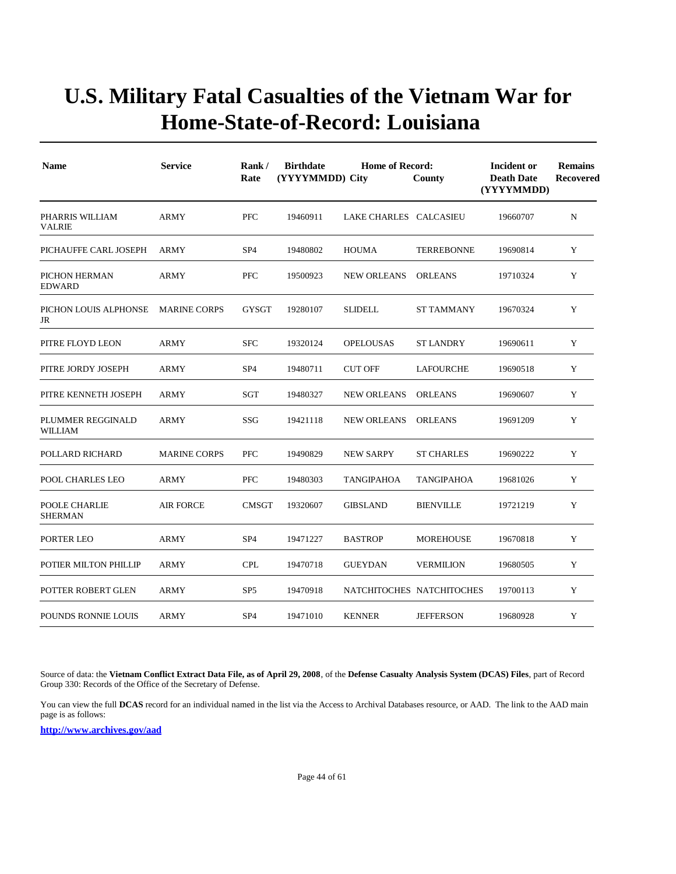| <b>Name</b>                         | <b>Service</b>      | Rank/<br>Rate   | <b>Birthdate</b><br><b>Home of Record:</b><br>(YYYYMMDD) City<br>County |                           |                   | Incident or<br><b>Death Date</b><br>(YYYYMMDD) | <b>Remains</b><br><b>Recovered</b> |
|-------------------------------------|---------------------|-----------------|-------------------------------------------------------------------------|---------------------------|-------------------|------------------------------------------------|------------------------------------|
| PHARRIS WILLIAM<br><b>VALRIE</b>    | <b>ARMY</b>         | <b>PFC</b>      | 19460911                                                                | LAKE CHARLES CALCASIEU    |                   | 19660707                                       | N                                  |
| PICHAUFFE CARL JOSEPH               | <b>ARMY</b>         | SP <sub>4</sub> | 19480802                                                                | <b>HOUMA</b>              | <b>TERREBONNE</b> | 19690814                                       | Y                                  |
| PICHON HERMAN<br><b>EDWARD</b>      | ARMY                | <b>PFC</b>      | 19500923                                                                | <b>NEW ORLEANS</b>        | <b>ORLEANS</b>    | 19710324                                       | Y                                  |
| PICHON LOUIS ALPHONSE<br>JR         | <b>MARINE CORPS</b> | <b>GYSGT</b>    | 19280107                                                                | <b>SLIDELL</b>            | <b>ST TAMMANY</b> | 19670324                                       | Y                                  |
| PITRE FLOYD LEON                    | <b>ARMY</b>         | <b>SFC</b>      | 19320124                                                                | <b>OPELOUSAS</b>          | <b>ST LANDRY</b>  | 19690611                                       | Y                                  |
| PITRE JORDY JOSEPH                  | <b>ARMY</b>         | SP <sub>4</sub> | 19480711                                                                | <b>CUT OFF</b>            | LAFOURCHE         | 19690518                                       | Y                                  |
| PITRE KENNETH JOSEPH                | <b>ARMY</b>         | SGT             | 19480327                                                                | <b>NEW ORLEANS</b>        | <b>ORLEANS</b>    | 19690607                                       | Y                                  |
| PLUMMER REGGINALD<br><b>WILLIAM</b> | ARMY                | SSG             | 19421118                                                                | <b>NEW ORLEANS</b>        | <b>ORLEANS</b>    | 19691209                                       | Y                                  |
| POLLARD RICHARD                     | <b>MARINE CORPS</b> | <b>PFC</b>      | 19490829                                                                | <b>NEW SARPY</b>          | <b>ST CHARLES</b> | 19690222                                       | Y                                  |
| POOL CHARLES LEO                    | <b>ARMY</b>         | PFC             | 19480303                                                                | <b>TANGIPAHOA</b>         | TANGIPAHOA        | 19681026                                       | Y                                  |
| POOLE CHARLIE<br><b>SHERMAN</b>     | <b>AIR FORCE</b>    | <b>CMSGT</b>    | 19320607                                                                | <b>GIBSLAND</b>           | <b>BIENVILLE</b>  | 19721219                                       | Y                                  |
| PORTER LEO                          | ARMY                | SP <sub>4</sub> | 19471227                                                                | <b>BASTROP</b>            | <b>MOREHOUSE</b>  | 19670818                                       | Y                                  |
| POTIER MILTON PHILLIP               | ARMY                | <b>CPL</b>      | 19470718                                                                | <b>GUEYDAN</b>            | <b>VERMILION</b>  | 19680505                                       | Y                                  |
| POTTER ROBERT GLEN                  | ARMY                | SP <sub>5</sub> | 19470918                                                                | NATCHITOCHES NATCHITOCHES |                   | 19700113                                       | Y                                  |
| <b>POUNDS RONNIE LOUIS</b>          | <b>ARMY</b>         | SP <sub>4</sub> | 19471010                                                                | <b>KENNER</b>             | <b>JEFFERSON</b>  | 19680928                                       | Y                                  |

Source of data: the **Vietnam Conflict Extract Data File, as of April 29, 2008**, of the **Defense Casualty Analysis System (DCAS) Files**, part of Record Group 330: Records of the Office of the Secretary of Defense.

You can view the full **DCAS** record for an individual named in the list via the Access to Archival Databases resource, or AAD. The link to the AAD main page is as follows: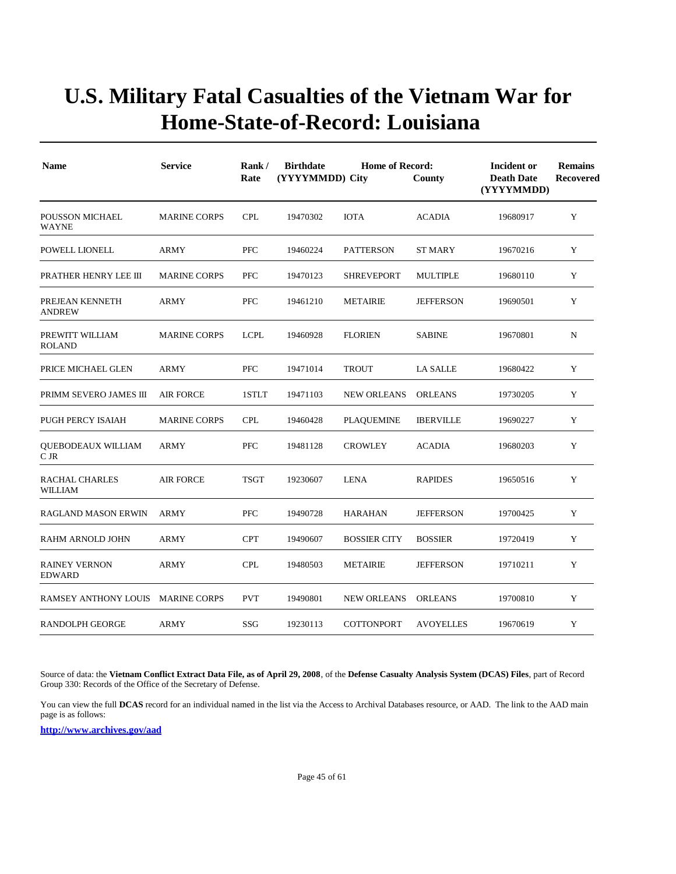| <b>Name</b>                           | <b>Service</b>      | Rank/<br>Rate | <b>Birthdate</b><br>(YYYYMMDD) City | Incident or<br><b>Death Date</b><br>(YYYYMMDD) | <b>Remains</b><br><b>Recovered</b> |          |           |
|---------------------------------------|---------------------|---------------|-------------------------------------|------------------------------------------------|------------------------------------|----------|-----------|
| POUSSON MICHAEL<br><b>WAYNE</b>       | <b>MARINE CORPS</b> | <b>CPL</b>    | 19470302                            | <b>IOTA</b>                                    | <b>ACADIA</b>                      | 19680917 | Y         |
| POWELL LIONELL                        | <b>ARMY</b>         | PFC           | 19460224                            | <b>PATTERSON</b>                               | <b>ST MARY</b>                     | 19670216 | Y         |
| PRATHER HENRY LEE III                 | <b>MARINE CORPS</b> | <b>PFC</b>    | 19470123                            | <b>SHREVEPORT</b>                              | <b>MULTIPLE</b>                    | 19680110 | Y         |
| PREJEAN KENNETH<br><b>ANDREW</b>      | ARMY                | PFC           | 19461210                            | <b>METAIRIE</b>                                | <b>JEFFERSON</b>                   | 19690501 | Y         |
| PREWITT WILLIAM<br><b>ROLAND</b>      | <b>MARINE CORPS</b> | <b>LCPL</b>   | 19460928                            | <b>FLORIEN</b>                                 | <b>SABINE</b>                      | 19670801 | ${\bf N}$ |
| PRICE MICHAEL GLEN                    | ARMY                | PFC           | 19471014                            | <b>TROUT</b>                                   | <b>LA SALLE</b>                    | 19680422 | Y         |
| PRIMM SEVERO JAMES III                | <b>AIR FORCE</b>    | 1STLT         | 19471103                            | <b>NEW ORLEANS</b>                             | <b>ORLEANS</b>                     | 19730205 | Y         |
| PUGH PERCY ISAIAH                     | <b>MARINE CORPS</b> | <b>CPL</b>    | 19460428                            | <b>PLAQUEMINE</b>                              | <b>IBERVILLE</b>                   | 19690227 | Y         |
| QUEBODEAUX WILLIAM<br>C JR            | <b>ARMY</b>         | PFC           | 19481128                            | <b>CROWLEY</b>                                 | <b>ACADIA</b>                      | 19680203 | Y         |
| RACHAL CHARLES<br>WILLIAM             | <b>AIR FORCE</b>    | <b>TSGT</b>   | 19230607                            | <b>LENA</b>                                    | <b>RAPIDES</b>                     | 19650516 | Y         |
| RAGLAND MASON ERWIN                   | ARMY                | PFC           | 19490728                            | <b>HARAHAN</b>                                 | <b>JEFFERSON</b>                   | 19700425 | Y         |
| RAHM ARNOLD JOHN                      | <b>ARMY</b>         | <b>CPT</b>    | 19490607                            | <b>BOSSIER CITY</b>                            | <b>BOSSIER</b>                     | 19720419 | Y         |
| <b>RAINEY VERNON</b><br><b>EDWARD</b> | ARMY                | <b>CPL</b>    | 19480503                            | <b>METAIRIE</b>                                | <b>JEFFERSON</b>                   | 19710211 | Y         |
| <b>RAMSEY ANTHONY LOUIS</b>           | MARINE CORPS        | <b>PVT</b>    | 19490801                            | <b>NEW ORLEANS</b>                             | <b>ORLEANS</b>                     | 19700810 | Y         |
| <b>RANDOLPH GEORGE</b>                | <b>ARMY</b>         | SSG           | 19230113                            | <b>COTTONPORT</b>                              | <b>AVOYELLES</b>                   | 19670619 | Y         |

Source of data: the **Vietnam Conflict Extract Data File, as of April 29, 2008**, of the **Defense Casualty Analysis System (DCAS) Files**, part of Record Group 330: Records of the Office of the Secretary of Defense.

You can view the full **DCAS** record for an individual named in the list via the Access to Archival Databases resource, or AAD. The link to the AAD main page is as follows: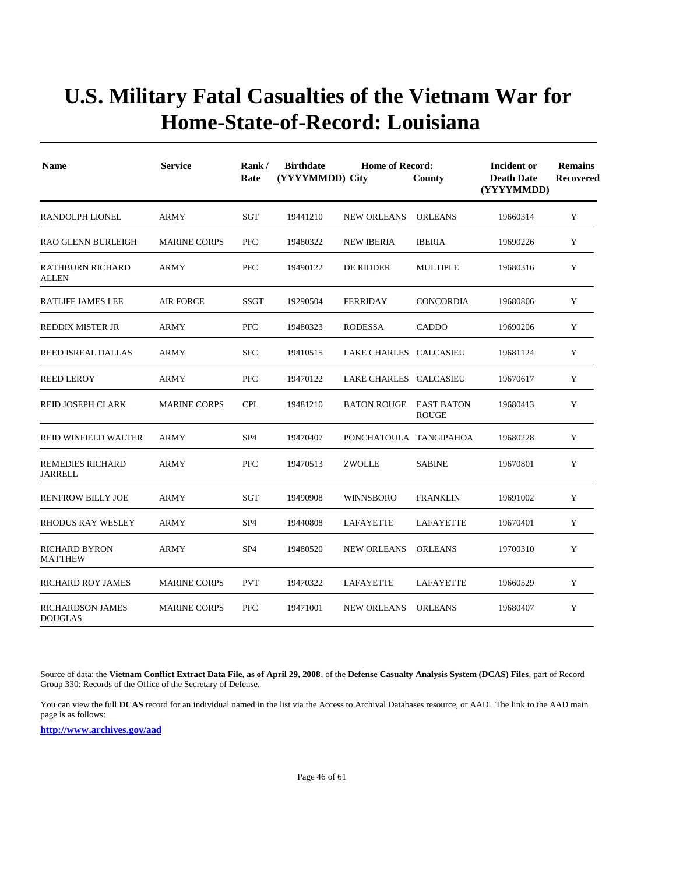| <b>Name</b>                               | <b>Service</b>      | Rank/<br>Rate   | <b>Birthdate</b><br><b>Home of Record:</b><br>(YYYYMMDD) City<br>County |                        |                  |          | <b>Remains</b><br><b>Recovered</b> |
|-------------------------------------------|---------------------|-----------------|-------------------------------------------------------------------------|------------------------|------------------|----------|------------------------------------|
| RANDOLPH LIONEL                           | ARMY                | SGT             | 19441210                                                                | <b>NEW ORLEANS</b>     | ORLEANS          | 19660314 | Y                                  |
| <b>RAO GLENN BURLEIGH</b>                 | <b>MARINE CORPS</b> | <b>PFC</b>      | 19480322                                                                | <b>NEW IBERIA</b>      | <b>IBERIA</b>    | 19690226 | Y                                  |
| RATHBURN RICHARD<br><b>ALLEN</b>          | <b>ARMY</b>         | <b>PFC</b>      | 19490122                                                                | DE RIDDER              | <b>MULTIPLE</b>  | 19680316 | Y                                  |
| <b>RATLIFF JAMES LEE</b>                  | <b>AIR FORCE</b>    | <b>SSGT</b>     | 19290504                                                                | <b>FERRIDAY</b>        | <b>CONCORDIA</b> | 19680806 | Y                                  |
| <b>REDDIX MISTER JR</b>                   | <b>ARMY</b>         | PFC             | 19480323                                                                | <b>RODESSA</b>         | <b>CADDO</b>     | 19690206 | Y                                  |
| REED ISREAL DALLAS                        | ARMY                | <b>SFC</b>      | 19410515                                                                | LAKE CHARLES CALCASIEU |                  | 19681124 | Y                                  |
| <b>REED LEROY</b>                         | ARMY                | PFC             | 19470122                                                                | LAKE CHARLES CALCASIEU |                  | 19670617 | Y                                  |
| REID JOSEPH CLARK                         | <b>MARINE CORPS</b> | <b>CPL</b>      | 19481210                                                                | BATON ROUGE EAST BATON | <b>ROUGE</b>     | 19680413 | Y                                  |
| <b>REID WINFIELD WALTER</b>               | <b>ARMY</b>         | SP <sub>4</sub> | 19470407                                                                | PONCHATOULA TANGIPAHOA |                  | 19680228 | Y                                  |
| <b>REMEDIES RICHARD</b><br><b>JARRELL</b> | ARMY                | PFC             | 19470513                                                                | <b>ZWOLLE</b>          | <b>SABINE</b>    | 19670801 | Y                                  |
| <b>RENFROW BILLY JOE</b>                  | <b>ARMY</b>         | SGT             | 19490908                                                                | <b>WINNSBORO</b>       | <b>FRANKLIN</b>  | 19691002 | Y                                  |
| <b>RHODUS RAY WESLEY</b>                  | <b>ARMY</b>         | SP <sub>4</sub> | 19440808                                                                | LAFAYETTE              | LAFAYETTE        | 19670401 | Y                                  |
| <b>RICHARD BYRON</b><br>MATTHEW           | <b>ARMY</b>         | SP <sub>4</sub> | 19480520                                                                | <b>NEW ORLEANS</b>     | <b>ORLEANS</b>   | 19700310 | Y                                  |
| <b>RICHARD ROY JAMES</b>                  | <b>MARINE CORPS</b> | <b>PVT</b>      | 19470322                                                                | LAFAYETTE              | <b>LAFAYETTE</b> | 19660529 | Y                                  |
| RICHARDSON JAMES<br><b>DOUGLAS</b>        | <b>MARINE CORPS</b> | <b>PFC</b>      | 19471001                                                                | <b>NEW ORLEANS</b>     | <b>ORLEANS</b>   | 19680407 | Y                                  |

Source of data: the **Vietnam Conflict Extract Data File, as of April 29, 2008**, of the **Defense Casualty Analysis System (DCAS) Files**, part of Record Group 330: Records of the Office of the Secretary of Defense.

You can view the full **DCAS** record for an individual named in the list via the Access to Archival Databases resource, or AAD. The link to the AAD main page is as follows: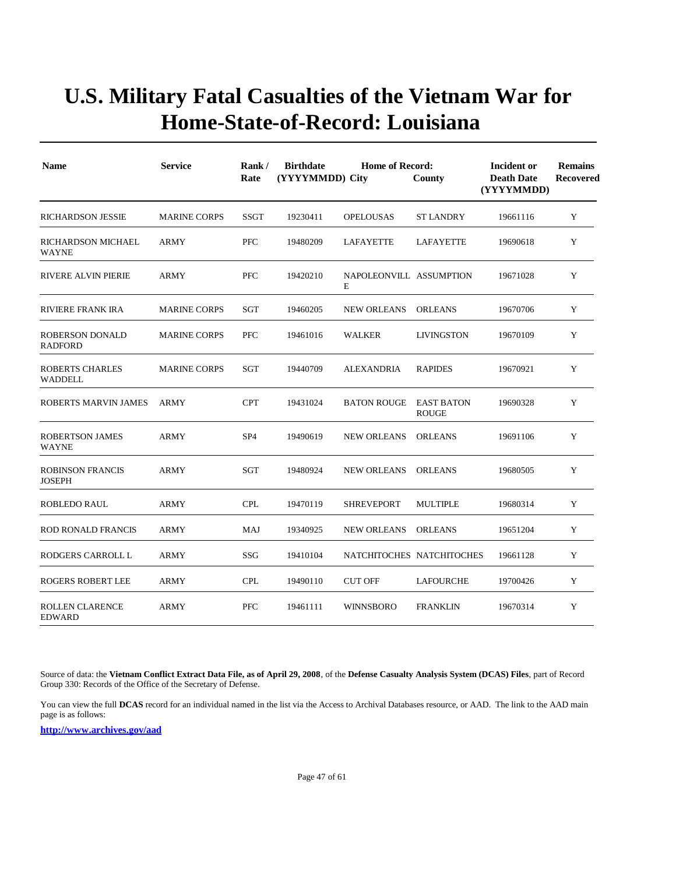| <b>Name</b>                              | <b>Service</b>      | Rank/<br>Rate   | <b>Birthdate</b><br>(YYYYMMDD) City | <b>Incident or</b><br><b>Death Date</b><br>(YYYYMMDD) | <b>Remains</b><br><b>Recovered</b> |          |   |
|------------------------------------------|---------------------|-----------------|-------------------------------------|-------------------------------------------------------|------------------------------------|----------|---|
| <b>RICHARDSON JESSIE</b>                 | <b>MARINE CORPS</b> | SSGT            | 19230411                            | <b>OPELOUSAS</b>                                      | ST LANDRY                          | 19661116 | Y |
| RICHARDSON MICHAEL<br>WAYNE              | ARMY                | <b>PFC</b>      | 19480209                            | LAFAYETTE                                             | LAFAYETTE                          | 19690618 | Y |
| RIVERE ALVIN PIERIE                      | <b>ARMY</b>         | PFC             | 19420210                            | NAPOLEONVILL ASSUMPTION<br>Е                          |                                    | 19671028 | Y |
| <b>RIVIERE FRANK IRA</b>                 | <b>MARINE CORPS</b> | SGT             | 19460205                            | <b>NEW ORLEANS</b>                                    | <b>ORLEANS</b>                     | 19670706 | Y |
| ROBERSON DONALD<br><b>RADFORD</b>        | <b>MARINE CORPS</b> | <b>PFC</b>      | 19461016                            | <b>WALKER</b>                                         | <b>LIVINGSTON</b>                  | 19670109 | Y |
| <b>ROBERTS CHARLES</b><br>WADDELL        | <b>MARINE CORPS</b> | SGT             | 19440709                            | <b>ALEXANDRIA</b>                                     | <b>RAPIDES</b>                     | 19670921 | Y |
| ROBERTS MARVIN JAMES                     | <b>ARMY</b>         | <b>CPT</b>      | 19431024                            | <b>BATON ROUGE EAST BATON</b>                         | <b>ROUGE</b>                       | 19690328 | Y |
| <b>ROBERTSON JAMES</b><br><b>WAYNE</b>   | ARMY                | SP <sub>4</sub> | 19490619                            | NEW ORLEANS                                           | ORLEANS                            | 19691106 | Y |
| <b>ROBINSON FRANCIS</b><br><b>JOSEPH</b> | <b>ARMY</b>         | SGT             | 19480924                            | <b>NEW ORLEANS</b>                                    | <b>ORLEANS</b>                     | 19680505 | Y |
| <b>ROBLEDO RAUL</b>                      | ARMY                | <b>CPL</b>      | 19470119                            | <b>SHREVEPORT</b>                                     | <b>MULTIPLE</b>                    | 19680314 | Y |
| <b>ROD RONALD FRANCIS</b>                | ARMY                | MAJ             | 19340925                            | <b>NEW ORLEANS</b>                                    | <b>ORLEANS</b>                     | 19651204 | Y |
| RODGERS CARROLL L                        | ARMY                | SSG             | 19410104                            | NATCHITOCHES NATCHITOCHES                             |                                    | 19661128 | Y |
| <b>ROGERS ROBERT LEE</b>                 | ARMY                | <b>CPL</b>      | 19490110                            | <b>CUT OFF</b>                                        | LAFOURCHE                          | 19700426 | Y |
| <b>ROLLEN CLARENCE</b><br><b>EDWARD</b>  | <b>ARMY</b>         | <b>PFC</b>      | 19461111                            | WINNSBORO                                             | <b>FRANKLIN</b>                    | 19670314 | Y |

Source of data: the **Vietnam Conflict Extract Data File, as of April 29, 2008**, of the **Defense Casualty Analysis System (DCAS) Files**, part of Record Group 330: Records of the Office of the Secretary of Defense.

You can view the full **DCAS** record for an individual named in the list via the Access to Archival Databases resource, or AAD. The link to the AAD main page is as follows: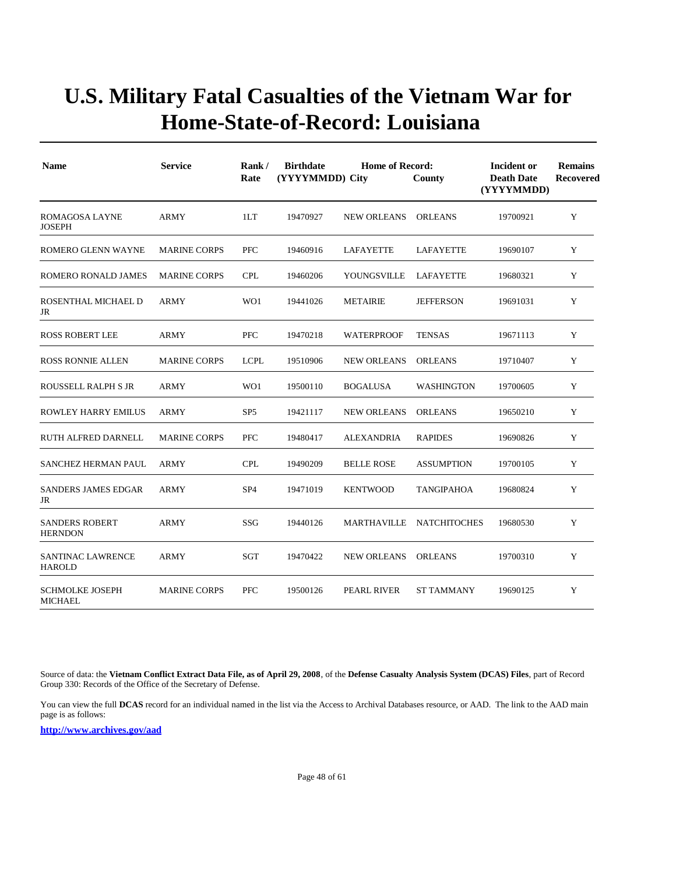| <b>Name</b>                               | <b>Service</b>      | Rank/<br>Rate   | <b>Birthdate</b><br><b>Home of Record:</b><br>(YYYYMMDD) City<br>County |                    |                   | Incident or<br><b>Death Date</b><br>(YYYYMMDD) | <b>Remains</b><br><b>Recovered</b> |
|-------------------------------------------|---------------------|-----------------|-------------------------------------------------------------------------|--------------------|-------------------|------------------------------------------------|------------------------------------|
| <b>ROMAGOSA LAYNE</b><br><b>JOSEPH</b>    | <b>ARMY</b>         | 1LT             | 19470927                                                                | <b>NEW ORLEANS</b> | <b>ORLEANS</b>    | 19700921                                       | Y                                  |
| ROMERO GLENN WAYNE                        | <b>MARINE CORPS</b> | <b>PFC</b>      | 19460916                                                                | LAFAYETTE          | LAFAYETTE         | 19690107                                       | Y                                  |
| ROMERO RONALD JAMES                       | <b>MARINE CORPS</b> | <b>CPL</b>      | 19460206                                                                | YOUNGSVILLE        | LAFAYETTE         | 19680321                                       | Y                                  |
| ROSENTHAL MICHAEL D<br>JR                 | ARMY                | WO1             | 19441026                                                                | <b>METAIRIE</b>    | <b>JEFFERSON</b>  | 19691031                                       | Y                                  |
| <b>ROSS ROBERT LEE</b>                    | ARMY                | <b>PFC</b>      | 19470218                                                                | <b>WATERPROOF</b>  | <b>TENSAS</b>     | 19671113                                       | Y                                  |
| <b>ROSS RONNIE ALLEN</b>                  | <b>MARINE CORPS</b> | <b>LCPL</b>     | 19510906                                                                | <b>NEW ORLEANS</b> | <b>ORLEANS</b>    | 19710407                                       | Y                                  |
| ROUSSELL RALPH S JR                       | <b>ARMY</b>         | WO1             | 19500110                                                                | <b>BOGALUSA</b>    | <b>WASHINGTON</b> | 19700605                                       | Y                                  |
| ROWLEY HARRY EMILUS                       | <b>ARMY</b>         | SP <sub>5</sub> | 19421117                                                                | <b>NEW ORLEANS</b> | <b>ORLEANS</b>    | 19650210                                       | Y                                  |
| RUTH ALFRED DARNELL                       | <b>MARINE CORPS</b> | <b>PFC</b>      | 19480417                                                                | <b>ALEXANDRIA</b>  | <b>RAPIDES</b>    | 19690826                                       | Y                                  |
| SANCHEZ HERMAN PAUL                       | <b>ARMY</b>         | <b>CPL</b>      | 19490209                                                                | <b>BELLE ROSE</b>  | <b>ASSUMPTION</b> | 19700105                                       | Y                                  |
| <b>SANDERS JAMES EDGAR</b><br>JR          | <b>ARMY</b>         | SP <sub>4</sub> | 19471019                                                                | <b>KENTWOOD</b>    | TANGIPAHOA        | 19680824                                       | Y                                  |
| <b>SANDERS ROBERT</b><br><b>HERNDON</b>   | <b>ARMY</b>         | SSG             | 19440126                                                                | MARTHAVILLE        | NATCHITOCHES      | 19680530                                       | Y                                  |
| <b>SANTINAC LAWRENCE</b><br><b>HAROLD</b> | ARMY                | SGT             | 19470422                                                                | <b>NEW ORLEANS</b> | <b>ORLEANS</b>    | 19700310                                       | Y                                  |
| <b>SCHMOLKE JOSEPH</b><br><b>MICHAEL</b>  | <b>MARINE CORPS</b> | <b>PFC</b>      | 19500126                                                                | PEARL RIVER        | <b>ST TAMMANY</b> | 19690125                                       | Y                                  |

Source of data: the **Vietnam Conflict Extract Data File, as of April 29, 2008**, of the **Defense Casualty Analysis System (DCAS) Files**, part of Record Group 330: Records of the Office of the Secretary of Defense.

You can view the full **DCAS** record for an individual named in the list via the Access to Archival Databases resource, or AAD. The link to the AAD main page is as follows: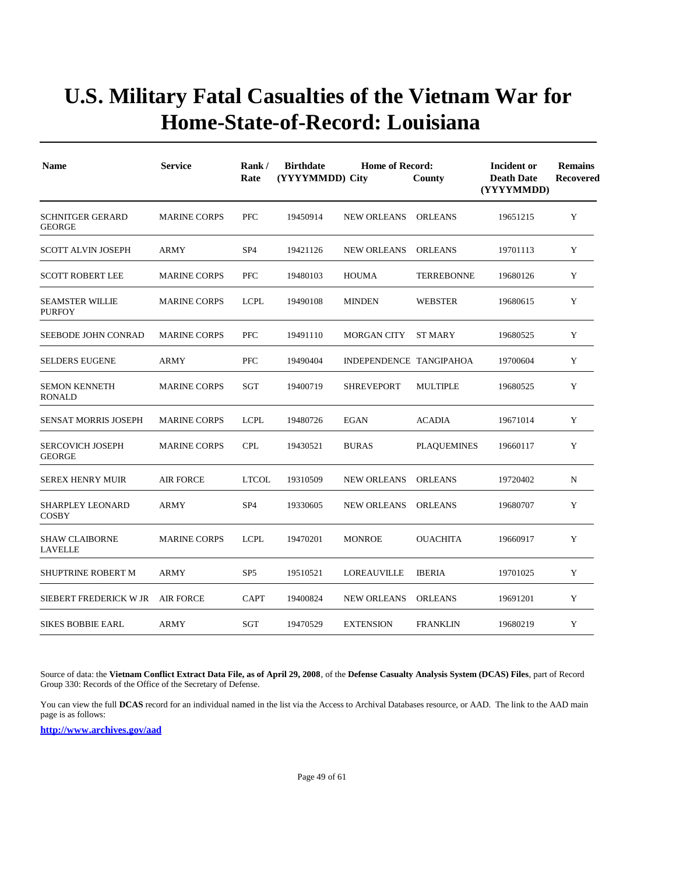| <b>Name</b>                              | <b>Service</b>      | Rank/<br>Rate   | <b>Birthdate</b><br><b>Home of Record:</b><br>(YYYYMMDD) City<br>County<br>(YYYYMMDD) |                         |                    |          | <b>Remains</b><br>Recovered |
|------------------------------------------|---------------------|-----------------|---------------------------------------------------------------------------------------|-------------------------|--------------------|----------|-----------------------------|
| <b>SCHNITGER GERARD</b><br><b>GEORGE</b> | <b>MARINE CORPS</b> | <b>PFC</b>      | 19450914                                                                              | <b>NEW ORLEANS</b>      | <b>ORLEANS</b>     | 19651215 | Y                           |
| SCOTT ALVIN JOSEPH                       | ARMY                | SP <sub>4</sub> | 19421126                                                                              | <b>NEW ORLEANS</b>      | <b>ORLEANS</b>     | 19701113 | Y                           |
| <b>SCOTT ROBERT LEE</b>                  | <b>MARINE CORPS</b> | <b>PFC</b>      | 19480103                                                                              | <b>HOUMA</b>            | <b>TERREBONNE</b>  | 19680126 | Y                           |
| <b>SEAMSTER WILLIE</b><br><b>PURFOY</b>  | <b>MARINE CORPS</b> | <b>LCPL</b>     | 19490108                                                                              | <b>MINDEN</b>           | <b>WEBSTER</b>     | 19680615 | Y                           |
| <b>SEEBODE JOHN CONRAD</b>               | <b>MARINE CORPS</b> | <b>PFC</b>      | 19491110                                                                              | <b>MORGAN CITY</b>      | <b>ST MARY</b>     | 19680525 | Y                           |
| <b>SELDERS EUGENE</b>                    | <b>ARMY</b>         | <b>PFC</b>      | 19490404                                                                              | INDEPENDENCE TANGIPAHOA |                    | 19700604 | Y                           |
| <b>SEMON KENNETH</b><br><b>RONALD</b>    | <b>MARINE CORPS</b> | SGT             | 19400719                                                                              | <b>SHREVEPORT</b>       | <b>MULTIPLE</b>    | 19680525 | Y                           |
| <b>SENSAT MORRIS JOSEPH</b>              | <b>MARINE CORPS</b> | <b>LCPL</b>     | 19480726                                                                              | <b>EGAN</b>             | <b>ACADIA</b>      | 19671014 | Y                           |
| <b>SERCOVICH JOSEPH</b><br><b>GEORGE</b> | <b>MARINE CORPS</b> | <b>CPL</b>      | 19430521                                                                              | <b>BURAS</b>            | <b>PLAQUEMINES</b> | 19660117 | Y                           |
| <b>SEREX HENRY MUIR</b>                  | <b>AIR FORCE</b>    | <b>LTCOL</b>    | 19310509                                                                              | <b>NEW ORLEANS</b>      | <b>ORLEANS</b>     | 19720402 | N                           |
| <b>SHARPLEY LEONARD</b><br><b>COSBY</b>  | <b>ARMY</b>         | SP <sub>4</sub> | 19330605                                                                              | <b>NEW ORLEANS</b>      | <b>ORLEANS</b>     | 19680707 | Y                           |
| <b>SHAW CLAIBORNE</b><br><b>LAVELLE</b>  | <b>MARINE CORPS</b> | <b>LCPL</b>     | 19470201                                                                              | <b>MONROE</b>           | <b>OUACHITA</b>    | 19660917 | Y                           |
| <b>SHUPTRINE ROBERT M</b>                | ARMY                | SP <sub>5</sub> | 19510521                                                                              | LOREAUVILLE             | <b>IBERIA</b>      | 19701025 | Y                           |
| SIEBERT FREDERICK W JR                   | <b>AIR FORCE</b>    | <b>CAPT</b>     | 19400824                                                                              | <b>NEW ORLEANS</b>      | <b>ORLEANS</b>     | 19691201 | Y                           |
| <b>SIKES BOBBIE EARL</b>                 | ARMY                | SGT             | 19470529                                                                              | <b>EXTENSION</b>        | <b>FRANKLIN</b>    | 19680219 | Y                           |

Source of data: the **Vietnam Conflict Extract Data File, as of April 29, 2008**, of the **Defense Casualty Analysis System (DCAS) Files**, part of Record Group 330: Records of the Office of the Secretary of Defense.

You can view the full **DCAS** record for an individual named in the list via the Access to Archival Databases resource, or AAD. The link to the AAD main page is as follows: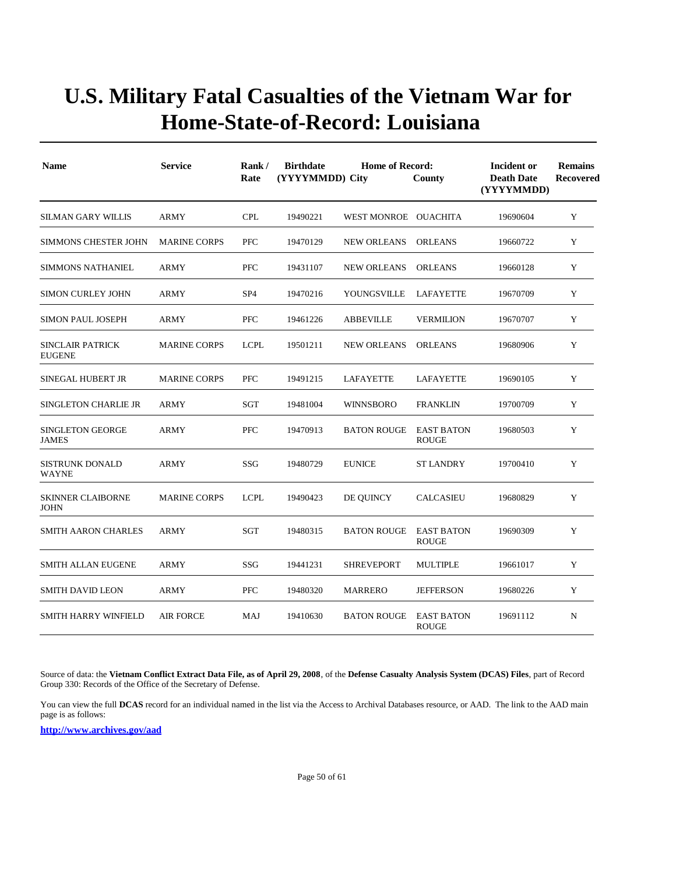| <b>Name</b>                              | <b>Service</b>      | Rank/<br><b>Birthdate</b><br><b>Home of Record:</b><br>(YYYYMMDD) City<br>Rate<br>County |          |                      |                                   | Incident or<br><b>Death Date</b><br>(YYYYMMDD) | <b>Remains</b><br><b>Recovered</b> |
|------------------------------------------|---------------------|------------------------------------------------------------------------------------------|----------|----------------------|-----------------------------------|------------------------------------------------|------------------------------------|
| SILMAN GARY WILLIS                       | ARMY                | <b>CPL</b>                                                                               | 19490221 | WEST MONROE OUACHITA |                                   | 19690604                                       | Y                                  |
| <b>SIMMONS CHESTER JOHN</b>              | <b>MARINE CORPS</b> | <b>PFC</b>                                                                               | 19470129 | <b>NEW ORLEANS</b>   | <b>ORLEANS</b>                    | 19660722                                       | Y                                  |
| <b>SIMMONS NATHANIEL</b>                 | <b>ARMY</b>         | PFC                                                                                      | 19431107 | <b>NEW ORLEANS</b>   | <b>ORLEANS</b>                    | 19660128                                       | Y                                  |
| <b>SIMON CURLEY JOHN</b>                 | ARMY                | SP <sub>4</sub>                                                                          | 19470216 | YOUNGSVILLE          | LAFAYETTE                         | 19670709                                       | Y                                  |
| <b>SIMON PAUL JOSEPH</b>                 | ARMY                | PFC                                                                                      | 19461226 | <b>ABBEVILLE</b>     | <b>VERMILION</b>                  | 19670707                                       | Y                                  |
| <b>SINCLAIR PATRICK</b><br><b>EUGENE</b> | <b>MARINE CORPS</b> | <b>LCPL</b>                                                                              | 19501211 | <b>NEW ORLEANS</b>   | <b>ORLEANS</b>                    | 19680906                                       | Y                                  |
| SINEGAL HUBERT JR                        | <b>MARINE CORPS</b> | <b>PFC</b>                                                                               | 19491215 | LAFAYETTE            | LAFAYETTE                         | 19690105                                       | Y                                  |
| <b>SINGLETON CHARLIE JR</b>              | ARMY                | <b>SGT</b>                                                                               | 19481004 | <b>WINNSBORO</b>     | <b>FRANKLIN</b>                   | 19700709                                       | Y                                  |
| <b>SINGLETON GEORGE</b><br><b>JAMES</b>  | ARMY                | <b>PFC</b>                                                                               | 19470913 | <b>BATON ROUGE</b>   | <b>EAST BATON</b><br><b>ROUGE</b> | 19680503                                       | Y                                  |
| <b>SISTRUNK DONALD</b><br><b>WAYNE</b>   | ARMY                | SSG                                                                                      | 19480729 | <b>EUNICE</b>        | <b>ST LANDRY</b>                  | 19700410                                       | Y                                  |
| <b>SKINNER CLAIBORNE</b><br><b>JOHN</b>  | <b>MARINE CORPS</b> | <b>LCPL</b>                                                                              | 19490423 | DE QUINCY            | <b>CALCASIEU</b>                  | 19680829                                       | Y                                  |
| <b>SMITH AARON CHARLES</b>               | <b>ARMY</b>         | <b>SGT</b>                                                                               | 19480315 | <b>BATON ROUGE</b>   | <b>EAST BATON</b><br><b>ROUGE</b> | 19690309                                       | Y                                  |
| <b>SMITH ALLAN EUGENE</b>                | <b>ARMY</b>         | SSG                                                                                      | 19441231 | <b>SHREVEPORT</b>    | <b>MULTIPLE</b>                   | 19661017                                       | Y                                  |
| <b>SMITH DAVID LEON</b>                  | <b>ARMY</b>         | <b>PFC</b>                                                                               | 19480320 | <b>MARRERO</b>       | <b>JEFFERSON</b>                  | 19680226                                       | Y                                  |
| <b>SMITH HARRY WINFIELD</b>              | <b>AIR FORCE</b>    | MAJ                                                                                      | 19410630 | <b>BATON ROUGE</b>   | <b>EAST BATON</b><br><b>ROUGE</b> | 19691112                                       | N                                  |

Source of data: the **Vietnam Conflict Extract Data File, as of April 29, 2008**, of the **Defense Casualty Analysis System (DCAS) Files**, part of Record Group 330: Records of the Office of the Secretary of Defense.

You can view the full **DCAS** record for an individual named in the list via the Access to Archival Databases resource, or AAD. The link to the AAD main page is as follows: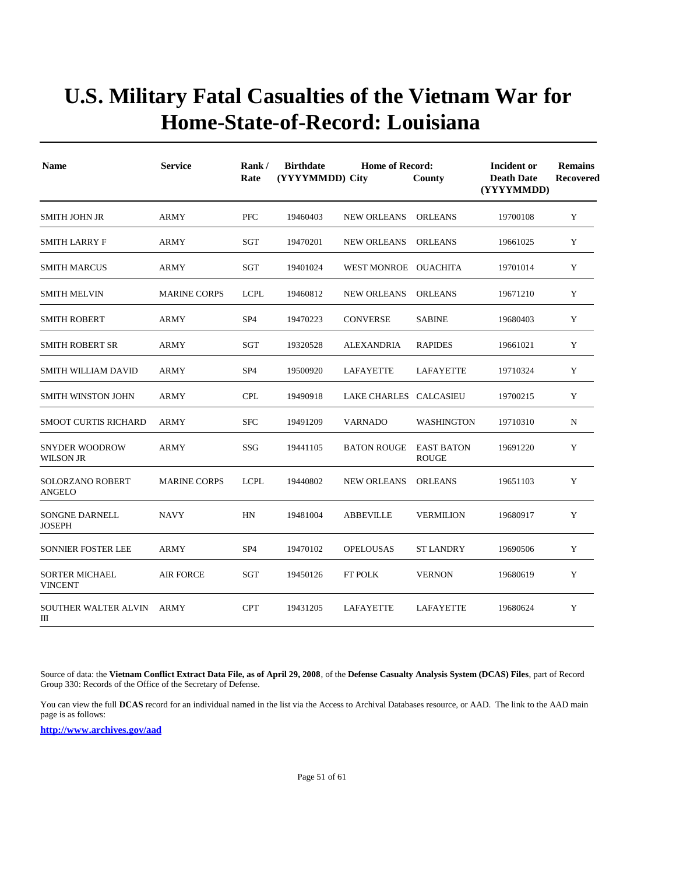| <b>Name</b>                             | <b>Service</b>      | Rank/<br>Rate   | <b>Birthdate</b><br>(YYYYMMDD) City | <b>Incident or</b><br><b>Death Date</b><br>(YYYYMMDD) | <b>Remains</b><br><b>Recovered</b> |          |             |
|-----------------------------------------|---------------------|-----------------|-------------------------------------|-------------------------------------------------------|------------------------------------|----------|-------------|
| <b>SMITH JOHN JR</b>                    | ARMY                | <b>PFC</b>      | 19460403                            | <b>NEW ORLEANS</b>                                    | <b>ORLEANS</b>                     | 19700108 | Y           |
| <b>SMITH LARRY F</b>                    | <b>ARMY</b>         | <b>SGT</b>      | 19470201                            | <b>NEW ORLEANS</b>                                    | <b>ORLEANS</b>                     | 19661025 | Y           |
| <b>SMITH MARCUS</b>                     | ARMY                | SGT             | 19401024                            | WEST MONROE OUACHITA                                  |                                    | 19701014 | Y           |
| SMITH MELVIN                            | <b>MARINE CORPS</b> | <b>LCPL</b>     | 19460812                            | <b>NEW ORLEANS</b>                                    | <b>ORLEANS</b>                     | 19671210 | Y           |
| <b>SMITH ROBERT</b>                     | <b>ARMY</b>         | SP <sub>4</sub> | 19470223                            | <b>CONVERSE</b>                                       | <b>SABINE</b>                      | 19680403 | Y           |
| SMITH ROBERT SR                         | ARMY                | SGT             | 19320528                            | <b>ALEXANDRIA</b>                                     | <b>RAPIDES</b>                     | 19661021 | Y           |
| SMITH WILLIAM DAVID                     | ARMY                | SP <sub>4</sub> | 19500920                            | LAFAYETTE                                             | LAFAYETTE                          | 19710324 | Y           |
| SMITH WINSTON JOHN                      | ARMY                | <b>CPL</b>      | 19490918                            | LAKE CHARLES                                          | <b>CALCASIEU</b>                   | 19700215 | $\mathbf Y$ |
| <b>SMOOT CURTIS RICHARD</b>             | <b>ARMY</b>         | <b>SFC</b>      | 19491209                            | <b>VARNADO</b>                                        | <b>WASHINGTON</b>                  | 19710310 | N           |
| <b>SNYDER WOODROW</b><br>WILSON JR      | ARMY                | SSG             | 19441105                            | <b>BATON ROUGE</b>                                    | <b>EAST BATON</b><br><b>ROUGE</b>  | 19691220 | Y           |
| SOLORZANO ROBERT<br>ANGELO              | <b>MARINE CORPS</b> | <b>LCPL</b>     | 19440802                            | <b>NEW ORLEANS</b>                                    | <b>ORLEANS</b>                     | 19651103 | Y           |
| SONGNE DARNELL<br><b>JOSEPH</b>         | <b>NAVY</b>         | HN              | 19481004                            | <b>ABBEVILLE</b>                                      | <b>VERMILION</b>                   | 19680917 | Y           |
| SONNIER FOSTER LEE                      | <b>ARMY</b>         | SP <sub>4</sub> | 19470102                            | <b>OPELOUSAS</b>                                      | <b>ST LANDRY</b>                   | 19690506 | Y           |
| <b>SORTER MICHAEL</b><br><b>VINCENT</b> | <b>AIR FORCE</b>    | SGT             | 19450126                            | FT POLK                                               | <b>VERNON</b>                      | 19680619 | Y           |
| SOUTHER WALTER ALVIN<br>Ш               | <b>ARMY</b>         | <b>CPT</b>      | 19431205                            | LAFAYETTE                                             | LAFAYETTE                          | 19680624 | Y           |

Source of data: the **Vietnam Conflict Extract Data File, as of April 29, 2008**, of the **Defense Casualty Analysis System (DCAS) Files**, part of Record Group 330: Records of the Office of the Secretary of Defense.

You can view the full **DCAS** record for an individual named in the list via the Access to Archival Databases resource, or AAD. The link to the AAD main page is as follows: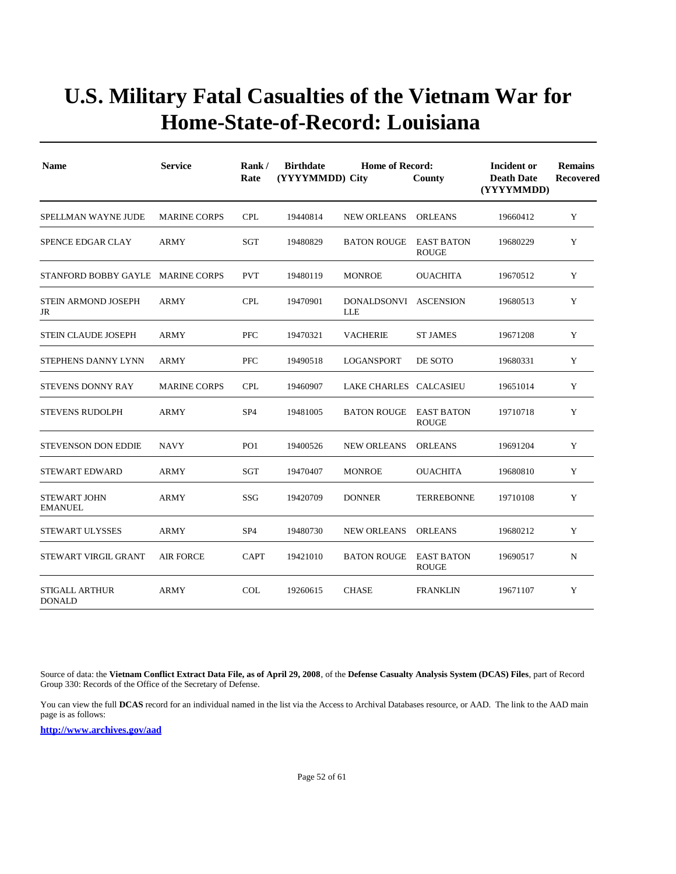| <b>Name</b>                            | <b>Service</b>      | Rank/<br>Rate   | <b>Birthdate</b><br>(YYYYMMDD) City | <b>Home of Record:</b>              | County                            | Incident or<br><b>Death Date</b><br>(YYYYMMDD) | <b>Remains</b><br>Recovered |
|----------------------------------------|---------------------|-----------------|-------------------------------------|-------------------------------------|-----------------------------------|------------------------------------------------|-----------------------------|
| SPELLMAN WAYNE JUDE                    | <b>MARINE CORPS</b> | <b>CPL</b>      | 19440814                            | <b>NEW ORLEANS</b>                  | <b>ORLEANS</b>                    | 19660412                                       | Y                           |
| SPENCE EDGAR CLAY                      | <b>ARMY</b>         | SGT             | 19480829                            | <b>BATON ROUGE</b>                  | <b>EAST BATON</b><br><b>ROUGE</b> | 19680229                                       | Y                           |
| STANFORD BOBBY GAYLE MARINE CORPS      |                     | <b>PVT</b>      | 19480119                            | <b>MONROE</b>                       | <b>OUACHITA</b>                   | 19670512                                       | Y                           |
| STEIN ARMOND JOSEPH<br>JR              | ARMY                | <b>CPL</b>      | 19470901                            | DONALDSONVI ASCENSION<br><b>LLE</b> |                                   | 19680513                                       | Y                           |
| STEIN CLAUDE JOSEPH                    | ARMY                | <b>PFC</b>      | 19470321                            | <b>VACHERIE</b>                     | <b>ST JAMES</b>                   | 19671208                                       | Y                           |
| STEPHENS DANNY LYNN                    | <b>ARMY</b>         | <b>PFC</b>      | 19490518                            | <b>LOGANSPORT</b>                   | DE SOTO                           | 19680331                                       | Y                           |
| STEVENS DONNY RAY                      | <b>MARINE CORPS</b> | <b>CPL</b>      | 19460907                            | LAKE CHARLES CALCASIEU              |                                   | 19651014                                       | Y                           |
| <b>STEVENS RUDOLPH</b>                 | <b>ARMY</b>         | SP <sub>4</sub> | 19481005                            | <b>BATON ROUGE</b>                  | <b>EAST BATON</b><br><b>ROUGE</b> | 19710718                                       | Y                           |
| <b>STEVENSON DON EDDIE</b>             | <b>NAVY</b>         | PO <sub>1</sub> | 19400526                            | <b>NEW ORLEANS</b>                  | <b>ORLEANS</b>                    | 19691204                                       | Y                           |
| <b>STEWART EDWARD</b>                  | <b>ARMY</b>         | SGT             | 19470407                            | <b>MONROE</b>                       | <b>OUACHITA</b>                   | 19680810                                       | Y                           |
| <b>STEWART JOHN</b><br><b>EMANUEL</b>  | <b>ARMY</b>         | SSG             | 19420709                            | <b>DONNER</b>                       | <b>TERREBONNE</b>                 | 19710108                                       | Y                           |
| <b>STEWART ULYSSES</b>                 | <b>ARMY</b>         | SP <sub>4</sub> | 19480730                            | <b>NEW ORLEANS</b>                  | <b>ORLEANS</b>                    | 19680212                                       | Y                           |
| STEWART VIRGIL GRANT                   | <b>AIR FORCE</b>    | <b>CAPT</b>     | 19421010                            | <b>BATON ROUGE</b>                  | <b>EAST BATON</b><br><b>ROUGE</b> | 19690517                                       | $\mathbf N$                 |
| <b>STIGALL ARTHUR</b><br><b>DONALD</b> | <b>ARMY</b>         | COL             | 19260615                            | <b>CHASE</b>                        | <b>FRANKLIN</b>                   | 19671107                                       | Y                           |

Source of data: the **Vietnam Conflict Extract Data File, as of April 29, 2008**, of the **Defense Casualty Analysis System (DCAS) Files**, part of Record Group 330: Records of the Office of the Secretary of Defense.

You can view the full **DCAS** record for an individual named in the list via the Access to Archival Databases resource, or AAD. The link to the AAD main page is as follows: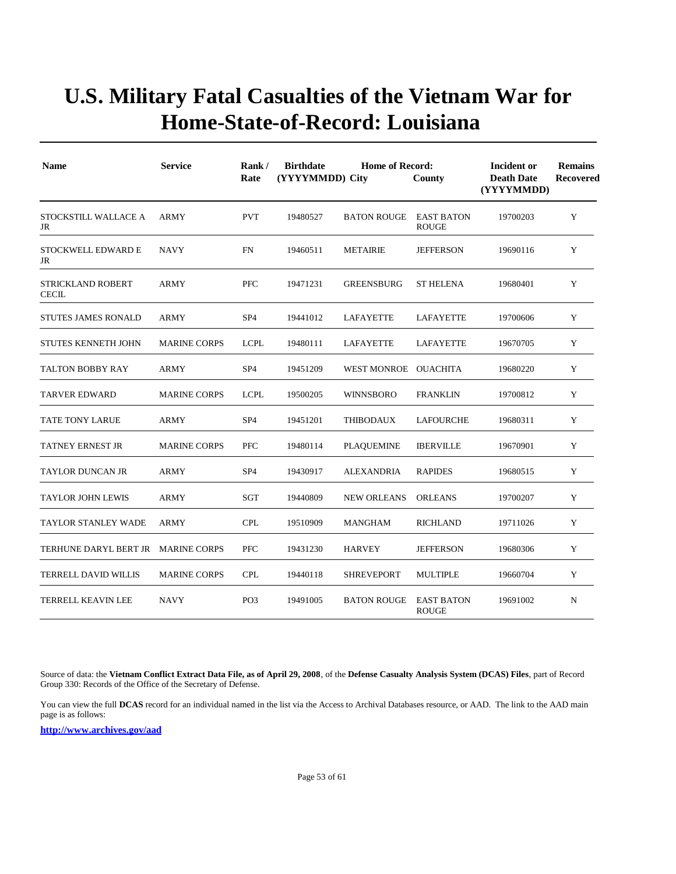| <b>Name</b>                              | <b>Service</b>      | Rank/<br>Rate   | <b>Birthdate</b><br>(YYYYMMDD) City | <b>Home of Record:</b> | Incident or<br><b>Death Date</b><br>(YYYYMMDD) | <b>Remains</b><br>Recovered |   |
|------------------------------------------|---------------------|-----------------|-------------------------------------|------------------------|------------------------------------------------|-----------------------------|---|
| STOCKSTILL WALLACE A<br>JR               | <b>ARMY</b>         | <b>PVT</b>      | 19480527                            | <b>BATON ROUGE</b>     | <b>EAST BATON</b><br><b>ROUGE</b>              | 19700203                    | Y |
| STOCKWELL EDWARD E<br>JR                 | <b>NAVY</b>         | <b>FN</b>       | 19460511                            | <b>METAIRIE</b>        | <b>JEFFERSON</b>                               | 19690116                    | Y |
| <b>STRICKLAND ROBERT</b><br><b>CECIL</b> | ARMY                | <b>PFC</b>      | 19471231                            | <b>GREENSBURG</b>      | <b>ST HELENA</b>                               | 19680401                    | Y |
| <b>STUTES JAMES RONALD</b>               | ARMY                | SP <sub>4</sub> | 19441012                            | LAFAYETTE              | LAFAYETTE                                      | 19700606                    | Y |
| STUTES KENNETH JOHN                      | <b>MARINE CORPS</b> | <b>LCPL</b>     | 19480111                            | <b>LAFAYETTE</b>       | <b>LAFAYETTE</b>                               | 19670705                    | Y |
| <b>TALTON BOBBY RAY</b>                  | <b>ARMY</b>         | SP <sub>4</sub> | 19451209                            | WEST MONROE OUACHITA   |                                                | 19680220                    | Y |
| <b>TARVER EDWARD</b>                     | <b>MARINE CORPS</b> | <b>LCPL</b>     | 19500205                            | <b>WINNSBORO</b>       | <b>FRANKLIN</b>                                | 19700812                    | Y |
| TATE TONY LARUE                          | <b>ARMY</b>         | SP <sub>4</sub> | 19451201                            | THIBODAUX              | LAFOURCHE                                      | 19680311                    | Y |
| TATNEY ERNEST JR                         | <b>MARINE CORPS</b> | <b>PFC</b>      | 19480114                            | <b>PLAQUEMINE</b>      | <b>IBERVILLE</b>                               | 19670901                    | Y |
| TAYLOR DUNCAN JR                         | ARMY                | SP <sub>4</sub> | 19430917                            | ALEXANDRIA             | <b>RAPIDES</b>                                 | 19680515                    | Y |
| TAYLOR JOHN LEWIS                        | ARMY                | SGT             | 19440809                            | <b>NEW ORLEANS</b>     | <b>ORLEANS</b>                                 | 19700207                    | Y |
| <b>TAYLOR STANLEY WADE</b>               | <b>ARMY</b>         | <b>CPL</b>      | 19510909                            | <b>MANGHAM</b>         | <b>RICHLAND</b>                                | 19711026                    | Y |
| TERHUNE DARYL BERT JR MARINE CORPS       |                     | <b>PFC</b>      | 19431230                            | <b>HARVEY</b>          | <b>JEFFERSON</b>                               | 19680306                    | Y |
| TERRELL DAVID WILLIS                     | <b>MARINE CORPS</b> | <b>CPL</b>      | 19440118                            | <b>SHREVEPORT</b>      | <b>MULTIPLE</b>                                | 19660704                    | Y |
| <b>TERRELL KEAVIN LEE</b>                | <b>NAVY</b>         | PO <sub>3</sub> | 19491005                            | <b>BATON ROUGE</b>     | <b>EAST BATON</b><br><b>ROUGE</b>              | 19691002                    | N |

Source of data: the **Vietnam Conflict Extract Data File, as of April 29, 2008**, of the **Defense Casualty Analysis System (DCAS) Files**, part of Record Group 330: Records of the Office of the Secretary of Defense.

You can view the full **DCAS** record for an individual named in the list via the Access to Archival Databases resource, or AAD. The link to the AAD main page is as follows: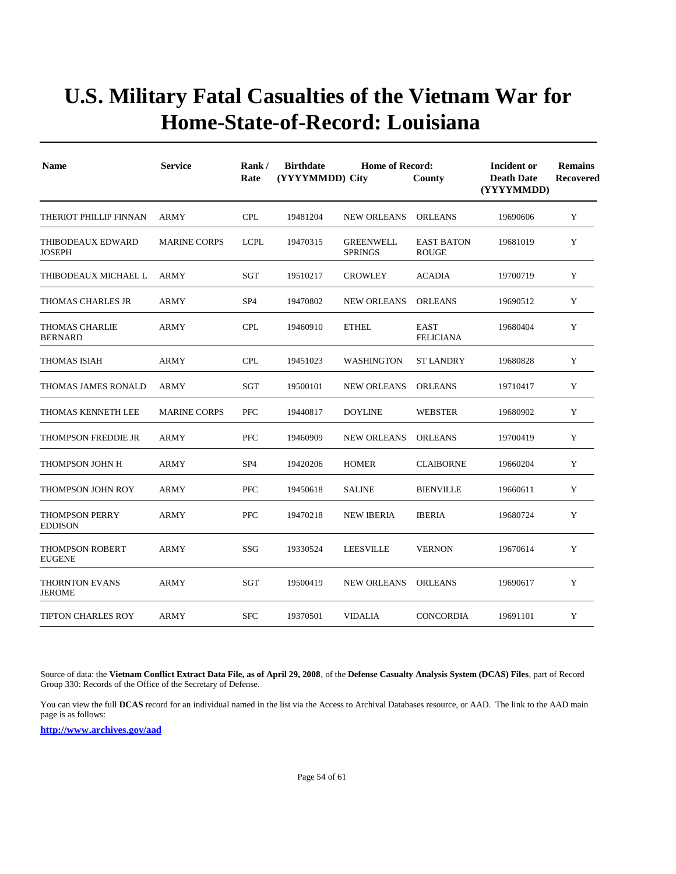| <b>Name</b>                               | <b>Service</b>      | Rank/<br>Rate   | <b>Birthdate</b><br>(YYYYMMDD) City | Incident or<br><b>Death Date</b><br>(YYYYMMDD) | <b>Remains</b><br>Recovered       |          |   |
|-------------------------------------------|---------------------|-----------------|-------------------------------------|------------------------------------------------|-----------------------------------|----------|---|
| THERIOT PHILLIP FINNAN                    | <b>ARMY</b>         | <b>CPL</b>      | 19481204                            | <b>NEW ORLEANS</b>                             | <b>ORLEANS</b>                    | 19690606 | Y |
| <b>THIBODEAUX EDWARD</b><br><b>JOSEPH</b> | <b>MARINE CORPS</b> | <b>LCPL</b>     | 19470315                            | <b>GREENWELL</b><br><b>SPRINGS</b>             | <b>EAST BATON</b><br><b>ROUGE</b> | 19681019 | Y |
| THIBODEAUX MICHAEL L                      | <b>ARMY</b>         | SGT             | 19510217                            | <b>CROWLEY</b>                                 | <b>ACADIA</b>                     | 19700719 | Y |
| THOMAS CHARLES JR                         | ARMY                | SP <sub>4</sub> | 19470802                            | <b>NEW ORLEANS</b>                             | <b>ORLEANS</b>                    | 19690512 | Y |
| <b>THOMAS CHARLIE</b><br><b>BERNARD</b>   | <b>ARMY</b>         | <b>CPL</b>      | 19460910                            | <b>ETHEL</b>                                   | <b>EAST</b><br><b>FELICIANA</b>   | 19680404 | Y |
| <b>THOMAS ISIAH</b>                       | <b>ARMY</b>         | <b>CPL</b>      | 19451023                            | <b>WASHINGTON</b>                              | <b>ST LANDRY</b>                  | 19680828 | Y |
| THOMAS JAMES RONALD                       | <b>ARMY</b>         | SGT             | 19500101                            | <b>NEW ORLEANS</b>                             | <b>ORLEANS</b>                    | 19710417 | Y |
| THOMAS KENNETH LEE                        | <b>MARINE CORPS</b> | <b>PFC</b>      | 19440817                            | <b>DOYLINE</b>                                 | <b>WEBSTER</b>                    | 19680902 | Y |
| THOMPSON FREDDIE JR                       | <b>ARMY</b>         | <b>PFC</b>      | 19460909                            | <b>NEW ORLEANS</b>                             | <b>ORLEANS</b>                    | 19700419 | Y |
| THOMPSON JOHN H                           | ARMY                | SP <sub>4</sub> | 19420206                            | <b>HOMER</b>                                   | <b>CLAIBORNE</b>                  | 19660204 | Y |
| <b>THOMPSON JOHN ROY</b>                  | ARMY                | <b>PFC</b>      | 19450618                            | <b>SALINE</b>                                  | <b>BIENVILLE</b>                  | 19660611 | Y |
| <b>THOMPSON PERRY</b><br><b>EDDISON</b>   | <b>ARMY</b>         | <b>PFC</b>      | 19470218                            | <b>NEW IBERIA</b>                              | <b>IBERIA</b>                     | 19680724 | Y |
| <b>THOMPSON ROBERT</b><br><b>EUGENE</b>   | <b>ARMY</b>         | SSG             | 19330524                            | <b>LEESVILLE</b>                               | <b>VERNON</b>                     | 19670614 | Y |
| <b>THORNTON EVANS</b><br><b>JEROME</b>    | <b>ARMY</b>         | SGT             | 19500419                            | <b>NEW ORLEANS</b>                             | <b>ORLEANS</b>                    | 19690617 | Y |
| <b>TIPTON CHARLES ROY</b>                 | <b>ARMY</b>         | <b>SFC</b>      | 19370501                            | <b>VIDALIA</b>                                 | <b>CONCORDIA</b>                  | 19691101 | Y |

Source of data: the **Vietnam Conflict Extract Data File, as of April 29, 2008**, of the **Defense Casualty Analysis System (DCAS) Files**, part of Record Group 330: Records of the Office of the Secretary of Defense.

You can view the full **DCAS** record for an individual named in the list via the Access to Archival Databases resource, or AAD. The link to the AAD main page is as follows: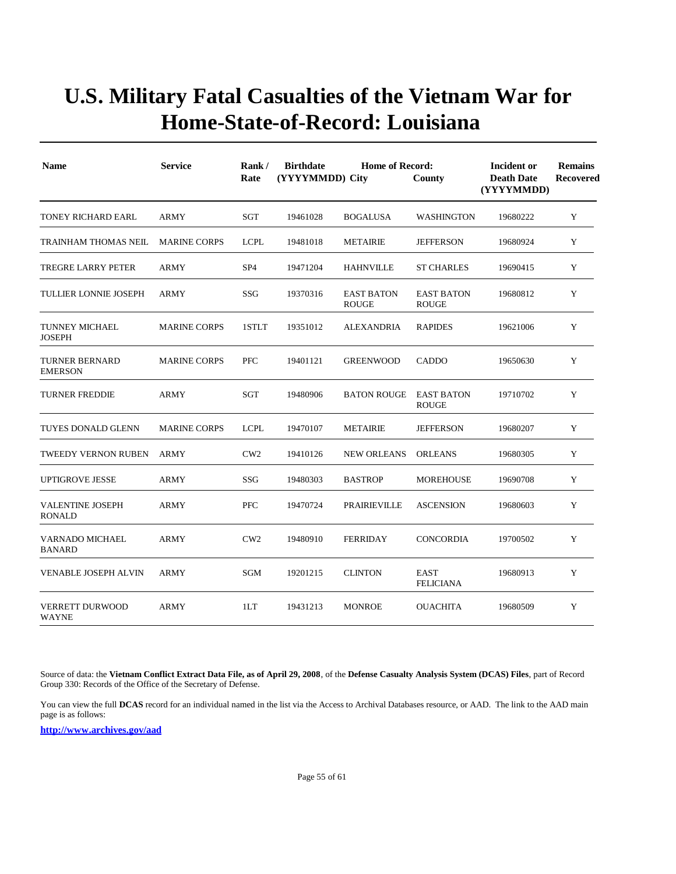| <b>Name</b>                              | <b>Service</b>      | Rank/<br>Rate   | <b>Birthdate</b><br>(YYYYMMDD) City | <b>Home of Record:</b>            | County                            | Incident or<br><b>Death Date</b><br>(YYYYMMDD) | <b>Remains</b><br>Recovered |
|------------------------------------------|---------------------|-----------------|-------------------------------------|-----------------------------------|-----------------------------------|------------------------------------------------|-----------------------------|
| TONEY RICHARD EARL                       | <b>ARMY</b>         | SGT             | 19461028                            | <b>BOGALUSA</b>                   | <b>WASHINGTON</b>                 | 19680222                                       | Y                           |
| TRAINHAM THOMAS NEIL                     | <b>MARINE CORPS</b> | <b>LCPL</b>     | 19481018                            | <b>METAIRIE</b>                   | <b>JEFFERSON</b>                  | 19680924                                       | Y                           |
| TREGRE LARRY PETER                       | ARMY                | SP <sub>4</sub> | 19471204                            | <b>HAHNVILLE</b>                  | <b>ST CHARLES</b>                 | 19690415                                       | Y                           |
| <b>TULLIER LONNIE JOSEPH</b>             | <b>ARMY</b>         | <b>SSG</b>      | 19370316                            | <b>EAST BATON</b><br><b>ROUGE</b> | <b>EAST BATON</b><br><b>ROUGE</b> | 19680812                                       | Y                           |
| TUNNEY MICHAEL<br><b>JOSEPH</b>          | <b>MARINE CORPS</b> | 1STLT           | 19351012                            | ALEXANDRIA                        | <b>RAPIDES</b>                    | 19621006                                       | Y                           |
| <b>TURNER BERNARD</b><br><b>EMERSON</b>  | <b>MARINE CORPS</b> | <b>PFC</b>      | 19401121                            | <b>GREENWOOD</b>                  | CADDO                             | 19650630                                       | Y                           |
| <b>TURNER FREDDIE</b>                    | <b>ARMY</b>         | SGT             | 19480906                            | <b>BATON ROUGE</b>                | <b>EAST BATON</b><br><b>ROUGE</b> | 19710702                                       | Y                           |
| TUYES DONALD GLENN                       | <b>MARINE CORPS</b> | <b>LCPL</b>     | 19470107                            | <b>METAIRIE</b>                   | <b>JEFFERSON</b>                  | 19680207                                       | Y                           |
| TWEEDY VERNON RUBEN                      | ARMY                | CW2             | 19410126                            | <b>NEW ORLEANS</b>                | <b>ORLEANS</b>                    | 19680305                                       | Y                           |
| <b>UPTIGROVE JESSE</b>                   | <b>ARMY</b>         | SSG             | 19480303                            | <b>BASTROP</b>                    | <b>MOREHOUSE</b>                  | 19690708                                       | Y                           |
| <b>VALENTINE JOSEPH</b><br><b>RONALD</b> | <b>ARMY</b>         | <b>PFC</b>      | 19470724                            | PRAIRIEVILLE                      | <b>ASCENSION</b>                  | 19680603                                       | Y                           |
| VARNADO MICHAEL<br><b>BANARD</b>         | <b>ARMY</b>         | CW2             | 19480910                            | <b>FERRIDAY</b>                   | <b>CONCORDIA</b>                  | 19700502                                       | Y                           |
| <b>VENABLE JOSEPH ALVIN</b>              | <b>ARMY</b>         | SGM             | 19201215                            | <b>CLINTON</b>                    | <b>EAST</b><br><b>FELICIANA</b>   | 19680913                                       | Y                           |
| <b>VERRETT DURWOOD</b><br>WAYNE          | <b>ARMY</b>         | 1LT             | 19431213                            | <b>MONROE</b>                     | <b>OUACHITA</b>                   | 19680509                                       | Y                           |

Source of data: the **Vietnam Conflict Extract Data File, as of April 29, 2008**, of the **Defense Casualty Analysis System (DCAS) Files**, part of Record Group 330: Records of the Office of the Secretary of Defense.

You can view the full **DCAS** record for an individual named in the list via the Access to Archival Databases resource, or AAD. The link to the AAD main page is as follows: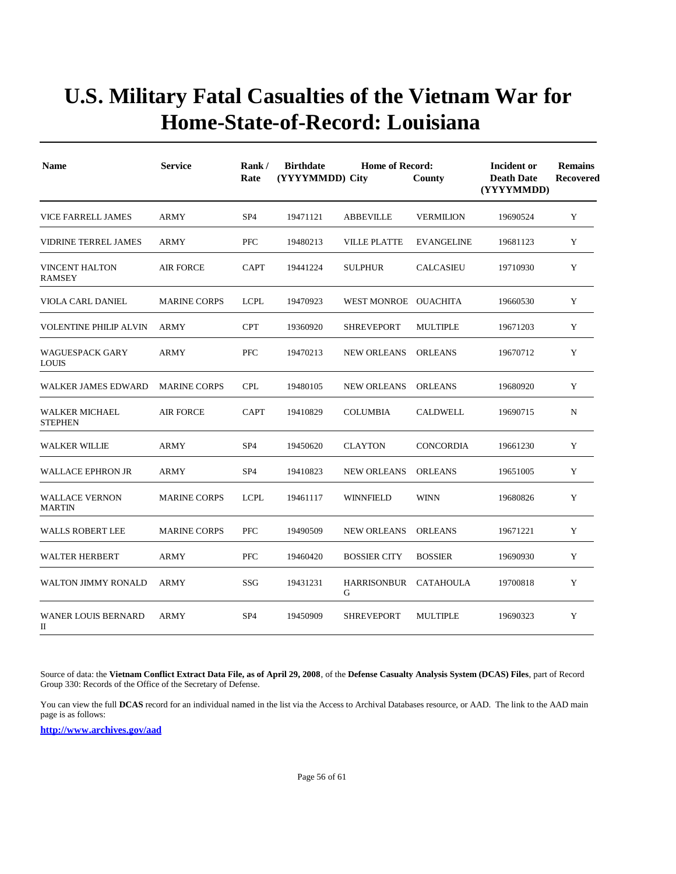| <b>Name</b>                             | <b>Service</b>      | Rank/<br>Rate   | <b>Birthdate</b><br>(YYYYMMDD) City | Incident or<br><b>Death Date</b><br>(YYYYMMDD) | <b>Remains</b><br>Recovered |          |             |
|-----------------------------------------|---------------------|-----------------|-------------------------------------|------------------------------------------------|-----------------------------|----------|-------------|
| VICE FARRELL JAMES                      | <b>ARMY</b>         | SP <sub>4</sub> | 19471121                            | <b>ABBEVILLE</b>                               | <b>VERMILION</b>            | 19690524 | Y           |
| <b>VIDRINE TERREL JAMES</b>             | <b>ARMY</b>         | <b>PFC</b>      | 19480213                            | <b>VILLE PLATTE</b>                            | <b>EVANGELINE</b>           | 19681123 | Y           |
| <b>VINCENT HALTON</b><br><b>RAMSEY</b>  | <b>AIR FORCE</b>    | <b>CAPT</b>     | 19441224                            | <b>SULPHUR</b>                                 | <b>CALCASIEU</b>            | 19710930 | Y           |
| VIOLA CARL DANIEL                       | <b>MARINE CORPS</b> | <b>LCPL</b>     | 19470923                            | WEST MONROE OUACHITA                           |                             | 19660530 | Y           |
| <b>VOLENTINE PHILIP ALVIN</b>           | <b>ARMY</b>         | <b>CPT</b>      | 19360920                            | <b>SHREVEPORT</b>                              | MULTIPLE                    | 19671203 | Y           |
| <b>WAGUESPACK GARY</b><br><b>LOUIS</b>  | <b>ARMY</b>         | <b>PFC</b>      | 19470213                            | <b>NEW ORLEANS</b>                             | <b>ORLEANS</b>              | 19670712 | Y           |
| WALKER JAMES EDWARD                     | <b>MARINE CORPS</b> | <b>CPL</b>      | 19480105                            | <b>NEW ORLEANS</b>                             | <b>ORLEANS</b>              | 19680920 | Y           |
| <b>WALKER MICHAEL</b><br><b>STEPHEN</b> | <b>AIR FORCE</b>    | <b>CAPT</b>     | 19410829                            | <b>COLUMBIA</b>                                | <b>CALDWELL</b>             | 19690715 | $\mathbf N$ |
| <b>WALKER WILLIE</b>                    | <b>ARMY</b>         | SP <sub>4</sub> | 19450620                            | <b>CLAYTON</b>                                 | <b>CONCORDIA</b>            | 19661230 | Y           |
| <b>WALLACE EPHRON JR</b>                | <b>ARMY</b>         | SP <sub>4</sub> | 19410823                            | <b>NEW ORLEANS</b>                             | <b>ORLEANS</b>              | 19651005 | Y           |
| <b>WALLACE VERNON</b><br><b>MARTIN</b>  | <b>MARINE CORPS</b> | <b>LCPL</b>     | 19461117                            | WINNFIELD                                      | <b>WINN</b>                 | 19680826 | Y           |
| <b>WALLS ROBERT LEE</b>                 | <b>MARINE CORPS</b> | <b>PFC</b>      | 19490509                            | <b>NEW ORLEANS</b>                             | <b>ORLEANS</b>              | 19671221 | Y           |
| <b>WALTER HERBERT</b>                   | <b>ARMY</b>         | <b>PFC</b>      | 19460420                            | <b>BOSSIER CITY</b>                            | <b>BOSSIER</b>              | 19690930 | Y           |
| WALTON JIMMY RONALD                     | <b>ARMY</b>         | SSG             | 19431231                            | <b>HARRISONBUR</b><br>G                        | <b>CATAHOULA</b>            | 19700818 | Y           |
| <b>WANER LOUIS BERNARD</b><br>П         | <b>ARMY</b>         | SP <sub>4</sub> | 19450909                            | <b>SHREVEPORT</b>                              | <b>MULTIPLE</b>             | 19690323 | Y           |

Source of data: the **Vietnam Conflict Extract Data File, as of April 29, 2008**, of the **Defense Casualty Analysis System (DCAS) Files**, part of Record Group 330: Records of the Office of the Secretary of Defense.

You can view the full **DCAS** record for an individual named in the list via the Access to Archival Databases resource, or AAD. The link to the AAD main page is as follows: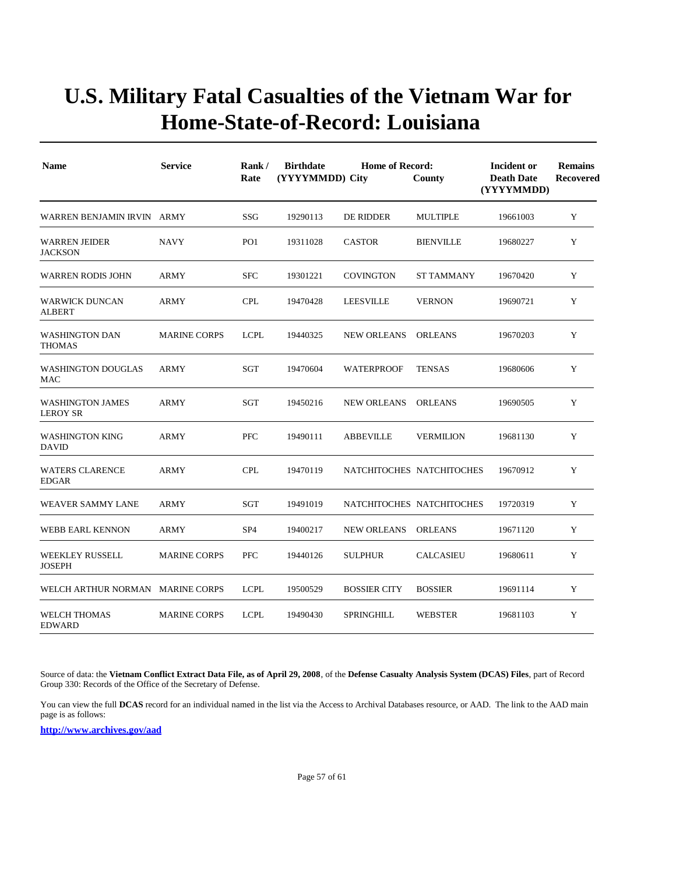| <b>Name</b>                                | <b>Service</b>      | Rank/<br>Rate   | <b>Birthdate</b><br><b>Home of Record:</b><br>(YYYYMMDD) City<br>County |                           |                  | Incident or<br><b>Death Date</b><br>(YYYYMMDD) | <b>Remains</b><br>Recovered |
|--------------------------------------------|---------------------|-----------------|-------------------------------------------------------------------------|---------------------------|------------------|------------------------------------------------|-----------------------------|
| WARREN BENJAMIN IRVIN ARMY                 |                     | SSG             | 19290113                                                                | DE RIDDER                 | <b>MULTIPLE</b>  | 19661003                                       | Y                           |
| <b>WARREN JEIDER</b><br><b>JACKSON</b>     | <b>NAVY</b>         | PO <sub>1</sub> | 19311028                                                                | <b>CASTOR</b>             | <b>BIENVILLE</b> | 19680227                                       | Y                           |
| <b>WARREN RODIS JOHN</b>                   | <b>ARMY</b>         | <b>SFC</b>      | 19301221                                                                | <b>COVINGTON</b>          | ST TAMMANY       | 19670420                                       | Y                           |
| <b>WARWICK DUNCAN</b><br><b>ALBERT</b>     | <b>ARMY</b>         | <b>CPL</b>      | 19470428                                                                | <b>LEESVILLE</b>          | <b>VERNON</b>    | 19690721                                       | Y                           |
| <b>WASHINGTON DAN</b><br>THOMAS            | <b>MARINE CORPS</b> | <b>LCPL</b>     | 19440325                                                                | <b>NEW ORLEANS</b>        | <b>ORLEANS</b>   | 19670203                                       | Y                           |
| <b>WASHINGTON DOUGLAS</b><br>MAC           | <b>ARMY</b>         | SGT             | 19470604                                                                | <b>WATERPROOF</b>         | <b>TENSAS</b>    | 19680606                                       | Y                           |
| <b>WASHINGTON JAMES</b><br><b>LEROY SR</b> | <b>ARMY</b>         | SGT             | 19450216                                                                | <b>NEW ORLEANS</b>        | <b>ORLEANS</b>   | 19690505                                       | Y                           |
| <b>WASHINGTON KING</b><br><b>DAVID</b>     | <b>ARMY</b>         | <b>PFC</b>      | 19490111                                                                | <b>ABBEVILLE</b>          | <b>VERMILION</b> | 19681130                                       | Y                           |
| <b>WATERS CLARENCE</b><br><b>EDGAR</b>     | <b>ARMY</b>         | <b>CPL</b>      | 19470119                                                                | NATCHITOCHES NATCHITOCHES |                  | 19670912                                       | Y                           |
| WEAVER SAMMY LANE                          | <b>ARMY</b>         | <b>SGT</b>      | 19491019                                                                | NATCHITOCHES NATCHITOCHES |                  | 19720319                                       | $\mathbf Y$                 |
| WEBB EARL KENNON                           | <b>ARMY</b>         | SP <sub>4</sub> | 19400217                                                                | <b>NEW ORLEANS</b>        | <b>ORLEANS</b>   | 19671120                                       | Y                           |
| <b>WEEKLEY RUSSELL</b><br><b>JOSEPH</b>    | <b>MARINE CORPS</b> | <b>PFC</b>      | 19440126                                                                | <b>SULPHUR</b>            | <b>CALCASIEU</b> | 19680611                                       | $\mathbf Y$                 |
| WELCH ARTHUR NORMAN                        | <b>MARINE CORPS</b> | <b>LCPL</b>     | 19500529                                                                | <b>BOSSIER CITY</b>       | <b>BOSSIER</b>   | 19691114                                       | Y                           |
| <b>WELCH THOMAS</b><br><b>EDWARD</b>       | <b>MARINE CORPS</b> | <b>LCPL</b>     | 19490430                                                                | SPRINGHILL                | <b>WEBSTER</b>   | 19681103                                       | Y                           |

Source of data: the **Vietnam Conflict Extract Data File, as of April 29, 2008**, of the **Defense Casualty Analysis System (DCAS) Files**, part of Record Group 330: Records of the Office of the Secretary of Defense.

You can view the full **DCAS** record for an individual named in the list via the Access to Archival Databases resource, or AAD. The link to the AAD main page is as follows: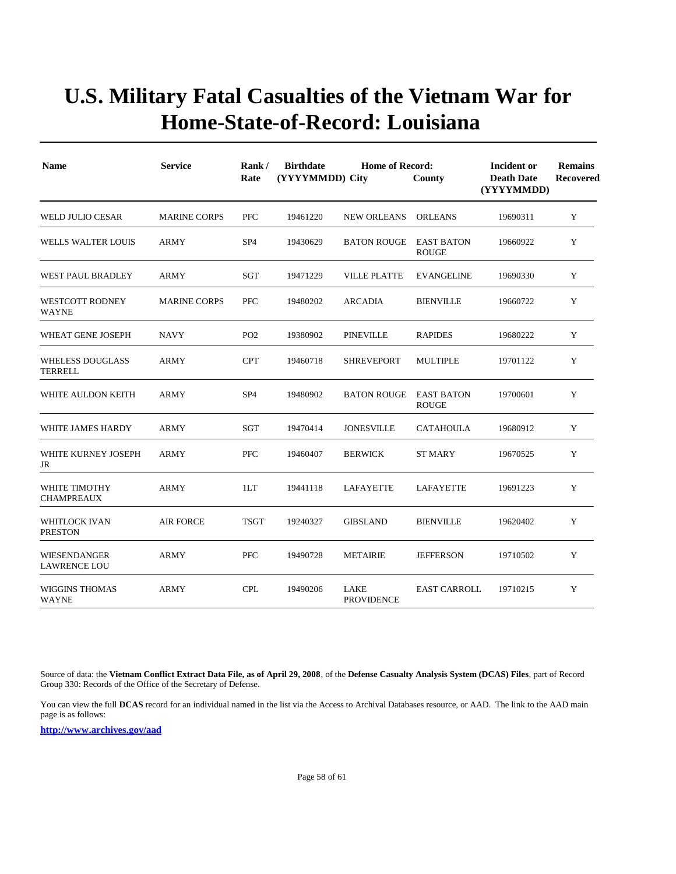| <b>Name</b>                                | <b>Service</b>      | Rank/<br>Rate   | <b>Birthdate</b> | <b>Home of Record:</b><br>(YYYYMMDD) City<br>County |                                   | Incident or<br><b>Death Date</b><br>(YYYYMMDD) | <b>Remains</b><br>Recovered |
|--------------------------------------------|---------------------|-----------------|------------------|-----------------------------------------------------|-----------------------------------|------------------------------------------------|-----------------------------|
| <b>WELD JULIO CESAR</b>                    | <b>MARINE CORPS</b> | <b>PFC</b>      | 19461220         | <b>NEW ORLEANS</b>                                  | <b>ORLEANS</b>                    | 19690311                                       | Y                           |
| WELLS WALTER LOUIS                         | <b>ARMY</b>         | SP <sub>4</sub> | 19430629         | <b>BATON ROUGE</b>                                  | <b>EAST BATON</b><br><b>ROUGE</b> | 19660922                                       | Y                           |
| WEST PAUL BRADLEY                          | ARMY                | SGT             | 19471229         | <b>VILLE PLATTE</b>                                 | <b>EVANGELINE</b>                 | 19690330                                       | Y                           |
| <b>WESTCOTT RODNEY</b><br><b>WAYNE</b>     | <b>MARINE CORPS</b> | <b>PFC</b>      | 19480202         | <b>ARCADIA</b>                                      | <b>BIENVILLE</b>                  | 19660722                                       | Y                           |
| WHEAT GENE JOSEPH                          | <b>NAVY</b>         | PO <sub>2</sub> | 19380902         | PINEVILLE                                           | <b>RAPIDES</b>                    | 19680222                                       | Y                           |
| <b>WHELESS DOUGLASS</b><br><b>TERRELL</b>  | <b>ARMY</b>         | <b>CPT</b>      | 19460718         | <b>SHREVEPORT</b>                                   | <b>MULTIPLE</b>                   | 19701122                                       | Y                           |
| WHITE AULDON KEITH                         | <b>ARMY</b>         | SP <sub>4</sub> | 19480902         | <b>BATON ROUGE</b>                                  | <b>EAST BATON</b><br><b>ROUGE</b> | 19700601                                       | Y                           |
| WHITE JAMES HARDY                          | <b>ARMY</b>         | SGT             | 19470414         | <b>JONESVILLE</b>                                   | CATAHOULA                         | 19680912                                       | Y                           |
| WHITE KURNEY JOSEPH<br>JR                  | ARMY                | PFC             | 19460407         | <b>BERWICK</b>                                      | <b>ST MARY</b>                    | 19670525                                       | Y                           |
| WHITE TIMOTHY<br><b>CHAMPREAUX</b>         | <b>ARMY</b>         | 1LT             | 19441118         | <b>LAFAYETTE</b>                                    | LAFAYETTE                         | 19691223                                       | Y                           |
| WHITLOCK IVAN<br><b>PRESTON</b>            | <b>AIR FORCE</b>    | <b>TSGT</b>     | 19240327         | <b>GIBSLAND</b>                                     | <b>BIENVILLE</b>                  | 19620402                                       | Y                           |
| <b>WIESENDANGER</b><br><b>LAWRENCE LOU</b> | <b>ARMY</b>         | <b>PFC</b>      | 19490728         | <b>METAIRIE</b>                                     | <b>JEFFERSON</b>                  | 19710502                                       | Y                           |
| <b>WIGGINS THOMAS</b><br><b>WAYNE</b>      | <b>ARMY</b>         | <b>CPL</b>      | 19490206         | LAKE<br><b>PROVIDENCE</b>                           | <b>EAST CARROLL</b>               | 19710215                                       | Y                           |

Source of data: the **Vietnam Conflict Extract Data File, as of April 29, 2008**, of the **Defense Casualty Analysis System (DCAS) Files**, part of Record Group 330: Records of the Office of the Secretary of Defense.

You can view the full **DCAS** record for an individual named in the list via the Access to Archival Databases resource, or AAD. The link to the AAD main page is as follows: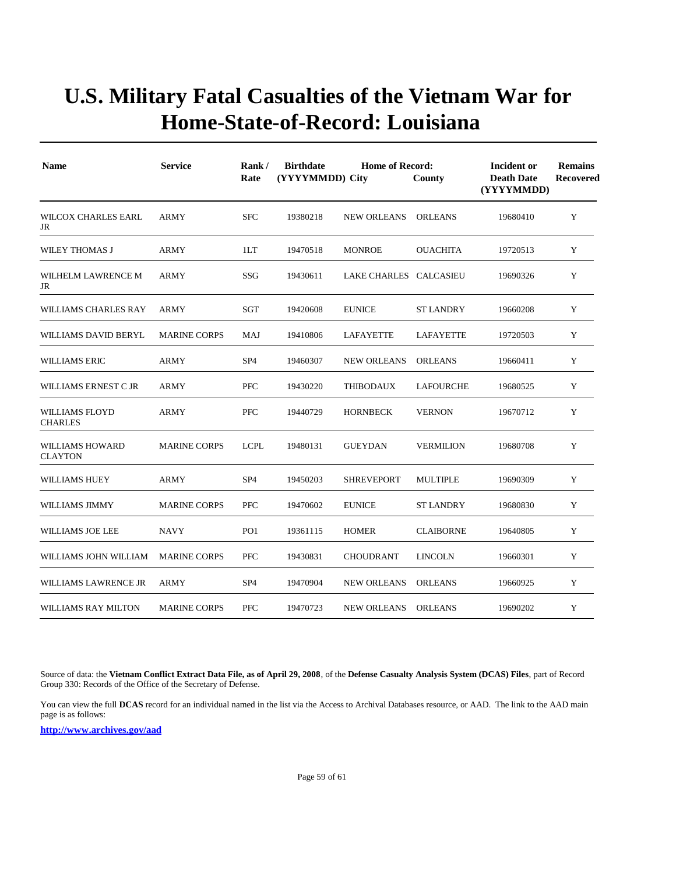| <b>Name</b>                              | <b>Service</b>      | Rank/<br>Rate   | <b>Birthdate</b> | <b>Home of Record:</b><br>(YYYYMMDD) City<br>County |                  |          | <b>Remains</b><br><b>Recovered</b> |
|------------------------------------------|---------------------|-----------------|------------------|-----------------------------------------------------|------------------|----------|------------------------------------|
| <b>WILCOX CHARLES EARL</b><br>JR         | <b>ARMY</b>         | <b>SFC</b>      | 19380218         | <b>NEW ORLEANS</b>                                  | <b>ORLEANS</b>   | 19680410 | Y                                  |
| WILEY THOMAS J                           | <b>ARMY</b>         | 1LT             | 19470518         | <b>MONROE</b>                                       | <b>OUACHITA</b>  | 19720513 | Y                                  |
| WILHELM LAWRENCE M<br>JR                 | <b>ARMY</b>         | SSG             | 19430611         | LAKE CHARLES CALCASIEU                              |                  | 19690326 | Y                                  |
| WILLIAMS CHARLES RAY                     | ARMY                | SGT             | 19420608         | <b>EUNICE</b>                                       | ST LANDRY        | 19660208 | Y                                  |
| <b>WILLIAMS DAVID BERYL</b>              | <b>MARINE CORPS</b> | MAJ             | 19410806         | LAFAYETTE                                           | LAFAYETTE        | 19720503 | Y                                  |
| <b>WILLIAMS ERIC</b>                     | ARMY                | SP <sub>4</sub> | 19460307         | <b>NEW ORLEANS</b>                                  | ORLEANS          | 19660411 | Y                                  |
| WILLIAMS ERNEST C JR                     | <b>ARMY</b>         | PFC             | 19430220         | <b>THIBODAUX</b>                                    | <b>LAFOURCHE</b> | 19680525 | Y                                  |
| <b>WILLIAMS FLOYD</b><br><b>CHARLES</b>  | ARMY                | <b>PFC</b>      | 19440729         | <b>HORNBECK</b>                                     | <b>VERNON</b>    | 19670712 | Y                                  |
| <b>WILLIAMS HOWARD</b><br><b>CLAYTON</b> | <b>MARINE CORPS</b> | <b>LCPL</b>     | 19480131         | <b>GUEYDAN</b>                                      | <b>VERMILION</b> | 19680708 | Y                                  |
| <b>WILLIAMS HUEY</b>                     | <b>ARMY</b>         | SP <sub>4</sub> | 19450203         | <b>SHREVEPORT</b>                                   | <b>MULTIPLE</b>  | 19690309 | Y                                  |
| WILLIAMS JIMMY                           | <b>MARINE CORPS</b> | <b>PFC</b>      | 19470602         | <b>EUNICE</b>                                       | <b>ST LANDRY</b> | 19680830 | Y                                  |
| WILLIAMS JOE LEE                         | <b>NAVY</b>         | PO <sub>1</sub> | 19361115         | <b>HOMER</b>                                        | <b>CLAIBORNE</b> | 19640805 | Y                                  |
| WILLIAMS JOHN WILLIAM                    | <b>MARINE CORPS</b> | <b>PFC</b>      | 19430831         | <b>CHOUDRANT</b>                                    | <b>LINCOLN</b>   | 19660301 | Y                                  |
| WILLIAMS LAWRENCE JR                     | ARMY                | SP <sub>4</sub> | 19470904         | <b>NEW ORLEANS</b>                                  | <b>ORLEANS</b>   | 19660925 | Y                                  |
| WILLIAMS RAY MILTON                      | <b>MARINE CORPS</b> | <b>PFC</b>      | 19470723         | NEW ORLEANS                                         | ORLEANS          | 19690202 | Y                                  |

Source of data: the **Vietnam Conflict Extract Data File, as of April 29, 2008**, of the **Defense Casualty Analysis System (DCAS) Files**, part of Record Group 330: Records of the Office of the Secretary of Defense.

You can view the full **DCAS** record for an individual named in the list via the Access to Archival Databases resource, or AAD. The link to the AAD main page is as follows: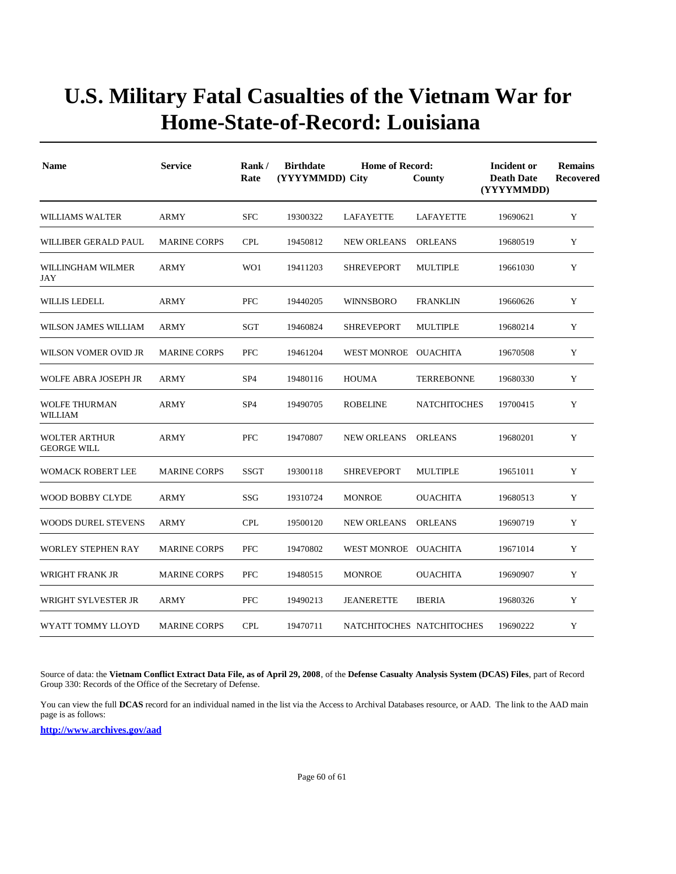| <b>Name</b>                                | <b>Service</b>      | Rank/<br>Rate   | <b>Birthdate</b><br>(YYYYMMDD) City | Incident or<br><b>Death Date</b><br>(YYYYMMDD) | <b>Remains</b><br><b>Recovered</b> |          |   |
|--------------------------------------------|---------------------|-----------------|-------------------------------------|------------------------------------------------|------------------------------------|----------|---|
| <b>WILLIAMS WALTER</b>                     | <b>ARMY</b>         | <b>SFC</b>      | 19300322                            | LAFAYETTE                                      | LAFAYETTE                          | 19690621 | Y |
| WILLIBER GERALD PAUL                       | <b>MARINE CORPS</b> | <b>CPL</b>      | 19450812                            | <b>NEW ORLEANS</b>                             | <b>ORLEANS</b>                     | 19680519 | Y |
| WILLINGHAM WILMER<br>JAY                   | <b>ARMY</b>         | WO1             | 19411203                            | <b>SHREVEPORT</b>                              | <b>MULTIPLE</b>                    | 19661030 | Y |
| WILLIS LEDELL                              | <b>ARMY</b>         | <b>PFC</b>      | 19440205                            | <b>WINNSBORO</b>                               | <b>FRANKLIN</b>                    | 19660626 | Y |
| WILSON JAMES WILLIAM                       | <b>ARMY</b>         | <b>SGT</b>      | 19460824                            | <b>SHREVEPORT</b>                              | <b>MULTIPLE</b>                    | 19680214 | Y |
| WILSON VOMER OVID JR                       | <b>MARINE CORPS</b> | <b>PFC</b>      | 19461204                            | WEST MONROE OUACHITA                           |                                    | 19670508 | Y |
| WOLFE ABRA JOSEPH JR                       | <b>ARMY</b>         | SP <sub>4</sub> | 19480116                            | <b>HOUMA</b>                                   | <b>TERREBONNE</b>                  | 19680330 | Y |
| <b>WOLFE THURMAN</b><br><b>WILLIAM</b>     | <b>ARMY</b>         | SP <sub>4</sub> | 19490705                            | <b>ROBELINE</b>                                | <b>NATCHITOCHES</b>                | 19700415 | Y |
| <b>WOLTER ARTHUR</b><br><b>GEORGE WILL</b> | <b>ARMY</b>         | <b>PFC</b>      | 19470807                            | <b>NEW ORLEANS</b>                             | <b>ORLEANS</b>                     | 19680201 | Y |
| WOMACK ROBERT LEE                          | <b>MARINE CORPS</b> | <b>SSGT</b>     | 19300118                            | <b>SHREVEPORT</b>                              | <b>MULTIPLE</b>                    | 19651011 | Y |
| <b>WOOD BOBBY CLYDE</b>                    | <b>ARMY</b>         | SSG             | 19310724                            | <b>MONROE</b>                                  | <b>OUACHITA</b>                    | 19680513 | Y |
| <b>WOODS DUREL STEVENS</b>                 | <b>ARMY</b>         | <b>CPL</b>      | 19500120                            | <b>NEW ORLEANS</b>                             | <b>ORLEANS</b>                     | 19690719 | Y |
| <b>WORLEY STEPHEN RAY</b>                  | <b>MARINE CORPS</b> | <b>PFC</b>      | 19470802                            | WEST MONROE OUACHITA                           |                                    | 19671014 | Y |
| WRIGHT FRANK JR                            | <b>MARINE CORPS</b> | <b>PFC</b>      | 19480515                            | <b>MONROE</b>                                  | <b>OUACHITA</b>                    | 19690907 | Y |
| WRIGHT SYLVESTER JR                        | <b>ARMY</b>         | <b>PFC</b>      | 19490213                            | <b>JEANERETTE</b>                              | <b>IBERIA</b>                      | 19680326 | Y |
| WYATT TOMMY LLOYD                          | <b>MARINE CORPS</b> | <b>CPL</b>      | 19470711                            |                                                | NATCHITOCHES NATCHITOCHES          | 19690222 | Y |

Source of data: the **Vietnam Conflict Extract Data File, as of April 29, 2008**, of the **Defense Casualty Analysis System (DCAS) Files**, part of Record Group 330: Records of the Office of the Secretary of Defense.

You can view the full **DCAS** record for an individual named in the list via the Access to Archival Databases resource, or AAD. The link to the AAD main page is as follows: